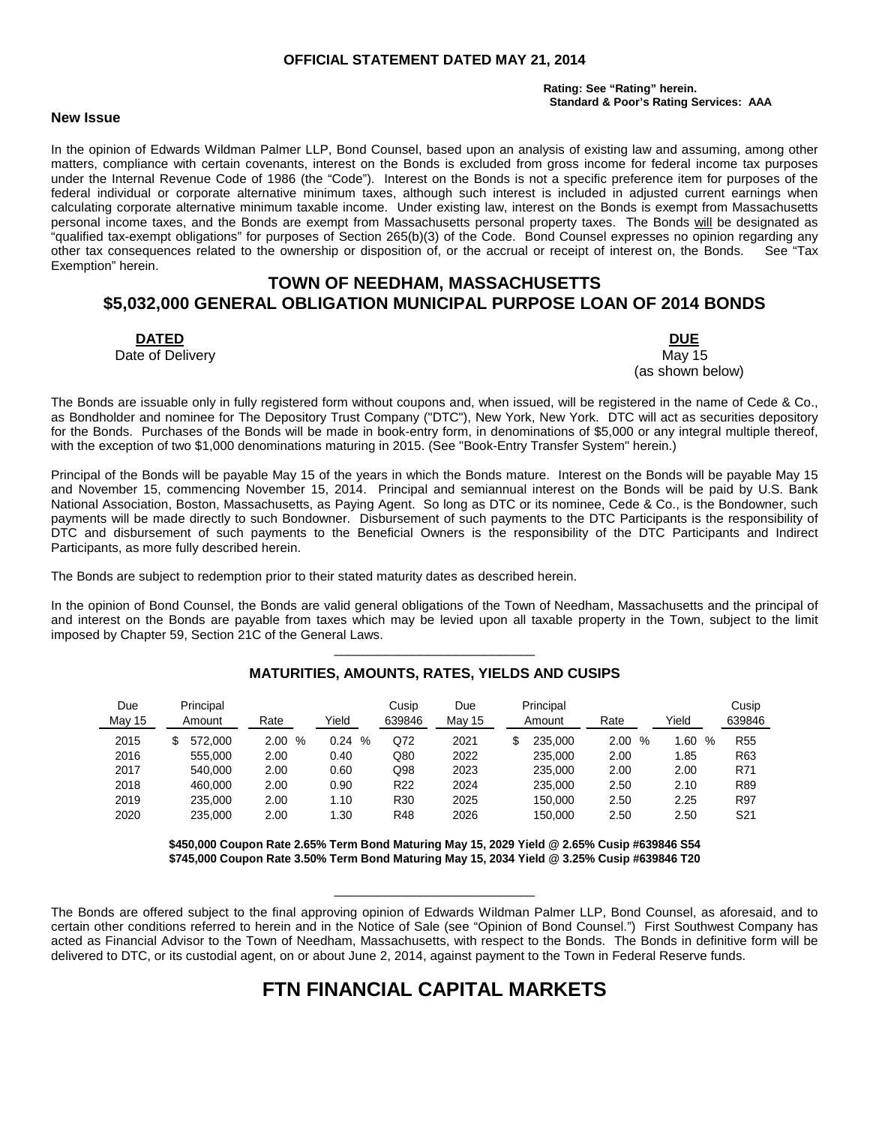#### **OFFICIAL STATEMENT DATED MAY 21, 2014**

#### **Rating: See "Rating" herein. Standard & Poor's Rating Services: AAA**

#### **New Issue**

In the opinion of Edwards Wildman Palmer LLP, Bond Counsel, based upon an analysis of existing law and assuming, among other matters, compliance with certain covenants, interest on the Bonds is excluded from gross income for federal income tax purposes under the Internal Revenue Code of 1986 (the "Code"). Interest on the Bonds is not a specific preference item for purposes of the federal individual or corporate alternative minimum taxes, although such interest is included in adjusted current earnings when calculating corporate alternative minimum taxable income. Under existing law, interest on the Bonds is exempt from Massachusetts personal income taxes, and the Bonds are exempt from Massachusetts personal property taxes. The Bonds will be designated as "qualified tax-exempt obligations" for purposes of Section 265(b)(3) of the Code. Bond Counsel expresses no opinion regarding any other tax consequences related to the ownership or disposition of, or the accrual or receipt of interest on, the Bonds. See "Tax Exemption" herein.

# **TOWN OF NEEDHAM, MASSACHUSETTS \$5,032,000 GENERAL OBLIGATION MUNICIPAL PURPOSE LOAN OF 2014 BONDS**

**DATED DUE** Date of Delivery **May 15** New York 1980 and the United States of Delivery May 15

(as shown below)

The Bonds are issuable only in fully registered form without coupons and, when issued, will be registered in the name of Cede & Co., as Bondholder and nominee for The Depository Trust Company ("DTC"), New York, New York. DTC will act as securities depository for the Bonds. Purchases of the Bonds will be made in book-entry form, in denominations of \$5,000 or any integral multiple thereof, with the exception of two \$1,000 denominations maturing in 2015. (See "Book-Entry Transfer System" herein.)

Principal of the Bonds will be payable May 15 of the years in which the Bonds mature. Interest on the Bonds will be payable May 15 and November 15, commencing November 15, 2014. Principal and semiannual interest on the Bonds will be paid by U.S. Bank National Association, Boston, Massachusetts, as Paying Agent. So long as DTC or its nominee, Cede & Co., is the Bondowner, such payments will be made directly to such Bondowner. Disbursement of such payments to the DTC Participants is the responsibility of DTC and disbursement of such payments to the Beneficial Owners is the responsibility of the DTC Participants and Indirect Participants, as more fully described herein.

The Bonds are subject to redemption prior to their stated maturity dates as described herein.

In the opinion of Bond Counsel, the Bonds are valid general obligations of the Town of Needham, Massachusetts and the principal of and interest on the Bonds are payable from taxes which may be levied upon all taxable property in the Town, subject to the limit imposed by Chapter 59, Section 21C of the General Laws.

| Due    | Principal |           |           | Cusip           | Due    | Principal     |                       |          | Cusip           |
|--------|-----------|-----------|-----------|-----------------|--------|---------------|-----------------------|----------|-----------------|
| May 15 | Amount    | Rate      | Yield     | 639846          | May 15 | Amount        | Rate                  | Yield    | 639846          |
| 2015   | 572.000   | 2.00<br>% | 0.24<br>% | Q72             | 2021   | 235.000<br>\$ | $\frac{0}{0}$<br>2.00 | .60<br>% | R <sub>55</sub> |
| 2016   | 555.000   | 2.00      | 0.40      | Q80             | 2022   | 235,000       | 2.00                  | 1.85     | R63             |
| 2017   | 540.000   | 2.00      | 0.60      | Q98             | 2023   | 235.000       | 2.00                  | 2.00     | R71             |
| 2018   | 460.000   | 2.00      | 0.90      | R <sub>22</sub> | 2024   | 235,000       | 2.50                  | 2.10     | R89             |
| 2019   | 235,000   | 2.00      | 1.10      | R30             | 2025   | 150.000       | 2.50                  | 2.25     | R97             |
| 2020   | 235.000   | 2.00      | 1.30      | R48             | 2026   | 150.000       | 2.50                  | 2.50     | S21             |

# \_\_\_\_\_\_\_\_\_\_\_\_\_\_\_\_\_\_\_\_\_\_\_\_\_\_\_\_ **MATURITIES, AMOUNTS, RATES, YIELDS AND CUSIPS**

**\$450,000 Coupon Rate 2.65% Term Bond Maturing May 15, 2029 Yield @ 2.65% Cusip #639846 S54 \$745,000 Coupon Rate 3.50% Term Bond Maturing May 15, 2034 Yield @ 3.25% Cusip #639846 T20**

The Bonds are offered subject to the final approving opinion of Edwards Wildman Palmer LLP, Bond Counsel, as aforesaid, and to certain other conditions referred to herein and in the Notice of Sale (see "Opinion of Bond Counsel.") First Southwest Company has acted as Financial Advisor to the Town of Needham, Massachusetts, with respect to the Bonds. The Bonds in definitive form will be delivered to DTC, or its custodial agent, on or about June 2, 2014, against payment to the Town in Federal Reserve funds.

\_\_\_\_\_\_\_\_\_\_\_\_\_\_\_\_\_\_\_\_\_\_\_\_\_\_\_\_

# **FTN FINANCIAL CAPITAL MARKETS**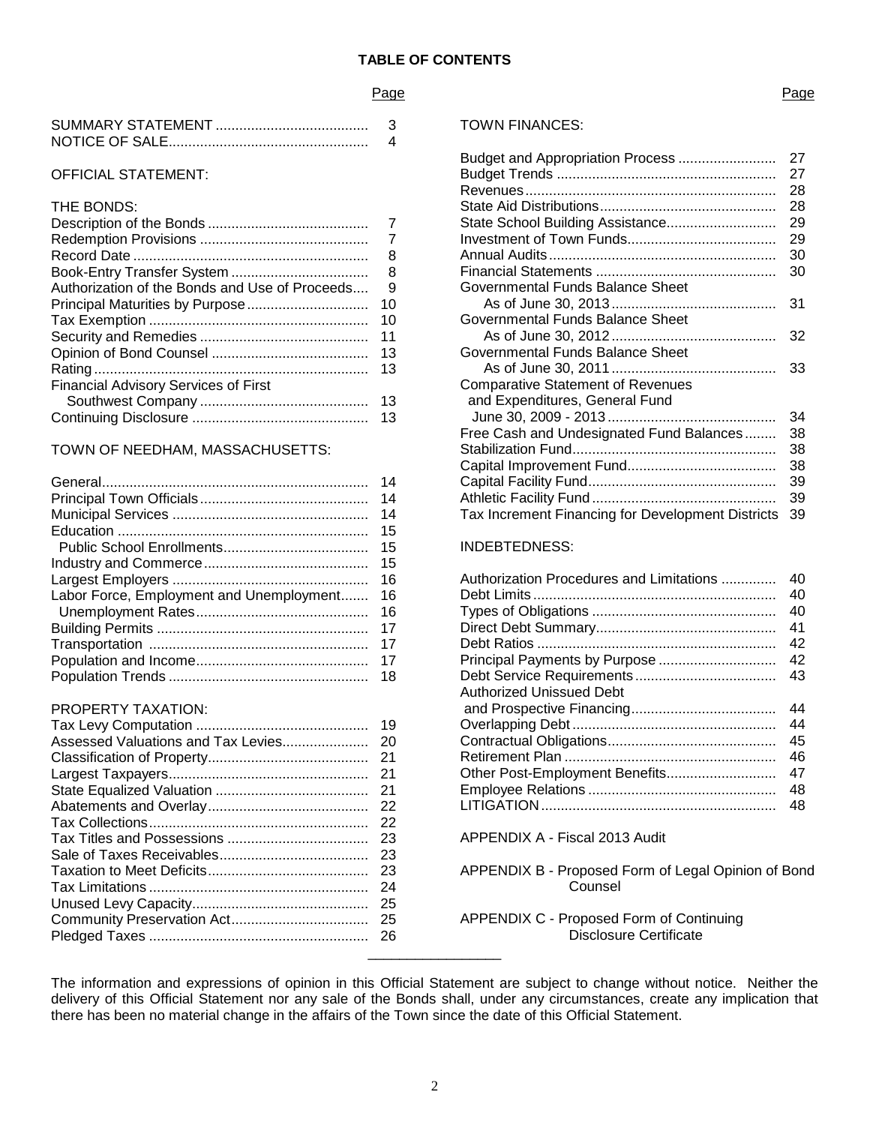#### **TABLE OF CONTENTS**

#### Page

## OFFICIAL STATEMENT:

| THE BONDS:                                     |    |
|------------------------------------------------|----|
|                                                |    |
|                                                |    |
|                                                | 8  |
|                                                | 8  |
| Authorization of the Bonds and Use of Proceeds | 9  |
|                                                | 10 |
|                                                | 10 |
|                                                | 11 |
|                                                | 13 |
|                                                | 13 |
| <b>Financial Advisory Services of First</b>    |    |
|                                                | 13 |
|                                                | 13 |

#### TOWN OF NEEDHAM, MASSACHUSETTS:

|                                          | 14 |
|------------------------------------------|----|
|                                          | 14 |
|                                          | 14 |
|                                          | 15 |
|                                          | 15 |
|                                          | 15 |
|                                          | 16 |
| Labor Force, Employment and Unemployment | 16 |
|                                          | 16 |
|                                          | 17 |
|                                          | 17 |
|                                          | 17 |
|                                          | 18 |

#### PROPERTY TAXATION:

|  | Overla             |
|--|--------------------|
|  | Contra             |
|  | Retirer            |
|  | Other I            |
|  | Emplo              |
|  | LITIG <sub>A</sub> |
|  |                    |
|  | APPEI              |
|  |                    |
|  | APPEI              |
|  |                    |
|  |                    |
|  | APPEI              |
|  |                    |
|  |                    |
|  |                    |

#### Page

#### TOWN FINANCES:

| Budget and Appropriation Process                  | 27 |
|---------------------------------------------------|----|
|                                                   | 27 |
|                                                   | 28 |
|                                                   | 28 |
| State School Building Assistance                  | 29 |
|                                                   | 29 |
|                                                   | 30 |
|                                                   | 30 |
| Governmental Funds Balance Sheet                  |    |
|                                                   | 31 |
| Governmental Funds Balance Sheet                  |    |
|                                                   | 32 |
| Governmental Funds Balance Sheet                  |    |
|                                                   | 33 |
| <b>Comparative Statement of Revenues</b>          |    |
| and Expenditures, General Fund                    |    |
|                                                   | 34 |
| Free Cash and Undesignated Fund Balances          | 38 |
|                                                   | 38 |
|                                                   | 38 |
|                                                   | 39 |
|                                                   | 39 |
| Tax Increment Financing for Development Districts | 39 |

# INDEBTEDNESS:

| Authorization Procedures and Limitations | 40 |
|------------------------------------------|----|
|                                          | 40 |
|                                          | 40 |
|                                          | 41 |
|                                          | 42 |
| Principal Payments by Purpose            | 42 |
|                                          | 43 |
| Authorized Unissued Debt                 |    |
|                                          | 44 |
|                                          | 44 |
|                                          | 45 |
|                                          | 46 |
|                                          | 47 |
|                                          | 48 |
|                                          | 48 |
|                                          |    |

APPENDIX A - Fiscal 2013 Audit

APPENDIX B - Proposed Form of Legal Opinion of Bond **Counsel** 

#### APPENDIX C - Proposed Form of Continuing Disclosure Certificate

The information and expressions of opinion in this Official Statement are subject to change without notice. Neither the delivery of this Official Statement nor any sale of the Bonds shall, under any circumstances, create any implication that there has been no material change in the affairs of the Town since the date of this Official Statement.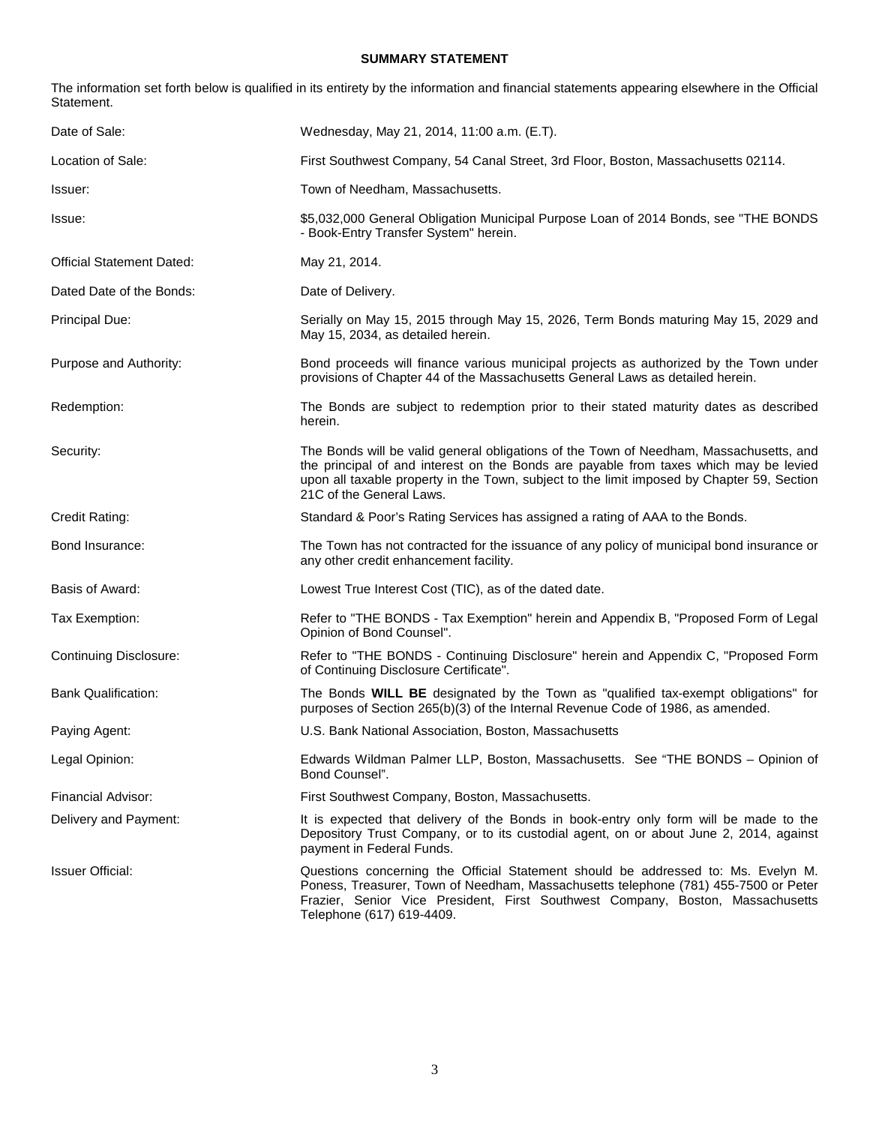## **SUMMARY STATEMENT**

The information set forth below is qualified in its entirety by the information and financial statements appearing elsewhere in the Official Statement.

| Date of Sale:                    | Wednesday, May 21, 2014, 11:00 a.m. (E.T).                                                                                                                                                                                                                                                                |
|----------------------------------|-----------------------------------------------------------------------------------------------------------------------------------------------------------------------------------------------------------------------------------------------------------------------------------------------------------|
| Location of Sale:                | First Southwest Company, 54 Canal Street, 3rd Floor, Boston, Massachusetts 02114.                                                                                                                                                                                                                         |
| Issuer:                          | Town of Needham, Massachusetts.                                                                                                                                                                                                                                                                           |
| Issue:                           | \$5,032,000 General Obligation Municipal Purpose Loan of 2014 Bonds, see "THE BONDS<br>- Book-Entry Transfer System" herein.                                                                                                                                                                              |
| <b>Official Statement Dated:</b> | May 21, 2014.                                                                                                                                                                                                                                                                                             |
| Dated Date of the Bonds:         | Date of Delivery.                                                                                                                                                                                                                                                                                         |
| Principal Due:                   | Serially on May 15, 2015 through May 15, 2026, Term Bonds maturing May 15, 2029 and<br>May 15, 2034, as detailed herein.                                                                                                                                                                                  |
| Purpose and Authority:           | Bond proceeds will finance various municipal projects as authorized by the Town under<br>provisions of Chapter 44 of the Massachusetts General Laws as detailed herein.                                                                                                                                   |
| Redemption:                      | The Bonds are subject to redemption prior to their stated maturity dates as described<br>herein.                                                                                                                                                                                                          |
| Security:                        | The Bonds will be valid general obligations of the Town of Needham, Massachusetts, and<br>the principal of and interest on the Bonds are payable from taxes which may be levied<br>upon all taxable property in the Town, subject to the limit imposed by Chapter 59, Section<br>21C of the General Laws. |
| Credit Rating:                   | Standard & Poor's Rating Services has assigned a rating of AAA to the Bonds.                                                                                                                                                                                                                              |
| Bond Insurance:                  | The Town has not contracted for the issuance of any policy of municipal bond insurance or<br>any other credit enhancement facility.                                                                                                                                                                       |
| Basis of Award:                  | Lowest True Interest Cost (TIC), as of the dated date.                                                                                                                                                                                                                                                    |
| Tax Exemption:                   | Refer to "THE BONDS - Tax Exemption" herein and Appendix B, "Proposed Form of Legal<br>Opinion of Bond Counsel".                                                                                                                                                                                          |
| <b>Continuing Disclosure:</b>    | Refer to "THE BONDS - Continuing Disclosure" herein and Appendix C, "Proposed Form<br>of Continuing Disclosure Certificate".                                                                                                                                                                              |
| <b>Bank Qualification:</b>       | The Bonds WILL BE designated by the Town as "qualified tax-exempt obligations" for<br>purposes of Section 265(b)(3) of the Internal Revenue Code of 1986, as amended.                                                                                                                                     |
| Paying Agent:                    | U.S. Bank National Association, Boston, Massachusetts                                                                                                                                                                                                                                                     |
| Legal Opinion:                   | Edwards Wildman Palmer LLP, Boston, Massachusetts. See "THE BONDS – Opinion of<br>Bond Counsel".                                                                                                                                                                                                          |
| Financial Advisor:               | First Southwest Company, Boston, Massachusetts.                                                                                                                                                                                                                                                           |
| Delivery and Payment:            | It is expected that delivery of the Bonds in book-entry only form will be made to the<br>Depository Trust Company, or to its custodial agent, on or about June 2, 2014, against<br>payment in Federal Funds.                                                                                              |
| <b>Issuer Official:</b>          | Questions concerning the Official Statement should be addressed to: Ms. Evelyn M.<br>Poness, Treasurer, Town of Needham, Massachusetts telephone (781) 455-7500 or Peter<br>Frazier, Senior Vice President, First Southwest Company, Boston, Massachusetts<br>Telephone (617) 619-4409.                   |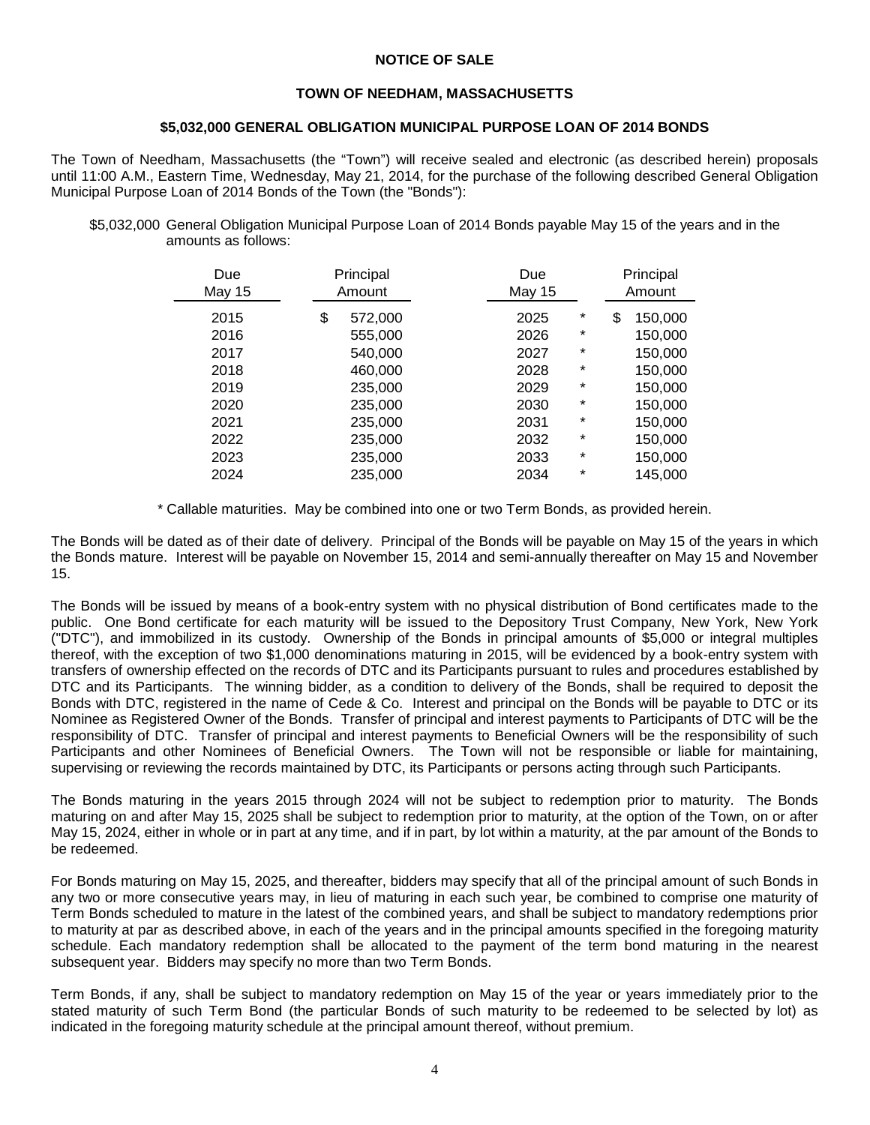#### **NOTICE OF SALE**

## **TOWN OF NEEDHAM, MASSACHUSETTS**

#### **\$5,032,000 GENERAL OBLIGATION MUNICIPAL PURPOSE LOAN OF 2014 BONDS**

The Town of Needham, Massachusetts (the "Town") will receive sealed and electronic (as described herein) proposals until 11:00 A.M., Eastern Time, Wednesday, May 21, 2014, for the purchase of the following described General Obligation Municipal Purpose Loan of 2014 Bonds of the Town (the "Bonds"):

\$5,032,000 General Obligation Municipal Purpose Loan of 2014 Bonds payable May 15 of the years and in the amounts as follows:

| Due<br><b>May 15</b> | Principal<br>Amount | Due<br>May 15 |      |          | Principal<br>Amount |
|----------------------|---------------------|---------------|------|----------|---------------------|
| 2015                 | \$<br>572,000       |               | 2025 | *        | \$<br>150,000       |
| 2016                 | 555,000             |               | 2026 | *        | 150,000             |
| 2017                 | 540,000             |               | 2027 | *        | 150,000             |
| 2018                 | 460,000             |               | 2028 | *        | 150,000             |
| 2019                 | 235,000             |               | 2029 | *        | 150,000             |
| 2020                 | 235,000             |               | 2030 | *        | 150,000             |
| 2021                 | 235,000             |               | 2031 | *        | 150,000             |
| 2022                 | 235,000             |               | 2032 | *        | 150,000             |
| 2023                 | 235,000             |               | 2033 | $^\star$ | 150,000             |
| 2024                 | 235,000             |               | 2034 | $^\star$ | 145,000             |

\* Callable maturities. May be combined into one or two Term Bonds, as provided herein.

The Bonds will be dated as of their date of delivery. Principal of the Bonds will be payable on May 15 of the years in which the Bonds mature. Interest will be payable on November 15, 2014 and semi-annually thereafter on May 15 and November 15.

The Bonds will be issued by means of a book-entry system with no physical distribution of Bond certificates made to the public. One Bond certificate for each maturity will be issued to the Depository Trust Company, New York, New York ("DTC"), and immobilized in its custody. Ownership of the Bonds in principal amounts of \$5,000 or integral multiples thereof, with the exception of two \$1,000 denominations maturing in 2015, will be evidenced by a book-entry system with transfers of ownership effected on the records of DTC and its Participants pursuant to rules and procedures established by DTC and its Participants. The winning bidder, as a condition to delivery of the Bonds, shall be required to deposit the Bonds with DTC, registered in the name of Cede & Co. Interest and principal on the Bonds will be payable to DTC or its Nominee as Registered Owner of the Bonds. Transfer of principal and interest payments to Participants of DTC will be the responsibility of DTC. Transfer of principal and interest payments to Beneficial Owners will be the responsibility of such Participants and other Nominees of Beneficial Owners. The Town will not be responsible or liable for maintaining, supervising or reviewing the records maintained by DTC, its Participants or persons acting through such Participants.

The Bonds maturing in the years 2015 through 2024 will not be subject to redemption prior to maturity. The Bonds maturing on and after May 15, 2025 shall be subject to redemption prior to maturity, at the option of the Town, on or after May 15, 2024, either in whole or in part at any time, and if in part, by lot within a maturity, at the par amount of the Bonds to be redeemed.

For Bonds maturing on May 15, 2025, and thereafter, bidders may specify that all of the principal amount of such Bonds in any two or more consecutive years may, in lieu of maturing in each such year, be combined to comprise one maturity of Term Bonds scheduled to mature in the latest of the combined years, and shall be subject to mandatory redemptions prior to maturity at par as described above, in each of the years and in the principal amounts specified in the foregoing maturity schedule. Each mandatory redemption shall be allocated to the payment of the term bond maturing in the nearest subsequent year. Bidders may specify no more than two Term Bonds.

Term Bonds, if any, shall be subject to mandatory redemption on May 15 of the year or years immediately prior to the stated maturity of such Term Bond (the particular Bonds of such maturity to be redeemed to be selected by lot) as indicated in the foregoing maturity schedule at the principal amount thereof, without premium.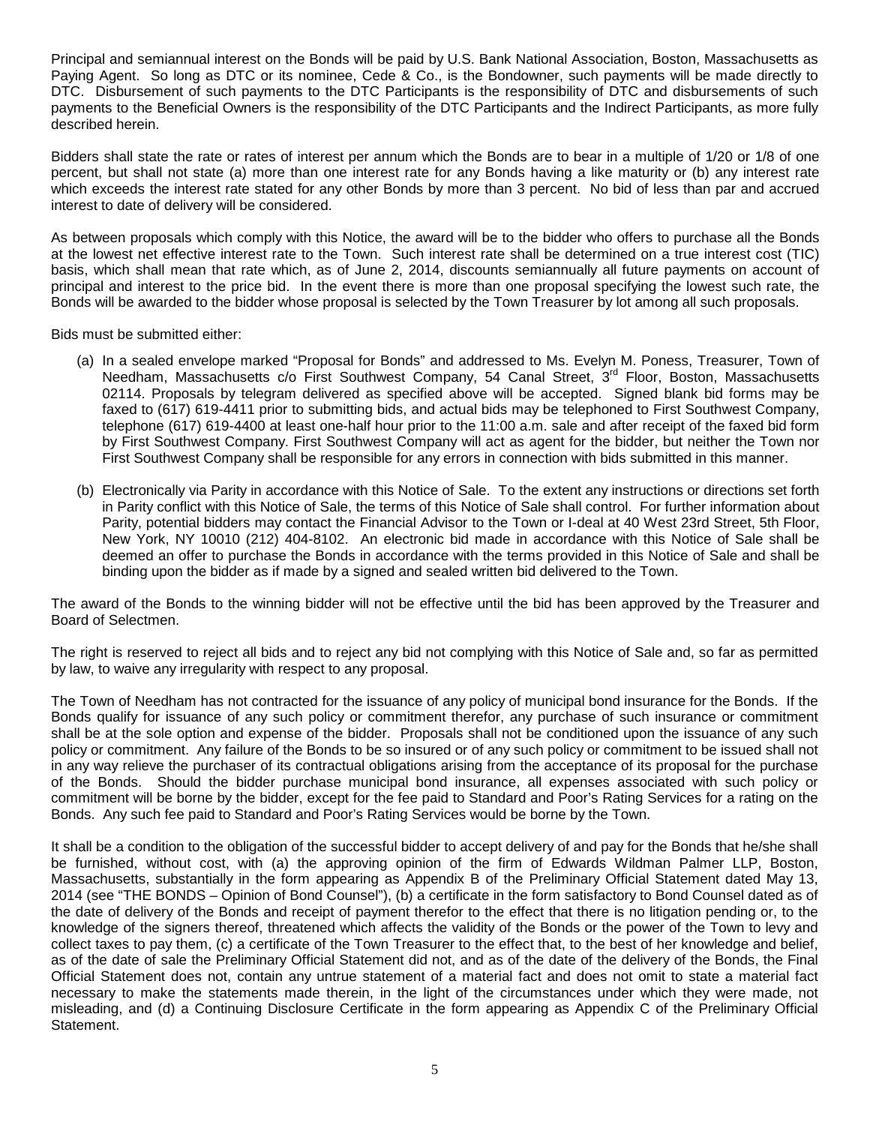Principal and semiannual interest on the Bonds will be paid by U.S. Bank National Association, Boston, Massachusetts as Paying Agent. So long as DTC or its nominee, Cede & Co., is the Bondowner, such payments will be made directly to DTC. Disbursement of such payments to the DTC Participants is the responsibility of DTC and disbursements of such payments to the Beneficial Owners is the responsibility of the DTC Participants and the Indirect Participants, as more fully described herein.

Bidders shall state the rate or rates of interest per annum which the Bonds are to bear in a multiple of 1/20 or 1/8 of one percent, but shall not state (a) more than one interest rate for any Bonds having a like maturity or (b) any interest rate which exceeds the interest rate stated for any other Bonds by more than 3 percent. No bid of less than par and accrued interest to date of delivery will be considered.

As between proposals which comply with this Notice, the award will be to the bidder who offers to purchase all the Bonds at the lowest net effective interest rate to the Town. Such interest rate shall be determined on a true interest cost (TIC) basis, which shall mean that rate which, as of June 2, 2014, discounts semiannually all future payments on account of principal and interest to the price bid. In the event there is more than one proposal specifying the lowest such rate, the Bonds will be awarded to the bidder whose proposal is selected by the Town Treasurer by lot among all such proposals.

Bids must be submitted either:

- (a) In a sealed envelope marked "Proposal for Bonds" and addressed to Ms. Evelyn M. Poness, Treasurer, Town of Needham, Massachusetts c/o First Southwest Company, 54 Canal Street, 3<sup>rd</sup> Floor, Boston, Massachusetts 02114. Proposals by telegram delivered as specified above will be accepted. Signed blank bid forms may be faxed to (617) 619-4411 prior to submitting bids, and actual bids may be telephoned to First Southwest Company, telephone (617) 619-4400 at least one-half hour prior to the 11:00 a.m. sale and after receipt of the faxed bid form by First Southwest Company. First Southwest Company will act as agent for the bidder, but neither the Town nor First Southwest Company shall be responsible for any errors in connection with bids submitted in this manner.
- (b) Electronically via Parity in accordance with this Notice of Sale. To the extent any instructions or directions set forth in Parity conflict with this Notice of Sale, the terms of this Notice of Sale shall control. For further information about Parity, potential bidders may contact the Financial Advisor to the Town or I-deal at 40 West 23rd Street, 5th Floor, New York, NY 10010 (212) 404-8102. An electronic bid made in accordance with this Notice of Sale shall be deemed an offer to purchase the Bonds in accordance with the terms provided in this Notice of Sale and shall be binding upon the bidder as if made by a signed and sealed written bid delivered to the Town.

The award of the Bonds to the winning bidder will not be effective until the bid has been approved by the Treasurer and Board of Selectmen.

The right is reserved to reject all bids and to reject any bid not complying with this Notice of Sale and, so far as permitted by law, to waive any irregularity with respect to any proposal.

The Town of Needham has not contracted for the issuance of any policy of municipal bond insurance for the Bonds. If the Bonds qualify for issuance of any such policy or commitment therefor, any purchase of such insurance or commitment shall be at the sole option and expense of the bidder. Proposals shall not be conditioned upon the issuance of any such policy or commitment. Any failure of the Bonds to be so insured or of any such policy or commitment to be issued shall not in any way relieve the purchaser of its contractual obligations arising from the acceptance of its proposal for the purchase of the Bonds. Should the bidder purchase municipal bond insurance, all expenses associated with such policy or commitment will be borne by the bidder, except for the fee paid to Standard and Poor's Rating Services for a rating on the Bonds. Any such fee paid to Standard and Poor's Rating Services would be borne by the Town.

It shall be a condition to the obligation of the successful bidder to accept delivery of and pay for the Bonds that he/she shall be furnished, without cost, with (a) the approving opinion of the firm of Edwards Wildman Palmer LLP, Boston, Massachusetts, substantially in the form appearing as Appendix B of the Preliminary Official Statement dated May 13, 2014 (see "THE BONDS – Opinion of Bond Counsel"), (b) a certificate in the form satisfactory to Bond Counsel dated as of the date of delivery of the Bonds and receipt of payment therefor to the effect that there is no litigation pending or, to the knowledge of the signers thereof, threatened which affects the validity of the Bonds or the power of the Town to levy and collect taxes to pay them, (c) a certificate of the Town Treasurer to the effect that, to the best of her knowledge and belief, as of the date of sale the Preliminary Official Statement did not, and as of the date of the delivery of the Bonds, the Final Official Statement does not, contain any untrue statement of a material fact and does not omit to state a material fact necessary to make the statements made therein, in the light of the circumstances under which they were made, not misleading, and (d) a Continuing Disclosure Certificate in the form appearing as Appendix C of the Preliminary Official Statement.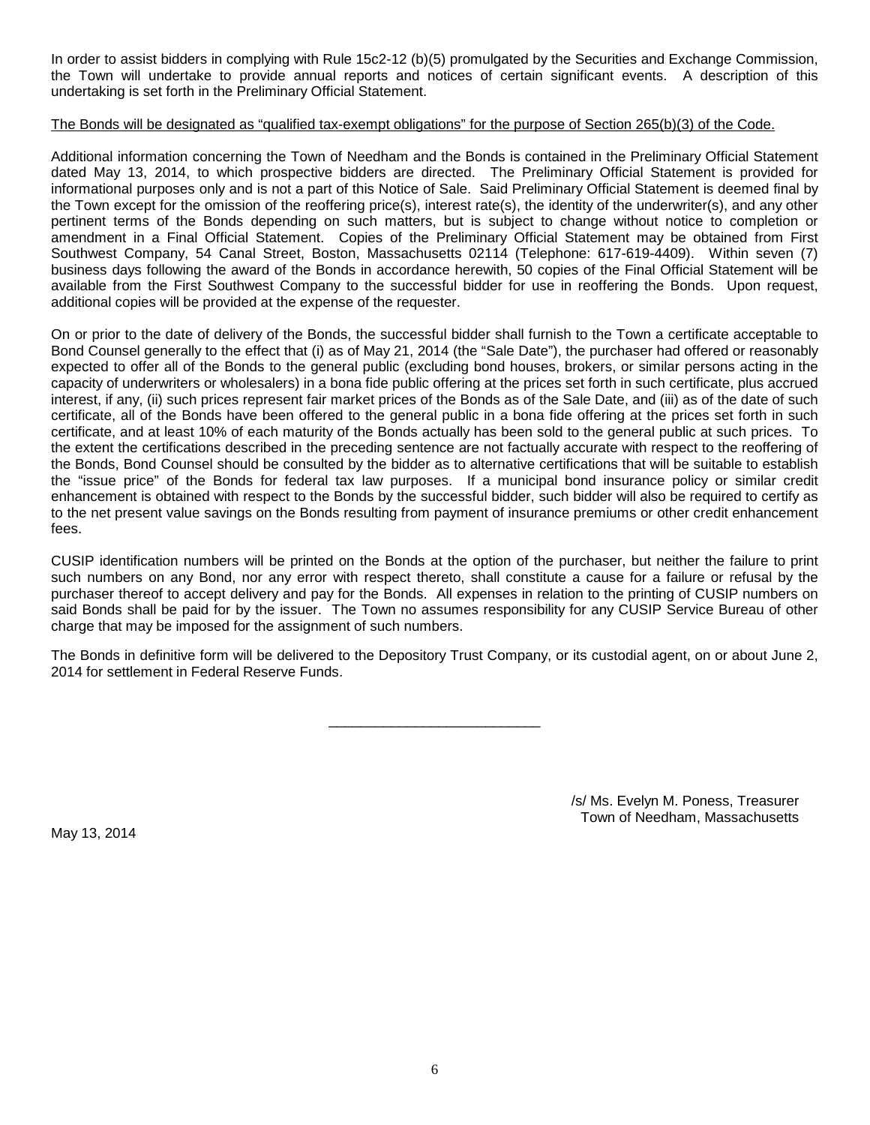In order to assist bidders in complying with Rule 15c2-12 (b)(5) promulgated by the Securities and Exchange Commission, the Town will undertake to provide annual reports and notices of certain significant events. A description of this undertaking is set forth in the Preliminary Official Statement.

#### The Bonds will be designated as "qualified tax-exempt obligations" for the purpose of Section 265(b)(3) of the Code.

Additional information concerning the Town of Needham and the Bonds is contained in the Preliminary Official Statement dated May 13, 2014, to which prospective bidders are directed. The Preliminary Official Statement is provided for informational purposes only and is not a part of this Notice of Sale. Said Preliminary Official Statement is deemed final by the Town except for the omission of the reoffering price(s), interest rate(s), the identity of the underwriter(s), and any other pertinent terms of the Bonds depending on such matters, but is subject to change without notice to completion or amendment in a Final Official Statement. Copies of the Preliminary Official Statement may be obtained from First Southwest Company, 54 Canal Street, Boston, Massachusetts 02114 (Telephone: 617-619-4409). Within seven (7) business days following the award of the Bonds in accordance herewith, 50 copies of the Final Official Statement will be available from the First Southwest Company to the successful bidder for use in reoffering the Bonds. Upon request, additional copies will be provided at the expense of the requester.

On or prior to the date of delivery of the Bonds, the successful bidder shall furnish to the Town a certificate acceptable to Bond Counsel generally to the effect that (i) as of May 21, 2014 (the "Sale Date"), the purchaser had offered or reasonably expected to offer all of the Bonds to the general public (excluding bond houses, brokers, or similar persons acting in the capacity of underwriters or wholesalers) in a bona fide public offering at the prices set forth in such certificate, plus accrued interest, if any, (ii) such prices represent fair market prices of the Bonds as of the Sale Date, and (iii) as of the date of such certificate, all of the Bonds have been offered to the general public in a bona fide offering at the prices set forth in such certificate, and at least 10% of each maturity of the Bonds actually has been sold to the general public at such prices. To the extent the certifications described in the preceding sentence are not factually accurate with respect to the reoffering of the Bonds, Bond Counsel should be consulted by the bidder as to alternative certifications that will be suitable to establish the "issue price" of the Bonds for federal tax law purposes. If a municipal bond insurance policy or similar credit enhancement is obtained with respect to the Bonds by the successful bidder, such bidder will also be required to certify as to the net present value savings on the Bonds resulting from payment of insurance premiums or other credit enhancement fees.

CUSIP identification numbers will be printed on the Bonds at the option of the purchaser, but neither the failure to print such numbers on any Bond, nor any error with respect thereto, shall constitute a cause for a failure or refusal by the purchaser thereof to accept delivery and pay for the Bonds. All expenses in relation to the printing of CUSIP numbers on said Bonds shall be paid for by the issuer. The Town no assumes responsibility for any CUSIP Service Bureau of other charge that may be imposed for the assignment of such numbers.

The Bonds in definitive form will be delivered to the Depository Trust Company, or its custodial agent, on or about June 2, 2014 for settlement in Federal Reserve Funds.

\_\_\_\_\_\_\_\_\_\_\_\_\_\_\_\_\_\_\_\_\_\_\_\_\_\_\_

May 13, 2014

/s/ Ms. Evelyn M. Poness, Treasurer Town of Needham, Massachusetts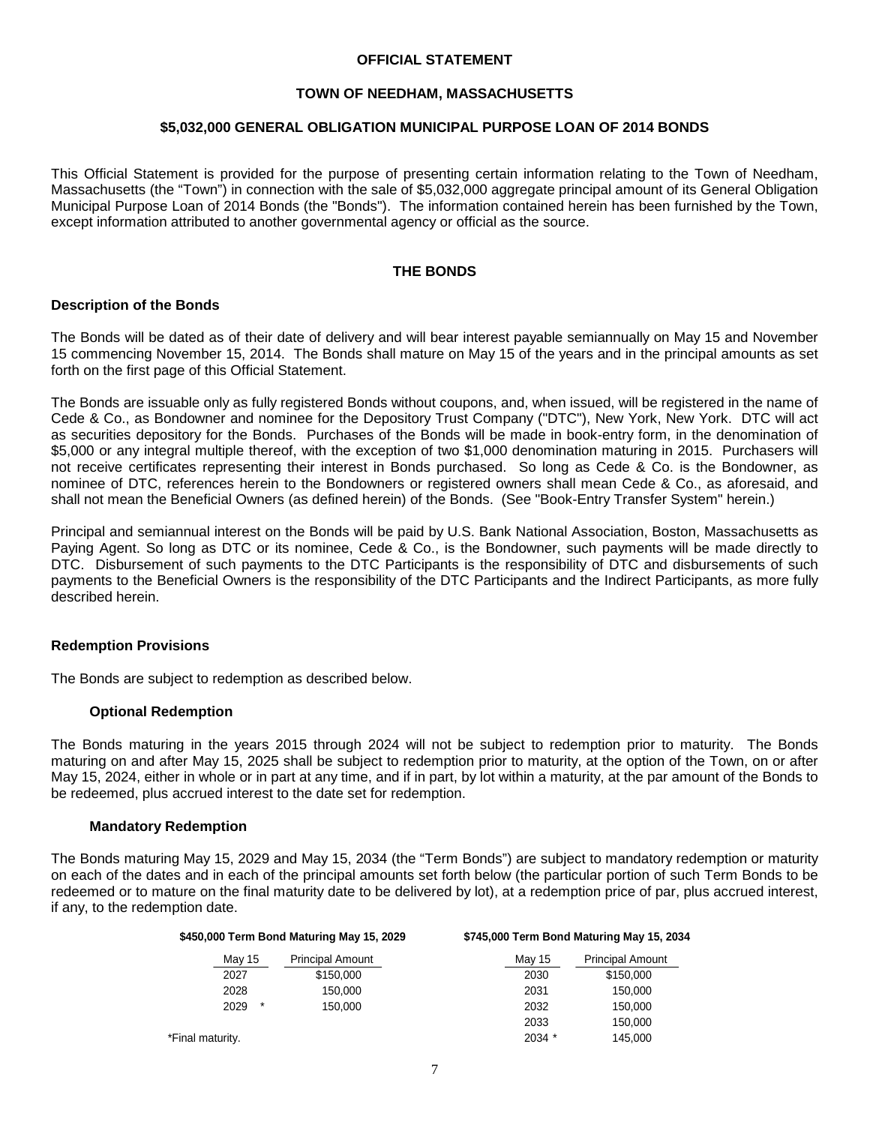#### **OFFICIAL STATEMENT**

## **TOWN OF NEEDHAM, MASSACHUSETTS**

#### **\$5,032,000 GENERAL OBLIGATION MUNICIPAL PURPOSE LOAN OF 2014 BONDS**

This Official Statement is provided for the purpose of presenting certain information relating to the Town of Needham, Massachusetts (the "Town") in connection with the sale of \$5,032,000 aggregate principal amount of its General Obligation Municipal Purpose Loan of 2014 Bonds (the "Bonds"). The information contained herein has been furnished by the Town, except information attributed to another governmental agency or official as the source.

# **THE BONDS**

#### **Description of the Bonds**

The Bonds will be dated as of their date of delivery and will bear interest payable semiannually on May 15 and November 15 commencing November 15, 2014. The Bonds shall mature on May 15 of the years and in the principal amounts as set forth on the first page of this Official Statement.

The Bonds are issuable only as fully registered Bonds without coupons, and, when issued, will be registered in the name of Cede & Co., as Bondowner and nominee for the Depository Trust Company ("DTC"), New York, New York. DTC will act as securities depository for the Bonds. Purchases of the Bonds will be made in book-entry form, in the denomination of \$5,000 or any integral multiple thereof, with the exception of two \$1,000 denomination maturing in 2015. Purchasers will not receive certificates representing their interest in Bonds purchased. So long as Cede & Co. is the Bondowner, as nominee of DTC, references herein to the Bondowners or registered owners shall mean Cede & Co., as aforesaid, and shall not mean the Beneficial Owners (as defined herein) of the Bonds. (See "Book-Entry Transfer System" herein.)

Principal and semiannual interest on the Bonds will be paid by U.S. Bank National Association, Boston, Massachusetts as Paying Agent. So long as DTC or its nominee, Cede & Co., is the Bondowner, such payments will be made directly to DTC. Disbursement of such payments to the DTC Participants is the responsibility of DTC and disbursements of such payments to the Beneficial Owners is the responsibility of the DTC Participants and the Indirect Participants, as more fully described herein.

#### **Redemption Provisions**

The Bonds are subject to redemption as described below.

#### **Optional Redemption**

The Bonds maturing in the years 2015 through 2024 will not be subject to redemption prior to maturity. The Bonds maturing on and after May 15, 2025 shall be subject to redemption prior to maturity, at the option of the Town, on or after May 15, 2024, either in whole or in part at any time, and if in part, by lot within a maturity, at the par amount of the Bonds to be redeemed, plus accrued interest to the date set for redemption.

#### **Mandatory Redemption**

The Bonds maturing May 15, 2029 and May 15, 2034 (the "Term Bonds") are subject to mandatory redemption or maturity on each of the dates and in each of the principal amounts set forth below (the particular portion of such Term Bonds to be redeemed or to mature on the final maturity date to be delivered by lot), at a redemption price of par, plus accrued interest, if any, to the redemption date.

|                  | \$450,000 Term Bond Maturing May 15, 2029 | \$745,000 Term Bond Maturing May 15, 2034 |                         |  |  |  |
|------------------|-------------------------------------------|-------------------------------------------|-------------------------|--|--|--|
| May 15           | <b>Principal Amount</b>                   | Mav 15                                    | <b>Principal Amount</b> |  |  |  |
| 2027             | \$150,000                                 | 2030                                      | \$150,000               |  |  |  |
| 2028             | 150.000                                   | 2031                                      | 150,000                 |  |  |  |
| $\ast$<br>2029   | 150.000                                   | 2032                                      | 150,000                 |  |  |  |
|                  |                                           | 2033                                      | 150,000                 |  |  |  |
| *Final maturity. |                                           | 2034 *                                    | 145,000                 |  |  |  |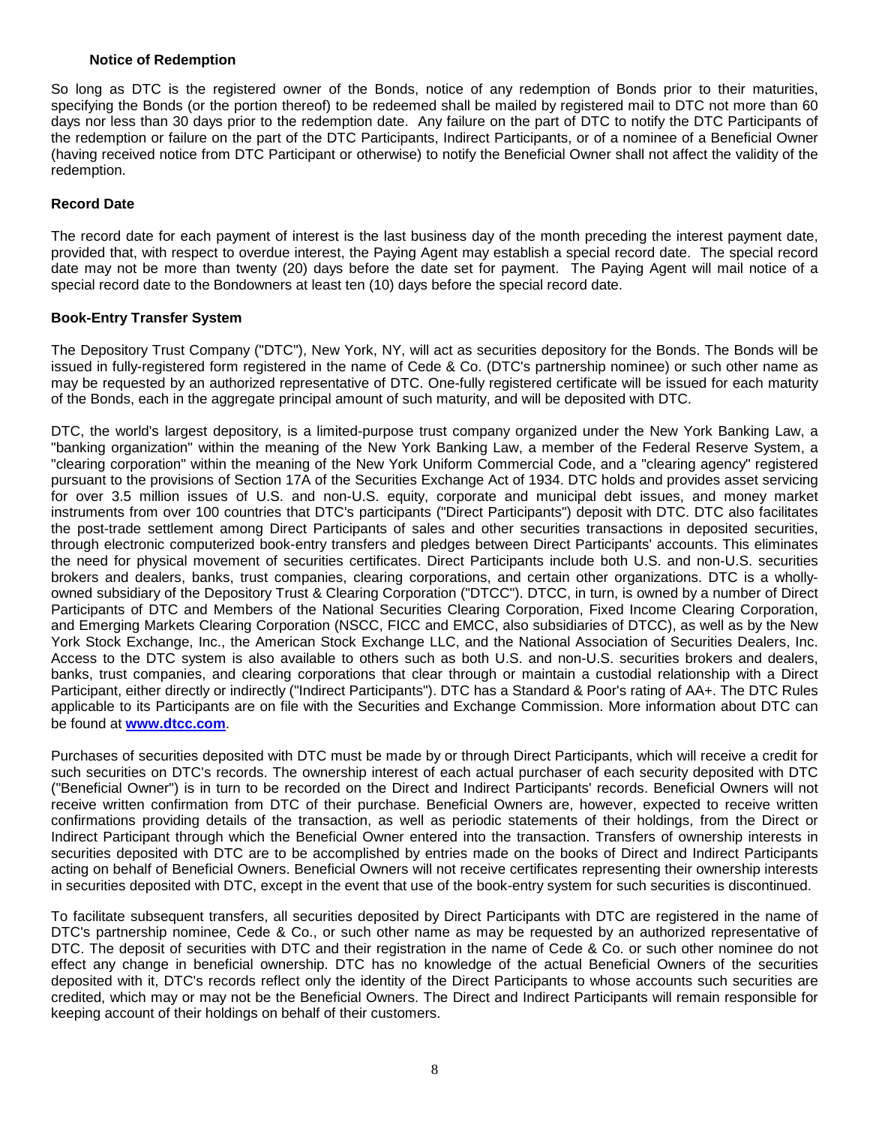#### **Notice of Redemption**

So long as DTC is the registered owner of the Bonds, notice of any redemption of Bonds prior to their maturities, specifying the Bonds (or the portion thereof) to be redeemed shall be mailed by registered mail to DTC not more than 60 days nor less than 30 days prior to the redemption date. Any failure on the part of DTC to notify the DTC Participants of the redemption or failure on the part of the DTC Participants, Indirect Participants, or of a nominee of a Beneficial Owner (having received notice from DTC Participant or otherwise) to notify the Beneficial Owner shall not affect the validity of the redemption.

# **Record Date**

The record date for each payment of interest is the last business day of the month preceding the interest payment date, provided that, with respect to overdue interest, the Paying Agent may establish a special record date. The special record date may not be more than twenty (20) days before the date set for payment. The Paying Agent will mail notice of a special record date to the Bondowners at least ten (10) days before the special record date.

# **Book-Entry Transfer System**

The Depository Trust Company ("DTC"), New York, NY, will act as securities depository for the Bonds. The Bonds will be issued in fully-registered form registered in the name of Cede & Co. (DTC's partnership nominee) or such other name as may be requested by an authorized representative of DTC. One-fully registered certificate will be issued for each maturity of the Bonds, each in the aggregate principal amount of such maturity, and will be deposited with DTC.

DTC, the world's largest depository, is a limited-purpose trust company organized under the New York Banking Law, a "banking organization" within the meaning of the New York Banking Law, a member of the Federal Reserve System, a "clearing corporation" within the meaning of the New York Uniform Commercial Code, and a "clearing agency" registered pursuant to the provisions of Section 17A of the Securities Exchange Act of 1934. DTC holds and provides asset servicing for over 3.5 million issues of U.S. and non-U.S. equity, corporate and municipal debt issues, and money market instruments from over 100 countries that DTC's participants ("Direct Participants") deposit with DTC. DTC also facilitates the post-trade settlement among Direct Participants of sales and other securities transactions in deposited securities, through electronic computerized book-entry transfers and pledges between Direct Participants' accounts. This eliminates the need for physical movement of securities certificates. Direct Participants include both U.S. and non-U.S. securities brokers and dealers, banks, trust companies, clearing corporations, and certain other organizations. DTC is a whollyowned subsidiary of the Depository Trust & Clearing Corporation ("DTCC"). DTCC, in turn, is owned by a number of Direct Participants of DTC and Members of the National Securities Clearing Corporation, Fixed Income Clearing Corporation, and Emerging Markets Clearing Corporation (NSCC, FICC and EMCC, also subsidiaries of DTCC), as well as by the New York Stock Exchange, Inc., the American Stock Exchange LLC, and the National Association of Securities Dealers, Inc. Access to the DTC system is also available to others such as both U.S. and non-U.S. securities brokers and dealers, banks, trust companies, and clearing corporations that clear through or maintain a custodial relationship with a Direct Participant, either directly or indirectly ("Indirect Participants"). DTC has a Standard & Poor's rating of AA+. The DTC Rules applicable to its Participants are on file with the Securities and Exchange Commission. More information about DTC can be found at **www.dtcc.com**.

Purchases of securities deposited with DTC must be made by or through Direct Participants, which will receive a credit for such securities on DTC's records. The ownership interest of each actual purchaser of each security deposited with DTC ("Beneficial Owner") is in turn to be recorded on the Direct and Indirect Participants' records. Beneficial Owners will not receive written confirmation from DTC of their purchase. Beneficial Owners are, however, expected to receive written confirmations providing details of the transaction, as well as periodic statements of their holdings, from the Direct or Indirect Participant through which the Beneficial Owner entered into the transaction. Transfers of ownership interests in securities deposited with DTC are to be accomplished by entries made on the books of Direct and Indirect Participants acting on behalf of Beneficial Owners. Beneficial Owners will not receive certificates representing their ownership interests in securities deposited with DTC, except in the event that use of the book-entry system for such securities is discontinued.

To facilitate subsequent transfers, all securities deposited by Direct Participants with DTC are registered in the name of DTC's partnership nominee, Cede & Co., or such other name as may be requested by an authorized representative of DTC. The deposit of securities with DTC and their registration in the name of Cede & Co. or such other nominee do not effect any change in beneficial ownership. DTC has no knowledge of the actual Beneficial Owners of the securities deposited with it, DTC's records reflect only the identity of the Direct Participants to whose accounts such securities are credited, which may or may not be the Beneficial Owners. The Direct and Indirect Participants will remain responsible for keeping account of their holdings on behalf of their customers.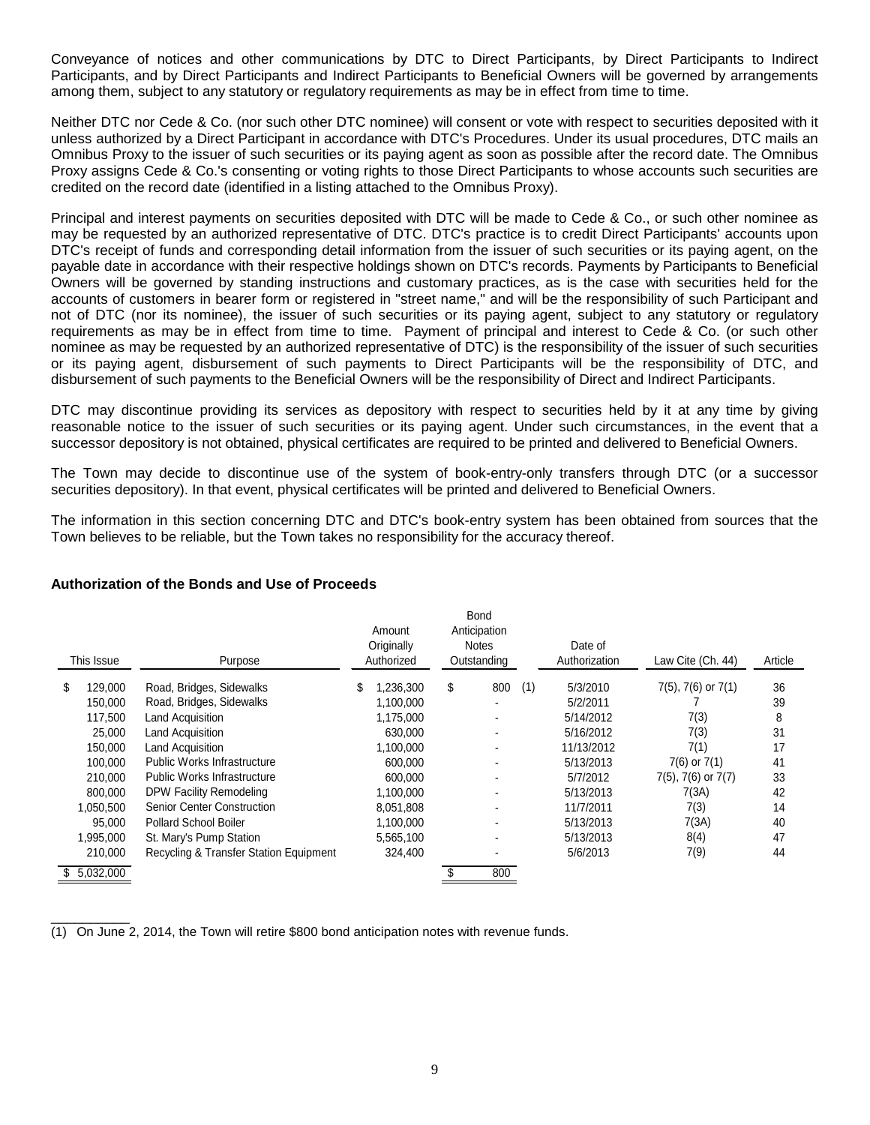Conveyance of notices and other communications by DTC to Direct Participants, by Direct Participants to Indirect Participants, and by Direct Participants and Indirect Participants to Beneficial Owners will be governed by arrangements among them, subject to any statutory or regulatory requirements as may be in effect from time to time.

Neither DTC nor Cede & Co. (nor such other DTC nominee) will consent or vote with respect to securities deposited with it unless authorized by a Direct Participant in accordance with DTC's Procedures. Under its usual procedures, DTC mails an Omnibus Proxy to the issuer of such securities or its paying agent as soon as possible after the record date. The Omnibus Proxy assigns Cede & Co.'s consenting or voting rights to those Direct Participants to whose accounts such securities are credited on the record date (identified in a listing attached to the Omnibus Proxy).

Principal and interest payments on securities deposited with DTC will be made to Cede & Co., or such other nominee as may be requested by an authorized representative of DTC. DTC's practice is to credit Direct Participants' accounts upon DTC's receipt of funds and corresponding detail information from the issuer of such securities or its paying agent, on the payable date in accordance with their respective holdings shown on DTC's records. Payments by Participants to Beneficial Owners will be governed by standing instructions and customary practices, as is the case with securities held for the accounts of customers in bearer form or registered in "street name," and will be the responsibility of such Participant and not of DTC (nor its nominee), the issuer of such securities or its paying agent, subject to any statutory or regulatory requirements as may be in effect from time to time. Payment of principal and interest to Cede & Co. (or such other nominee as may be requested by an authorized representative of DTC) is the responsibility of the issuer of such securities or its paying agent, disbursement of such payments to Direct Participants will be the responsibility of DTC, and disbursement of such payments to the Beneficial Owners will be the responsibility of Direct and Indirect Participants.

DTC may discontinue providing its services as depository with respect to securities held by it at any time by giving reasonable notice to the issuer of such securities or its paying agent. Under such circumstances, in the event that a successor depository is not obtained, physical certificates are required to be printed and delivered to Beneficial Owners.

The Town may decide to discontinue use of the system of book-entry-only transfers through DTC (or a successor securities depository). In that event, physical certificates will be printed and delivered to Beneficial Owners.

The information in this section concerning DTC and DTC's book-entry system has been obtained from sources that the Town believes to be reliable, but the Town takes no responsibility for the accuracy thereof.

# **Authorization of the Bonds and Use of Proceeds**

|            |             |                                        |    | Amount     |    | <b>Bond</b><br>Anticipation |     |               |                           |         |
|------------|-------------|----------------------------------------|----|------------|----|-----------------------------|-----|---------------|---------------------------|---------|
|            |             |                                        |    | Originally |    | <b>Notes</b>                |     | Date of       |                           |         |
| This Issue |             | Purpose                                |    | Authorized |    | Outstanding                 |     | Authorization | Law Cite (Ch. 44)         | Article |
| S          | 129,000     | Road, Bridges, Sidewalks               | \$ | ,236,300   | \$ | 800                         | (1) | 5/3/2010      | $7(5)$ , $7(6)$ or $7(1)$ | 36      |
|            | 150,000     | Road, Bridges, Sidewalks               |    | 1,100,000  |    |                             |     | 5/2/2011      |                           | 39      |
|            | 117,500     | <b>Land Acquisition</b>                |    | 1,175,000  |    |                             |     | 5/14/2012     | 7(3)                      | 8       |
|            | 25,000      | <b>Land Acquisition</b>                |    | 630,000    |    |                             |     | 5/16/2012     | 7(3)                      | 31      |
|            | 150,000     | <b>Land Acquisition</b>                |    | 1,100,000  |    |                             |     | 11/13/2012    | 7(1)                      | 17      |
|            | 100,000     | <b>Public Works Infrastructure</b>     |    | 600,000    |    |                             |     | 5/13/2013     | $7(6)$ or $7(1)$          | 41      |
|            | 210,000     | <b>Public Works Infrastructure</b>     |    | 600,000    |    |                             |     | 5/7/2012      | $7(5)$ , $7(6)$ or $7(7)$ | 33      |
|            | 800,000     | DPW Facility Remodeling                |    | 1,100,000  |    |                             |     | 5/13/2013     | 7(3A)                     | 42      |
|            | 1,050,500   | <b>Senior Center Construction</b>      |    | 8,051,808  |    |                             |     | 11/7/2011     | 7(3)                      | 14      |
|            | 95,000      | <b>Pollard School Boiler</b>           |    | 1,100,000  |    |                             |     | 5/13/2013     | 7(3A)                     | 40      |
|            | 1,995,000   | St. Mary's Pump Station                |    | 5,565,100  |    |                             |     | 5/13/2013     | 8(4)                      | 47      |
|            | 210,000     | Recycling & Transfer Station Equipment |    | 324,400    |    |                             |     | 5/6/2013      | 7(9)                      | 44      |
|            | \$5.032.000 |                                        |    |            |    | 800                         |     |               |                           |         |

 $\overline{\phantom{a}}$   $\overline{\phantom{a}}$   $\overline{\phantom{a}}$   $\overline{\phantom{a}}$   $\overline{\phantom{a}}$   $\overline{\phantom{a}}$   $\overline{\phantom{a}}$   $\overline{\phantom{a}}$   $\overline{\phantom{a}}$   $\overline{\phantom{a}}$   $\overline{\phantom{a}}$   $\overline{\phantom{a}}$   $\overline{\phantom{a}}$   $\overline{\phantom{a}}$   $\overline{\phantom{a}}$   $\overline{\phantom{a}}$   $\overline{\phantom{a}}$   $\overline{\phantom{a}}$   $\overline{\$ (1) On June 2, 2014, the Town will retire \$800 bond anticipation notes with revenue funds.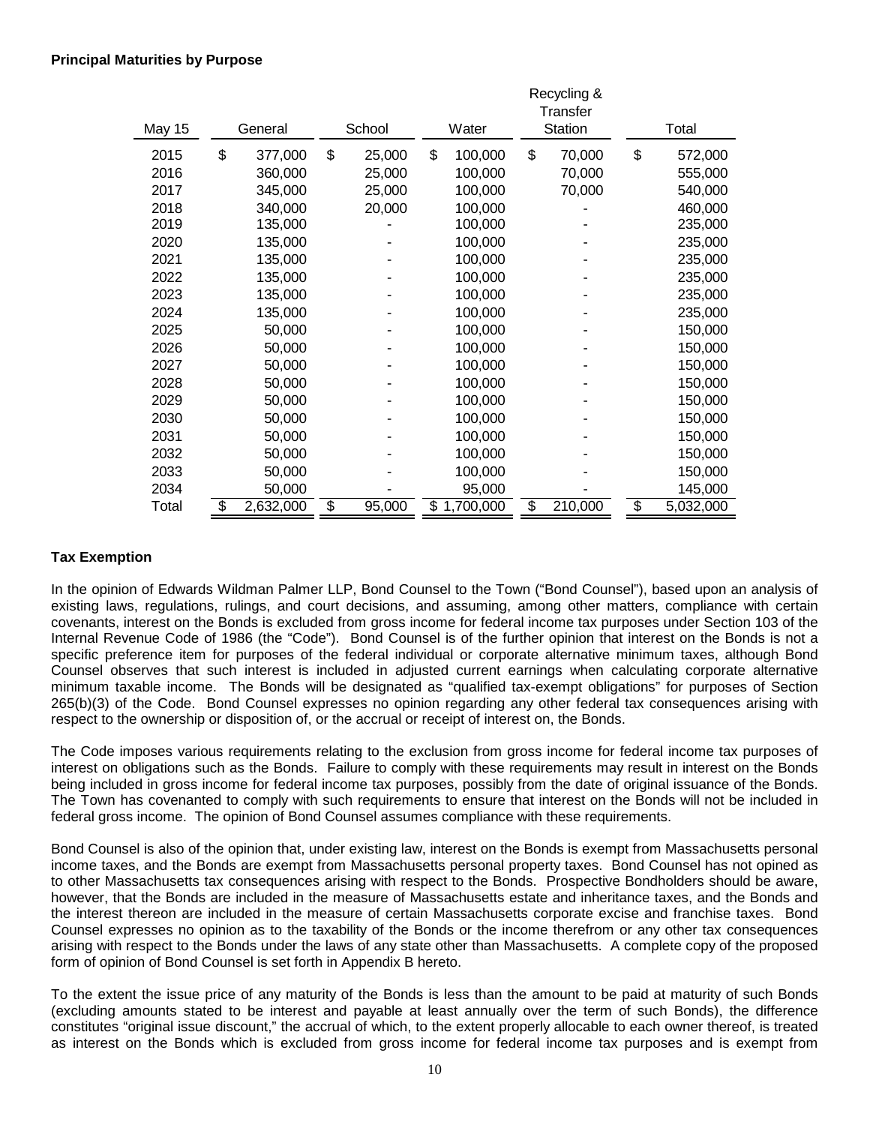|               |                 |              |    |           |         | Recycling &<br>Transfer |                 |
|---------------|-----------------|--------------|----|-----------|---------|-------------------------|-----------------|
| <b>May 15</b> | General         | School       |    | Water     | Station |                         | Total           |
| 2015          | \$<br>377,000   | \$<br>25,000 |    | 100,000   | \$      | 70,000                  | \$<br>572,000   |
| 2016          | 360,000         | 25,000       |    | 100,000   |         | 70,000                  | 555,000         |
| 2017          | 345,000         | 25,000       |    | 100,000   |         | 70,000                  | 540,000         |
| 2018          | 340,000         | 20,000       |    | 100,000   |         |                         | 460,000         |
| 2019          | 135,000         |              |    | 100,000   |         |                         | 235,000         |
| 2020          | 135,000         |              |    | 100,000   |         |                         | 235,000         |
| 2021          | 135,000         |              |    | 100,000   |         |                         | 235,000         |
| 2022          | 135,000         |              |    | 100,000   |         |                         | 235,000         |
| 2023          | 135,000         |              |    | 100,000   |         |                         | 235,000         |
| 2024          | 135,000         |              |    | 100,000   |         |                         | 235,000         |
| 2025          | 50,000          |              |    | 100,000   |         |                         | 150,000         |
| 2026          | 50,000          |              |    | 100,000   |         |                         | 150,000         |
| 2027          | 50,000          |              |    | 100,000   |         |                         | 150,000         |
| 2028          | 50,000          |              |    | 100,000   |         |                         | 150,000         |
| 2029          | 50,000          |              |    | 100,000   |         |                         | 150,000         |
| 2030          | 50,000          |              |    | 100,000   |         |                         | 150,000         |
| 2031          | 50,000          |              |    | 100,000   |         |                         | 150,000         |
| 2032          | 50,000          |              |    | 100,000   |         |                         | 150,000         |
| 2033          | 50,000          |              |    | 100,000   |         |                         | 150,000         |
| 2034          | 50,000          |              |    | 95,000    |         |                         | 145,000         |
| Total         | \$<br>2,632,000 | \$<br>95,000 | \$ | 1,700,000 | \$      | 210,000                 | \$<br>5,032,000 |

# **Tax Exemption**

In the opinion of Edwards Wildman Palmer LLP, Bond Counsel to the Town ("Bond Counsel"), based upon an analysis of existing laws, regulations, rulings, and court decisions, and assuming, among other matters, compliance with certain covenants, interest on the Bonds is excluded from gross income for federal income tax purposes under Section 103 of the Internal Revenue Code of 1986 (the "Code"). Bond Counsel is of the further opinion that interest on the Bonds is not a specific preference item for purposes of the federal individual or corporate alternative minimum taxes, although Bond Counsel observes that such interest is included in adjusted current earnings when calculating corporate alternative minimum taxable income. The Bonds will be designated as "qualified tax-exempt obligations" for purposes of Section 265(b)(3) of the Code. Bond Counsel expresses no opinion regarding any other federal tax consequences arising with respect to the ownership or disposition of, or the accrual or receipt of interest on, the Bonds.

The Code imposes various requirements relating to the exclusion from gross income for federal income tax purposes of interest on obligations such as the Bonds. Failure to comply with these requirements may result in interest on the Bonds being included in gross income for federal income tax purposes, possibly from the date of original issuance of the Bonds. The Town has covenanted to comply with such requirements to ensure that interest on the Bonds will not be included in federal gross income. The opinion of Bond Counsel assumes compliance with these requirements.

Bond Counsel is also of the opinion that, under existing law, interest on the Bonds is exempt from Massachusetts personal income taxes, and the Bonds are exempt from Massachusetts personal property taxes. Bond Counsel has not opined as to other Massachusetts tax consequences arising with respect to the Bonds. Prospective Bondholders should be aware, however, that the Bonds are included in the measure of Massachusetts estate and inheritance taxes, and the Bonds and the interest thereon are included in the measure of certain Massachusetts corporate excise and franchise taxes. Bond Counsel expresses no opinion as to the taxability of the Bonds or the income therefrom or any other tax consequences arising with respect to the Bonds under the laws of any state other than Massachusetts. A complete copy of the proposed form of opinion of Bond Counsel is set forth in Appendix B hereto.

To the extent the issue price of any maturity of the Bonds is less than the amount to be paid at maturity of such Bonds (excluding amounts stated to be interest and payable at least annually over the term of such Bonds), the difference constitutes "original issue discount," the accrual of which, to the extent properly allocable to each owner thereof, is treated as interest on the Bonds which is excluded from gross income for federal income tax purposes and is exempt from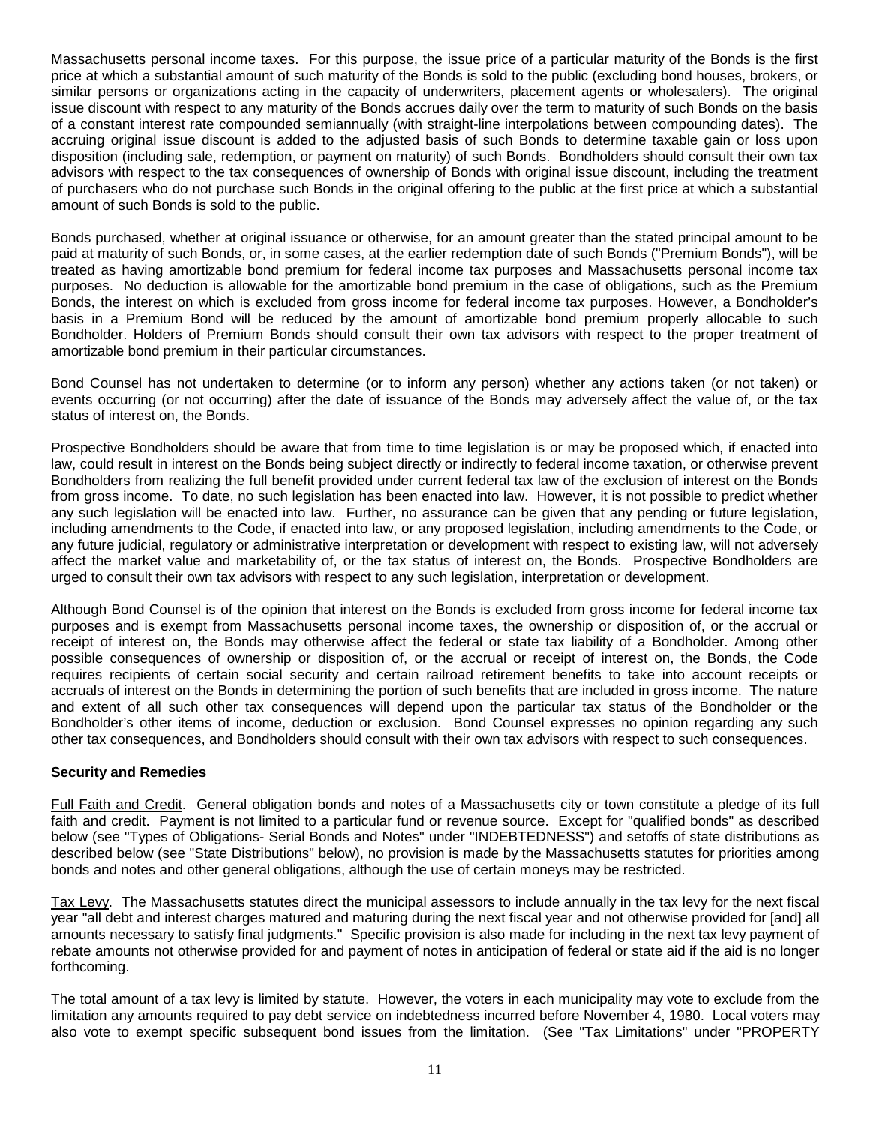Massachusetts personal income taxes. For this purpose, the issue price of a particular maturity of the Bonds is the first price at which a substantial amount of such maturity of the Bonds is sold to the public (excluding bond houses, brokers, or similar persons or organizations acting in the capacity of underwriters, placement agents or wholesalers). The original issue discount with respect to any maturity of the Bonds accrues daily over the term to maturity of such Bonds on the basis of a constant interest rate compounded semiannually (with straight-line interpolations between compounding dates). The accruing original issue discount is added to the adjusted basis of such Bonds to determine taxable gain or loss upon disposition (including sale, redemption, or payment on maturity) of such Bonds. Bondholders should consult their own tax advisors with respect to the tax consequences of ownership of Bonds with original issue discount, including the treatment of purchasers who do not purchase such Bonds in the original offering to the public at the first price at which a substantial amount of such Bonds is sold to the public.

Bonds purchased, whether at original issuance or otherwise, for an amount greater than the stated principal amount to be paid at maturity of such Bonds, or, in some cases, at the earlier redemption date of such Bonds ("Premium Bonds"), will be treated as having amortizable bond premium for federal income tax purposes and Massachusetts personal income tax purposes. No deduction is allowable for the amortizable bond premium in the case of obligations, such as the Premium Bonds, the interest on which is excluded from gross income for federal income tax purposes. However, a Bondholder's basis in a Premium Bond will be reduced by the amount of amortizable bond premium properly allocable to such Bondholder. Holders of Premium Bonds should consult their own tax advisors with respect to the proper treatment of amortizable bond premium in their particular circumstances.

Bond Counsel has not undertaken to determine (or to inform any person) whether any actions taken (or not taken) or events occurring (or not occurring) after the date of issuance of the Bonds may adversely affect the value of, or the tax status of interest on, the Bonds.

Prospective Bondholders should be aware that from time to time legislation is or may be proposed which, if enacted into law, could result in interest on the Bonds being subject directly or indirectly to federal income taxation, or otherwise prevent Bondholders from realizing the full benefit provided under current federal tax law of the exclusion of interest on the Bonds from gross income. To date, no such legislation has been enacted into law. However, it is not possible to predict whether any such legislation will be enacted into law. Further, no assurance can be given that any pending or future legislation, including amendments to the Code, if enacted into law, or any proposed legislation, including amendments to the Code, or any future judicial, regulatory or administrative interpretation or development with respect to existing law, will not adversely affect the market value and marketability of, or the tax status of interest on, the Bonds. Prospective Bondholders are urged to consult their own tax advisors with respect to any such legislation, interpretation or development.

Although Bond Counsel is of the opinion that interest on the Bonds is excluded from gross income for federal income tax purposes and is exempt from Massachusetts personal income taxes, the ownership or disposition of, or the accrual or receipt of interest on, the Bonds may otherwise affect the federal or state tax liability of a Bondholder. Among other possible consequences of ownership or disposition of, or the accrual or receipt of interest on, the Bonds, the Code requires recipients of certain social security and certain railroad retirement benefits to take into account receipts or accruals of interest on the Bonds in determining the portion of such benefits that are included in gross income. The nature and extent of all such other tax consequences will depend upon the particular tax status of the Bondholder or the Bondholder's other items of income, deduction or exclusion. Bond Counsel expresses no opinion regarding any such other tax consequences, and Bondholders should consult with their own tax advisors with respect to such consequences.

# **Security and Remedies**

Full Faith and Credit. General obligation bonds and notes of a Massachusetts city or town constitute a pledge of its full faith and credit. Payment is not limited to a particular fund or revenue source. Except for "qualified bonds" as described below (see "Types of Obligations- Serial Bonds and Notes" under "INDEBTEDNESS") and setoffs of state distributions as described below (see "State Distributions" below), no provision is made by the Massachusetts statutes for priorities among bonds and notes and other general obligations, although the use of certain moneys may be restricted.

Tax Levy. The Massachusetts statutes direct the municipal assessors to include annually in the tax levy for the next fiscal year "all debt and interest charges matured and maturing during the next fiscal year and not otherwise provided for [and] all amounts necessary to satisfy final judgments." Specific provision is also made for including in the next tax levy payment of rebate amounts not otherwise provided for and payment of notes in anticipation of federal or state aid if the aid is no longer forthcoming.

The total amount of a tax levy is limited by statute. However, the voters in each municipality may vote to exclude from the limitation any amounts required to pay debt service on indebtedness incurred before November 4, 1980. Local voters may also vote to exempt specific subsequent bond issues from the limitation. (See "Tax Limitations" under "PROPERTY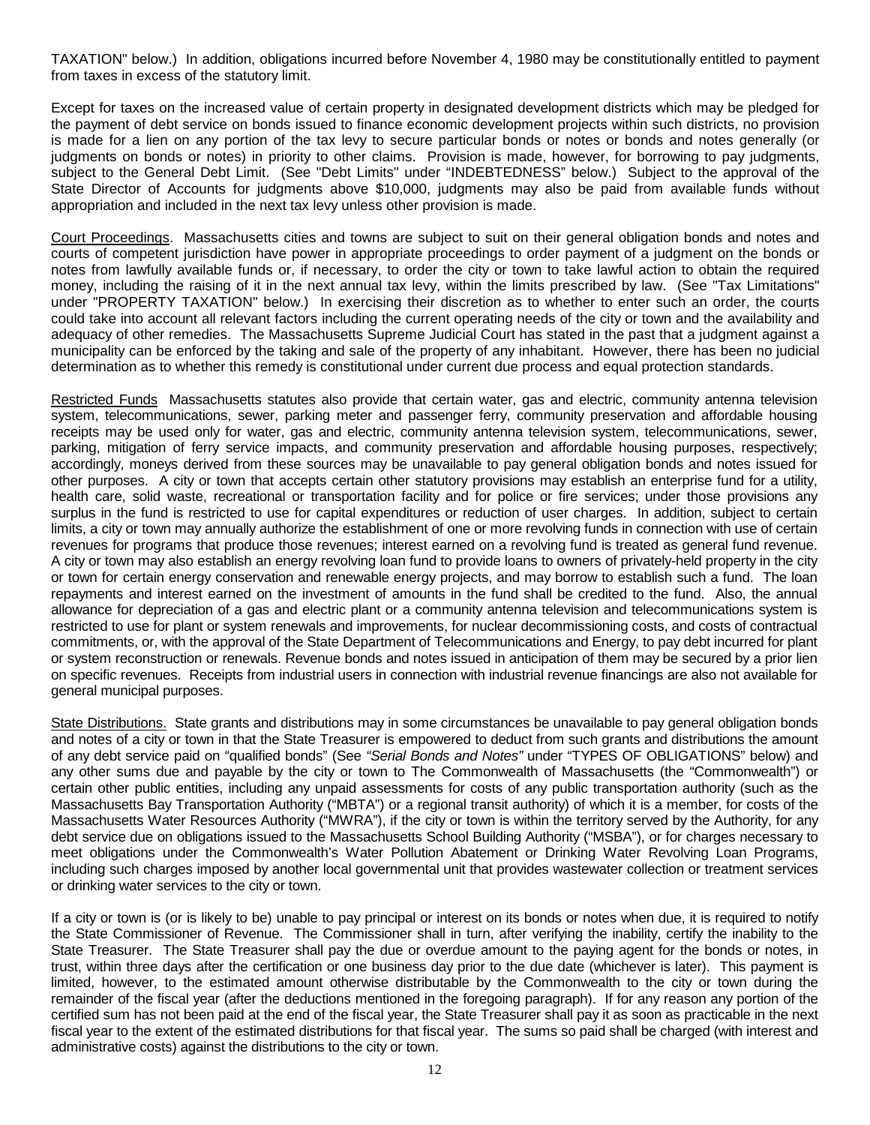TAXATION" below.) In addition, obligations incurred before November 4, 1980 may be constitutionally entitled to payment from taxes in excess of the statutory limit.

Except for taxes on the increased value of certain property in designated development districts which may be pledged for the payment of debt service on bonds issued to finance economic development projects within such districts, no provision is made for a lien on any portion of the tax levy to secure particular bonds or notes or bonds and notes generally (or judgments on bonds or notes) in priority to other claims. Provision is made, however, for borrowing to pay judgments, subject to the General Debt Limit. (See "Debt Limits" under "INDEBTEDNESS" below.) Subject to the approval of the State Director of Accounts for judgments above \$10,000, judgments may also be paid from available funds without appropriation and included in the next tax levy unless other provision is made.

Court Proceedings. Massachusetts cities and towns are subject to suit on their general obligation bonds and notes and courts of competent jurisdiction have power in appropriate proceedings to order payment of a judgment on the bonds or notes from lawfully available funds or, if necessary, to order the city or town to take lawful action to obtain the required money, including the raising of it in the next annual tax levy, within the limits prescribed by law. (See "Tax Limitations" under "PROPERTY TAXATION" below.) In exercising their discretion as to whether to enter such an order, the courts could take into account all relevant factors including the current operating needs of the city or town and the availability and adequacy of other remedies. The Massachusetts Supreme Judicial Court has stated in the past that a judgment against a municipality can be enforced by the taking and sale of the property of any inhabitant. However, there has been no judicial determination as to whether this remedy is constitutional under current due process and equal protection standards.

Restricted Funds Massachusetts statutes also provide that certain water, gas and electric, community antenna television system, telecommunications, sewer, parking meter and passenger ferry, community preservation and affordable housing receipts may be used only for water, gas and electric, community antenna television system, telecommunications, sewer, parking, mitigation of ferry service impacts, and community preservation and affordable housing purposes, respectively; accordingly, moneys derived from these sources may be unavailable to pay general obligation bonds and notes issued for other purposes. A city or town that accepts certain other statutory provisions may establish an enterprise fund for a utility, health care, solid waste, recreational or transportation facility and for police or fire services; under those provisions any surplus in the fund is restricted to use for capital expenditures or reduction of user charges. In addition, subject to certain limits, a city or town may annually authorize the establishment of one or more revolving funds in connection with use of certain revenues for programs that produce those revenues; interest earned on a revolving fund is treated as general fund revenue. A city or town may also establish an energy revolving loan fund to provide loans to owners of privately-held property in the city or town for certain energy conservation and renewable energy projects, and may borrow to establish such a fund. The loan repayments and interest earned on the investment of amounts in the fund shall be credited to the fund. Also, the annual allowance for depreciation of a gas and electric plant or a community antenna television and telecommunications system is restricted to use for plant or system renewals and improvements, for nuclear decommissioning costs, and costs of contractual commitments, or, with the approval of the State Department of Telecommunications and Energy, to pay debt incurred for plant or system reconstruction or renewals. Revenue bonds and notes issued in anticipation of them may be secured by a prior lien on specific revenues. Receipts from industrial users in connection with industrial revenue financings are also not available for general municipal purposes.

State Distributions. State grants and distributions may in some circumstances be unavailable to pay general obligation bonds and notes of a city or town in that the State Treasurer is empowered to deduct from such grants and distributions the amount of any debt service paid on "qualified bonds" (See *"Serial Bonds and Notes"* under "TYPES OF OBLIGATIONS" below) and any other sums due and payable by the city or town to The Commonwealth of Massachusetts (the "Commonwealth") or certain other public entities, including any unpaid assessments for costs of any public transportation authority (such as the Massachusetts Bay Transportation Authority ("MBTA") or a regional transit authority) of which it is a member, for costs of the Massachusetts Water Resources Authority ("MWRA"), if the city or town is within the territory served by the Authority, for any debt service due on obligations issued to the Massachusetts School Building Authority ("MSBA"), or for charges necessary to meet obligations under the Commonwealth's Water Pollution Abatement or Drinking Water Revolving Loan Programs, including such charges imposed by another local governmental unit that provides wastewater collection or treatment services or drinking water services to the city or town.

If a city or town is (or is likely to be) unable to pay principal or interest on its bonds or notes when due, it is required to notify the State Commissioner of Revenue. The Commissioner shall in turn, after verifying the inability, certify the inability to the State Treasurer. The State Treasurer shall pay the due or overdue amount to the paying agent for the bonds or notes, in trust, within three days after the certification or one business day prior to the due date (whichever is later). This payment is limited, however, to the estimated amount otherwise distributable by the Commonwealth to the city or town during the remainder of the fiscal year (after the deductions mentioned in the foregoing paragraph). If for any reason any portion of the certified sum has not been paid at the end of the fiscal year, the State Treasurer shall pay it as soon as practicable in the next fiscal year to the extent of the estimated distributions for that fiscal year. The sums so paid shall be charged (with interest and administrative costs) against the distributions to the city or town.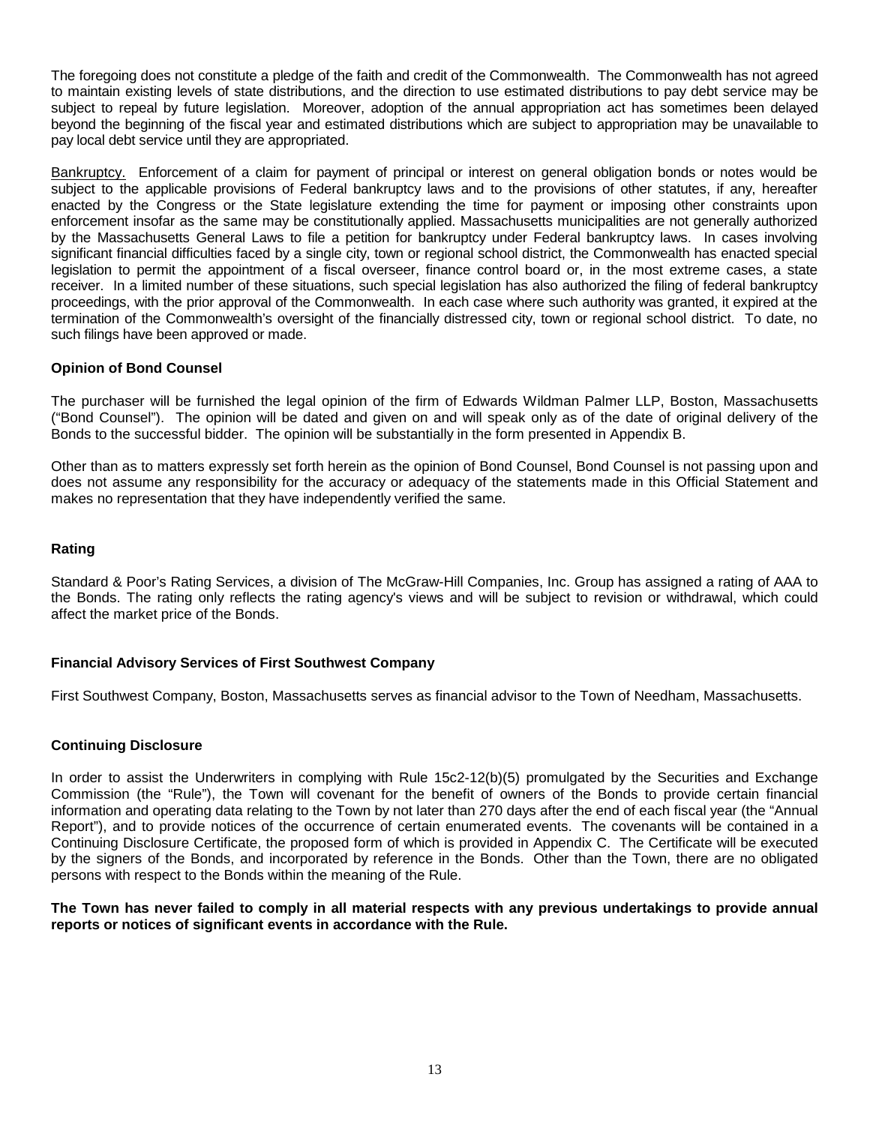The foregoing does not constitute a pledge of the faith and credit of the Commonwealth. The Commonwealth has not agreed to maintain existing levels of state distributions, and the direction to use estimated distributions to pay debt service may be subject to repeal by future legislation. Moreover, adoption of the annual appropriation act has sometimes been delayed beyond the beginning of the fiscal year and estimated distributions which are subject to appropriation may be unavailable to pay local debt service until they are appropriated.

Bankruptcy. Enforcement of a claim for payment of principal or interest on general obligation bonds or notes would be subject to the applicable provisions of Federal bankruptcy laws and to the provisions of other statutes, if any, hereafter enacted by the Congress or the State legislature extending the time for payment or imposing other constraints upon enforcement insofar as the same may be constitutionally applied. Massachusetts municipalities are not generally authorized by the Massachusetts General Laws to file a petition for bankruptcy under Federal bankruptcy laws. In cases involving significant financial difficulties faced by a single city, town or regional school district, the Commonwealth has enacted special legislation to permit the appointment of a fiscal overseer, finance control board or, in the most extreme cases, a state receiver. In a limited number of these situations, such special legislation has also authorized the filing of federal bankruptcy proceedings, with the prior approval of the Commonwealth. In each case where such authority was granted, it expired at the termination of the Commonwealth's oversight of the financially distressed city, town or regional school district. To date, no such filings have been approved or made.

## **Opinion of Bond Counsel**

The purchaser will be furnished the legal opinion of the firm of Edwards Wildman Palmer LLP, Boston, Massachusetts ("Bond Counsel"). The opinion will be dated and given on and will speak only as of the date of original delivery of the Bonds to the successful bidder. The opinion will be substantially in the form presented in Appendix B.

Other than as to matters expressly set forth herein as the opinion of Bond Counsel, Bond Counsel is not passing upon and does not assume any responsibility for the accuracy or adequacy of the statements made in this Official Statement and makes no representation that they have independently verified the same.

#### **Rating**

Standard & Poor's Rating Services, a division of The McGraw-Hill Companies, Inc. Group has assigned a rating of AAA to the Bonds. The rating only reflects the rating agency's views and will be subject to revision or withdrawal, which could affect the market price of the Bonds.

#### **Financial Advisory Services of First Southwest Company**

First Southwest Company, Boston, Massachusetts serves as financial advisor to the Town of Needham, Massachusetts.

#### **Continuing Disclosure**

In order to assist the Underwriters in complying with Rule 15c2-12(b)(5) promulgated by the Securities and Exchange Commission (the "Rule"), the Town will covenant for the benefit of owners of the Bonds to provide certain financial information and operating data relating to the Town by not later than 270 days after the end of each fiscal year (the "Annual Report"), and to provide notices of the occurrence of certain enumerated events. The covenants will be contained in a Continuing Disclosure Certificate, the proposed form of which is provided in Appendix C. The Certificate will be executed by the signers of the Bonds, and incorporated by reference in the Bonds. Other than the Town, there are no obligated persons with respect to the Bonds within the meaning of the Rule.

## **The Town has never failed to comply in all material respects with any previous undertakings to provide annual reports or notices of significant events in accordance with the Rule.**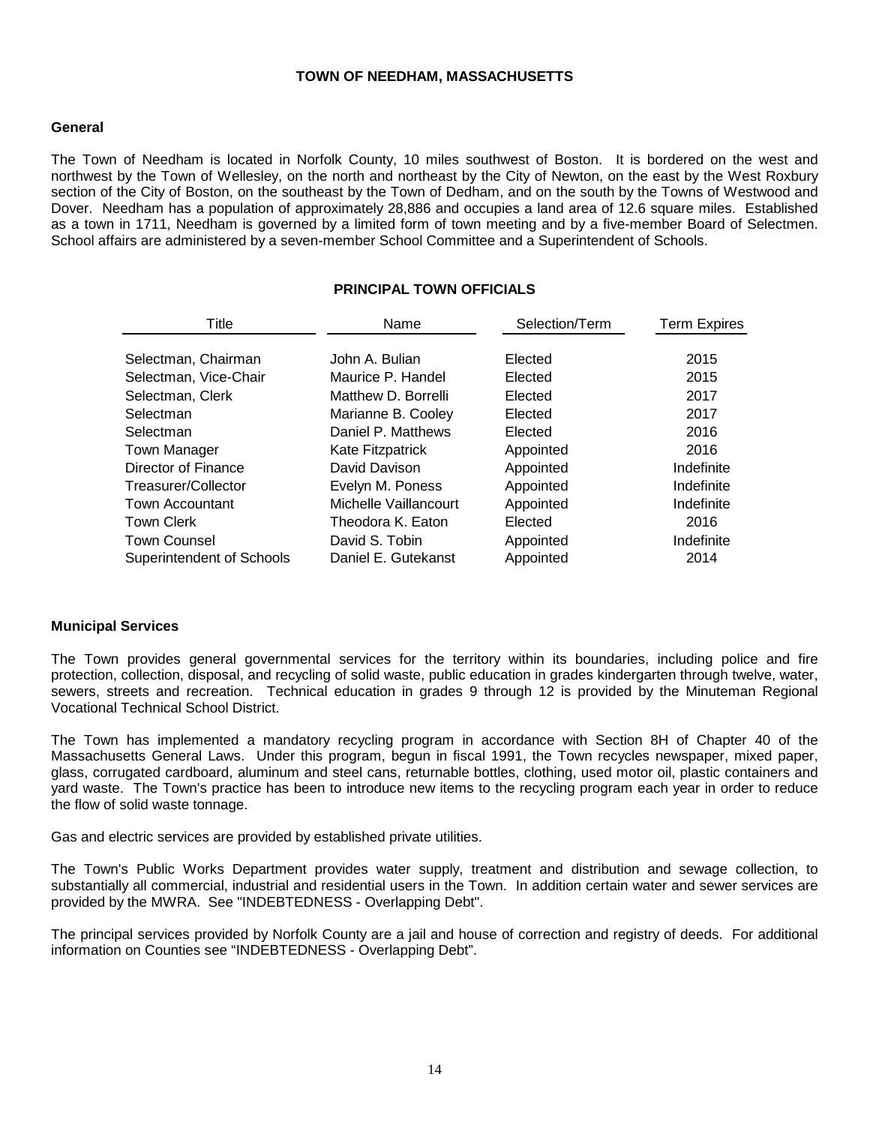#### **TOWN OF NEEDHAM, MASSACHUSETTS**

#### **General**

The Town of Needham is located in Norfolk County, 10 miles southwest of Boston. It is bordered on the west and northwest by the Town of Wellesley, on the north and northeast by the City of Newton, on the east by the West Roxbury section of the City of Boston, on the southeast by the Town of Dedham, and on the south by the Towns of Westwood and Dover. Needham has a population of approximately 28,886 and occupies a land area of 12.6 square miles. Established as a town in 1711, Needham is governed by a limited form of town meeting and by a five-member Board of Selectmen. School affairs are administered by a seven-member School Committee and a Superintendent of Schools.

# **PRINCIPAL TOWN OFFICIALS**

| Name                  | Selection/Term | <b>Term Expires</b> |
|-----------------------|----------------|---------------------|
| John A. Bulian        | Elected        | 2015                |
| Maurice P. Handel     | Elected        | 2015                |
| Matthew D. Borrelli   | Elected        | 2017                |
| Marianne B. Cooley    | Elected        | 2017                |
| Daniel P. Matthews    | Elected        | 2016                |
| Kate Fitzpatrick      | Appointed      | 2016                |
| David Davison         | Appointed      | Indefinite          |
| Evelyn M. Poness      | Appointed      | Indefinite          |
| Michelle Vaillancourt | Appointed      | Indefinite          |
| Theodora K. Eaton     | Elected        | 2016                |
| David S. Tobin        | Appointed      | Indefinite          |
| Daniel E. Gutekanst   | Appointed      | 2014                |
|                       |                |                     |

#### **Municipal Services**

The Town provides general governmental services for the territory within its boundaries, including police and fire protection, collection, disposal, and recycling of solid waste, public education in grades kindergarten through twelve, water, sewers, streets and recreation. Technical education in grades 9 through 12 is provided by the Minuteman Regional Vocational Technical School District.

The Town has implemented a mandatory recycling program in accordance with Section 8H of Chapter 40 of the Massachusetts General Laws. Under this program, begun in fiscal 1991, the Town recycles newspaper, mixed paper, glass, corrugated cardboard, aluminum and steel cans, returnable bottles, clothing, used motor oil, plastic containers and yard waste. The Town's practice has been to introduce new items to the recycling program each year in order to reduce the flow of solid waste tonnage.

Gas and electric services are provided by established private utilities.

The Town's Public Works Department provides water supply, treatment and distribution and sewage collection, to substantially all commercial, industrial and residential users in the Town. In addition certain water and sewer services are provided by the MWRA. See "INDEBTEDNESS - Overlapping Debt".

The principal services provided by Norfolk County are a jail and house of correction and registry of deeds. For additional information on Counties see "INDEBTEDNESS - Overlapping Debt".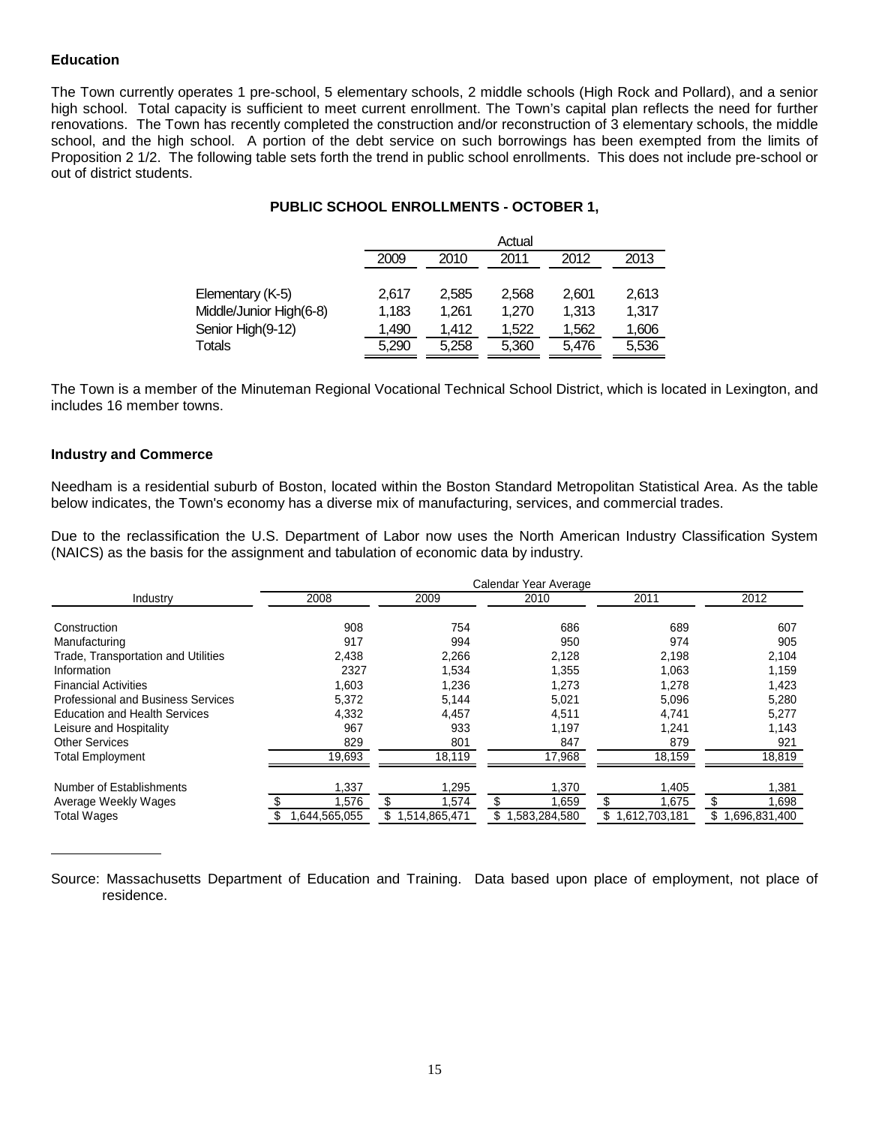### **Education**

The Town currently operates 1 pre-school, 5 elementary schools, 2 middle schools (High Rock and Pollard), and a senior high school. Total capacity is sufficient to meet current enrollment. The Town's capital plan reflects the need for further renovations. The Town has recently completed the construction and/or reconstruction of 3 elementary schools, the middle school, and the high school. A portion of the debt service on such borrowings has been exempted from the limits of Proposition 2 1/2. The following table sets forth the trend in public school enrollments. This does not include pre-school or out of district students.

# **PUBLIC SCHOOL ENROLLMENTS - OCTOBER 1,**

|                         | Actual |                              |       |       |       |  |  |  |  |
|-------------------------|--------|------------------------------|-------|-------|-------|--|--|--|--|
|                         | 2009   | 2013<br>2012<br>2011<br>2010 |       |       |       |  |  |  |  |
|                         |        |                              |       |       |       |  |  |  |  |
| Elementary (K-5)        | 2.617  | 2.585                        | 2.568 | 2.601 | 2,613 |  |  |  |  |
| Middle/Junior High(6-8) | 1.183  | 1.261                        | 1.270 | 1.313 | 1.317 |  |  |  |  |
| Senior High(9-12)       | 1,490  | 1.412                        | 1.522 | 1.562 | 1,606 |  |  |  |  |
| Totals                  | 5.290  | 5.258                        | 5.360 | 5.476 | 5,536 |  |  |  |  |

The Town is a member of the Minuteman Regional Vocational Technical School District, which is located in Lexington, and includes 16 member towns.

#### **Industry and Commerce**

Needham is a residential suburb of Boston, located within the Boston Standard Metropolitan Statistical Area. As the table below indicates, the Town's economy has a diverse mix of manufacturing, services, and commercial trades.

Due to the reclassification the U.S. Department of Labor now uses the North American Industry Classification System (NAICS) as the basis for the assignment and tabulation of economic data by industry.

|                                           | Calendar Year Average |                      |                    |                       |                    |  |  |  |  |
|-------------------------------------------|-----------------------|----------------------|--------------------|-----------------------|--------------------|--|--|--|--|
| Industry                                  | 2008                  | 2009                 | 2010               | 2011                  | 2012               |  |  |  |  |
| Construction                              | 908                   | 754                  | 686                | 689                   | 607                |  |  |  |  |
| Manufacturing                             | 917                   | 994                  | 950                | 974                   | 905                |  |  |  |  |
| Trade, Transportation and Utilities       | 2,438                 | 2,266                | 2,128              | 2,198                 | 2,104              |  |  |  |  |
| Information                               | 2327                  | 1,534                | 1,355              | 1,063                 | 1,159              |  |  |  |  |
| <b>Financial Activities</b>               | 1,603                 | 1,236                | 1,273              | 1,278                 | 1,423              |  |  |  |  |
| <b>Professional and Business Services</b> | 5,372                 | 5.144                | 5,021              | 5,096                 | 5,280              |  |  |  |  |
| <b>Education and Health Services</b>      | 4,332                 | 4,457                | 4,511              | 4,741                 | 5,277              |  |  |  |  |
| Leisure and Hospitality                   | 967                   | 933                  | 1,197              | 1.241                 | 1,143              |  |  |  |  |
| <b>Other Services</b>                     | 829                   | 801                  | 847                | 879                   | 921                |  |  |  |  |
| <b>Total Employment</b>                   | 19,693                | 18,119               | 17,968             | 18,159                | 18,819             |  |  |  |  |
| Number of Establishments                  | 1,337                 | 1,295                | 1,370              | 1,405                 | 1,381              |  |  |  |  |
| Average Weekly Wages                      | 1,576                 | 1,574                | 1,659              | 1,675                 | 1,698              |  |  |  |  |
| <b>Total Wages</b>                        | .644,565,055          | 514,865,471. ا<br>S. | 1,583,284,580<br>S | 612,703,181. ا<br>\$1 | 1,696,831,400<br>S |  |  |  |  |

Source: Massachusetts Department of Education and Training. Data based upon place of employment, not place of residence.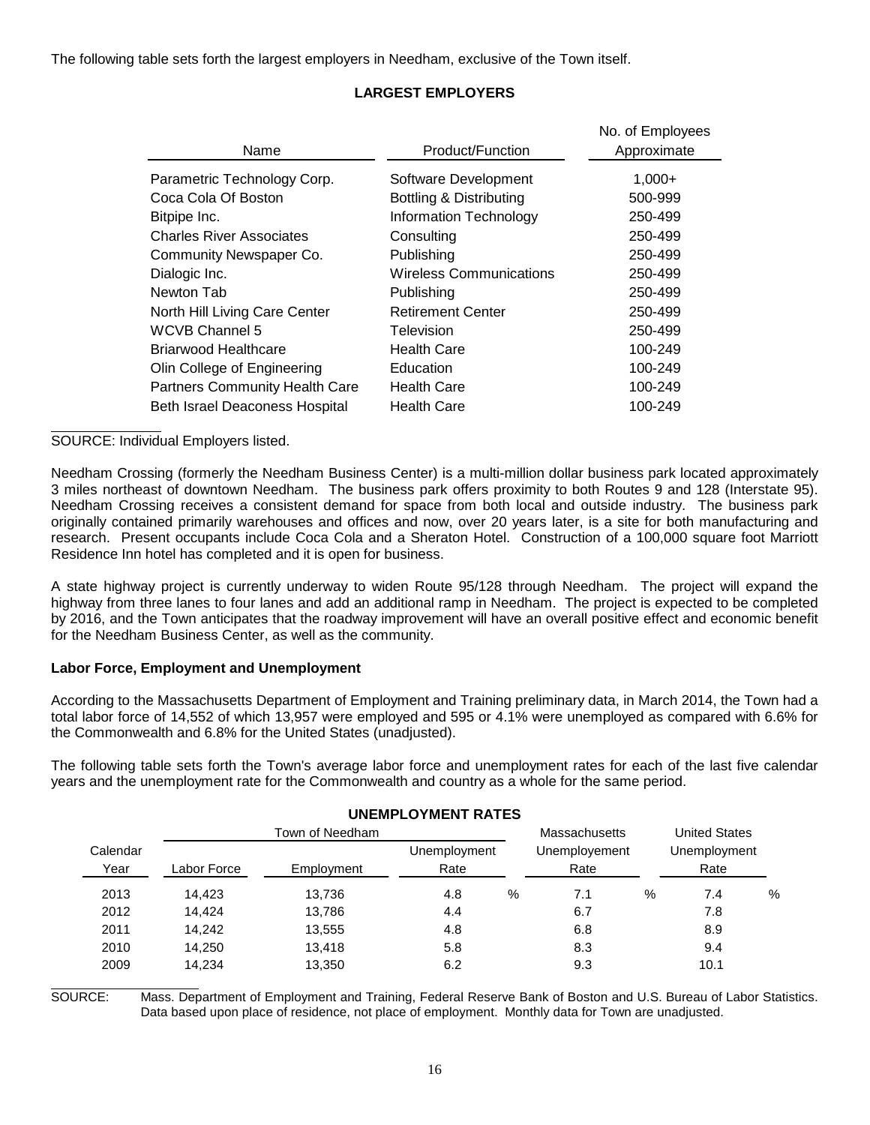The following table sets forth the largest employers in Needham, exclusive of the Town itself.

|                                       |                                | No. of Employees |
|---------------------------------------|--------------------------------|------------------|
| Name                                  | Product/Function               | Approximate      |
| Parametric Technology Corp.           | Software Development           | $1,000+$         |
| Coca Cola Of Boston                   | Bottling & Distributing        | 500-999          |
| Bitpipe Inc.                          | Information Technology         | 250-499          |
| <b>Charles River Associates</b>       | Consulting                     | 250-499          |
| Community Newspaper Co.               | Publishing                     | 250-499          |
| Dialogic Inc.                         | <b>Wireless Communications</b> | 250-499          |
| Newton Tab                            | Publishing                     | 250-499          |
| North Hill Living Care Center         | <b>Retirement Center</b>       | 250-499          |
| WCVB Channel 5                        | Television                     | 250-499          |
| Briarwood Healthcare                  | <b>Health Care</b>             | 100-249          |
| Olin College of Engineering           | Education                      | 100-249          |
| <b>Partners Community Health Care</b> | Health Care                    | 100-249          |
| <b>Beth Israel Deaconess Hospital</b> | <b>Health Care</b>             | 100-249          |

# **LARGEST EMPLOYERS**

SOURCE: Individual Employers listed.

Needham Crossing (formerly the Needham Business Center) is a multi-million dollar business park located approximately 3 miles northeast of downtown Needham. The business park offers proximity to both Routes 9 and 128 (Interstate 95). Needham Crossing receives a consistent demand for space from both local and outside industry. The business park originally contained primarily warehouses and offices and now, over 20 years later, is a site for both manufacturing and research. Present occupants include Coca Cola and a Sheraton Hotel. Construction of a 100,000 square foot Marriott Residence Inn hotel has completed and it is open for business.

A state highway project is currently underway to widen Route 95/128 through Needham. The project will expand the highway from three lanes to four lanes and add an additional ramp in Needham. The project is expected to be completed by 2016, and the Town anticipates that the roadway improvement will have an overall positive effect and economic benefit for the Needham Business Center, as well as the community.

#### **Labor Force, Employment and Unemployment**

According to the Massachusetts Department of Employment and Training preliminary data, in March 2014, the Town had a total labor force of 14,552 of which 13,957 were employed and 595 or 4.1% were unemployed as compared with 6.6% for the Commonwealth and 6.8% for the United States (unadjusted).

The following table sets forth the Town's average labor force and unemployment rates for each of the last five calendar years and the unemployment rate for the Commonwealth and country as a whole for the same period.

|          |             |                 | UNLIVII LUTIVILIVI INATLU |   |               |   |                      |   |
|----------|-------------|-----------------|---------------------------|---|---------------|---|----------------------|---|
|          |             | Town of Needham |                           |   | Massachusetts |   | <b>United States</b> |   |
| Calendar |             |                 | Unemployment              |   | Unemployement |   | Unemployment         |   |
| Year     | Labor Force | Employment      | Rate                      |   | Rate          |   | Rate                 |   |
| 2013     | 14.423      | 13,736          | 4.8                       | % | 7.1           | % | 7.4                  | % |
| 2012     | 14.424      | 13,786          | 4.4                       |   | 6.7           |   | 7.8                  |   |
| 2011     | 14.242      | 13,555          | 4.8                       |   | 6.8           |   | 8.9                  |   |
| 2010     | 14.250      | 13,418          | 5.8                       |   | 8.3           |   | 9.4                  |   |
| 2009     | 14.234      | 13,350          | 6.2                       |   | 9.3           |   | 10.1                 |   |
|          |             |                 |                           |   |               |   |                      |   |

# **UNEMPLOYMENT PATES**

SOURCE: Mass. Department of Employment and Training, Federal Reserve Bank of Boston and U.S. Bureau of Labor Statistics. Data based upon place of residence, not place of employment. Monthly data for Town are unadjusted.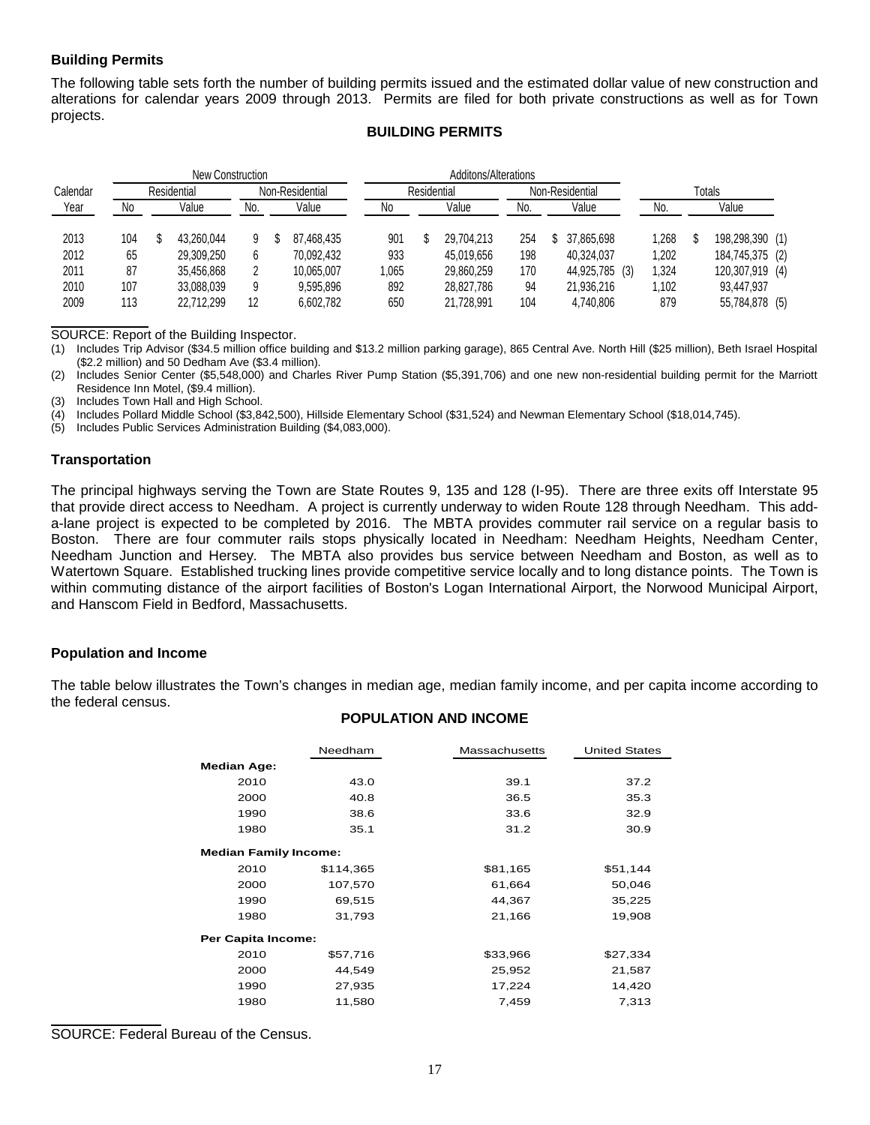# **Building Permits**

The following table sets forth the number of building permits issued and the estimated dollar value of new construction and alterations for calendar years 2009 through 2013. Permits are filed for both private constructions as well as for Town projects.

## **BUILDING PERMITS**

|             |     | New Construction |     |                 |            | Additons/Alterations |  |            |                 |  |                |               |       |  |                 |  |
|-------------|-----|------------------|-----|-----------------|------------|----------------------|--|------------|-----------------|--|----------------|---------------|-------|--|-----------------|--|
| Calendar    |     | Residential      |     | Non-Residential |            | Residential          |  |            | Non-Residential |  |                | <b>Totals</b> |       |  |                 |  |
| <u>Year</u> | No  | Value            | No. |                 | Value      | Νo                   |  | Value      | No.             |  | Value          |               | No.   |  | Value           |  |
| 2013        | 104 | 43.260.044       |     |                 | 87.468.435 | 901                  |  | 29.704.213 | 254             |  | 37.865.698     |               | 1,268 |  | 198,298,390 (1) |  |
| 2012        | 65  | 29.309.250       |     |                 | 70.092.432 | 933                  |  | 45.019.656 | 198             |  | 40.324.037     |               | 1,202 |  | 184,745,375 (2) |  |
| 2011        | 87  | 35.456.868       |     |                 | 10.065.007 | 1.065                |  | 29,860,259 | 170             |  | 44,925,785 (3) |               | 1,324 |  | 120,307,919 (4) |  |
| 2010        | 107 | 33,088,039       | 9   |                 | 9,595,896  | 892                  |  | 28.827.786 | 94              |  | 21,936,216     |               | 1.102 |  | 93.447.937      |  |
| 2009        | 113 | 22.712.299       | 12  |                 | 6.602.782  | 650                  |  | 21.728.991 | 104             |  | 4.740.806      |               | 879   |  | 55,784,878 (5)  |  |

SOURCE: Report of the Building Inspector.

(1) Includes Trip Advisor (\$34.5 million office building and \$13.2 million parking garage), 865 Central Ave. North Hill (\$25 million), Beth Israel Hospital (\$2.2 million) and 50 Dedham Ave (\$3.4 million).

(2) Includes Senior Center (\$5,548,000) and Charles River Pump Station (\$5,391,706) and one new non-residential building permit for the Marriott Residence Inn Motel, (\$9.4 million).

(3) Includes Town Hall and High School.

(4) Includes Pollard Middle School (\$3,842,500), Hillside Elementary School (\$31,524) and Newman Elementary School (\$18,014,745).

(5) Includes Public Services Administration Building (\$4,083,000).

#### **Transportation**

The principal highways serving the Town are State Routes 9, 135 and 128 (I-95). There are three exits off Interstate 95 that provide direct access to Needham. A project is currently underway to widen Route 128 through Needham. This adda-lane project is expected to be completed by 2016. The MBTA provides commuter rail service on a regular basis to Boston. There are four commuter rails stops physically located in Needham: Needham Heights, Needham Center, Needham Junction and Hersey. The MBTA also provides bus service between Needham and Boston, as well as to Watertown Square. Established trucking lines provide competitive service locally and to long distance points. The Town is within commuting distance of the airport facilities of Boston's Logan International Airport, the Norwood Municipal Airport, and Hanscom Field in Bedford, Massachusetts.

#### **Population and Income**

The table below illustrates the Town's changes in median age, median family income, and per capita income according to the federal census.

#### **POPULATION AND INCOME**

|                              | Needham   | <b>Massachusetts</b> | <b>United States</b> |  |  |  |  |
|------------------------------|-----------|----------------------|----------------------|--|--|--|--|
| <b>Median Age:</b>           |           |                      |                      |  |  |  |  |
| 2010                         | 43.0      | 39.1                 | 37.2                 |  |  |  |  |
| 2000                         | 40.8      | 36.5                 | 35.3                 |  |  |  |  |
| 1990                         | 38.6      | 33.6                 | 32.9                 |  |  |  |  |
| 1980                         | 35.1      | 31.2                 | 30.9                 |  |  |  |  |
| <b>Median Family Income:</b> |           |                      |                      |  |  |  |  |
| 2010                         | \$114,365 | \$81,165             | \$51,144             |  |  |  |  |
| 2000                         | 107,570   | 61,664               | 50,046               |  |  |  |  |
| 1990                         | 69,515    | 44,367               | 35,225               |  |  |  |  |
| 1980                         | 31,793    | 21,166               | 19,908               |  |  |  |  |
| Per Capita Income:           |           |                      |                      |  |  |  |  |
| 2010                         | \$57,716  | \$33,966             | \$27,334             |  |  |  |  |
| 2000                         | 44,549    | 25,952               | 21,587               |  |  |  |  |
| 1990                         | 27,935    | 17,224               | 14,420               |  |  |  |  |
| 1980                         | 11,580    | 7,459                | 7,313                |  |  |  |  |

SOURCE: Federal Bureau of the Census.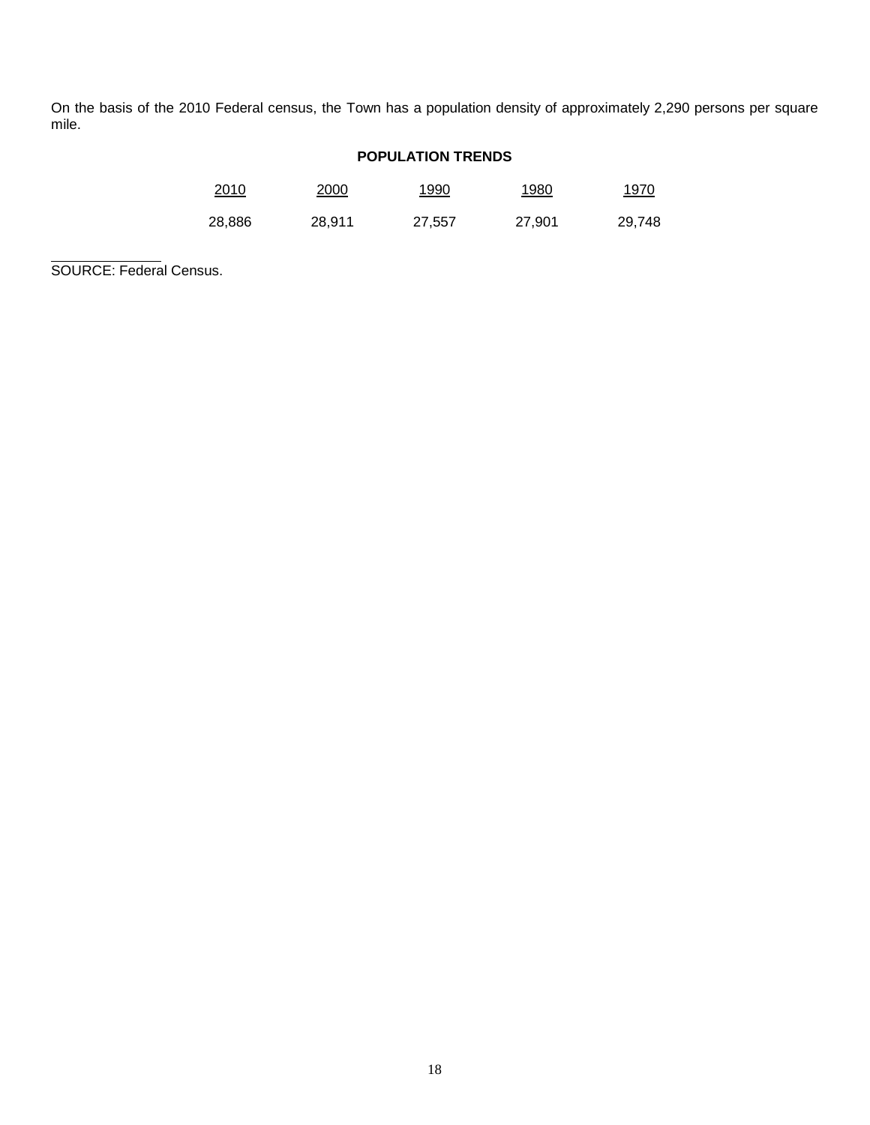On the basis of the 2010 Federal census, the Town has a population density of approximately 2,290 persons per square mile.

# **POPULATION TRENDS**

| <u>2010</u> | <u>2000</u> | 1990   | <u> 1980</u> | <u> 1970</u> |
|-------------|-------------|--------|--------------|--------------|
| 28,886      | 28,911      | 27,557 | 27,901       | 29,748       |

SOURCE: Federal Census.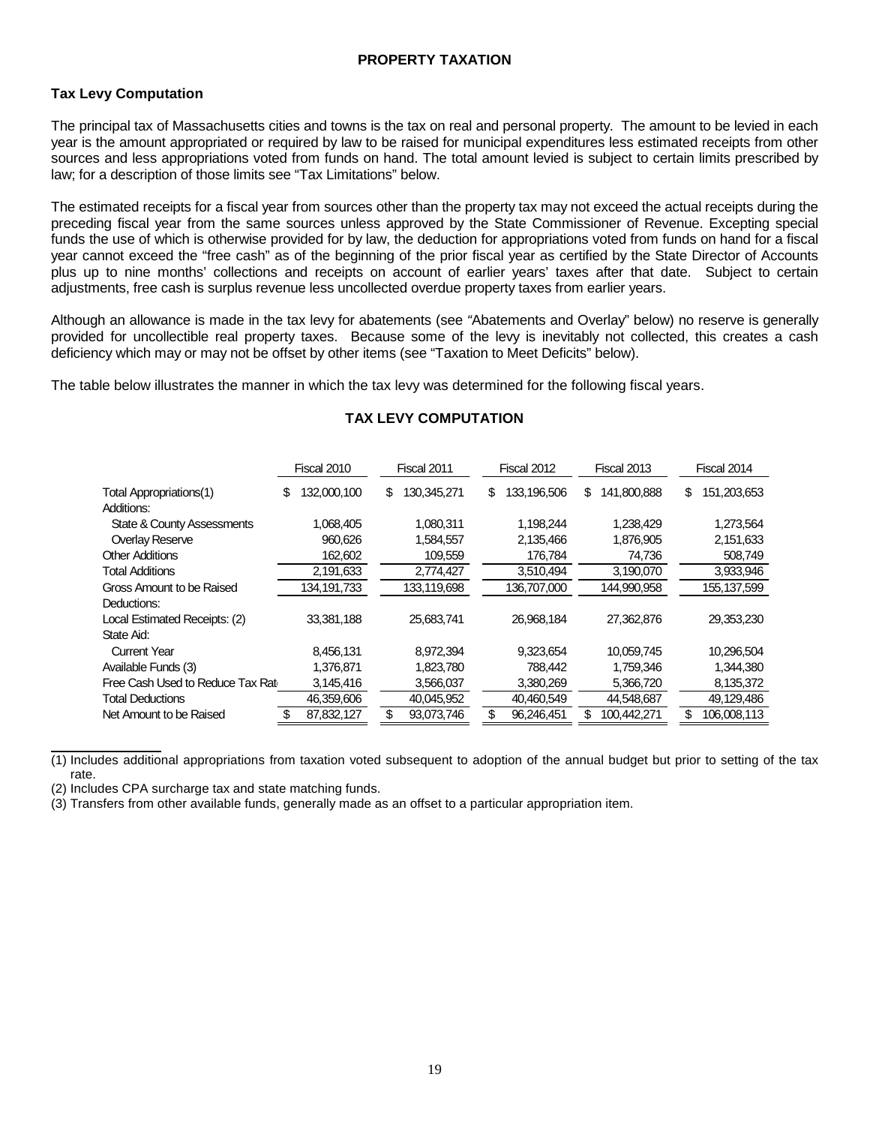# **PROPERTY TAXATION**

## **Tax Levy Computation**

The principal tax of Massachusetts cities and towns is the tax on real and personal property. The amount to be levied in each year is the amount appropriated or required by law to be raised for municipal expenditures less estimated receipts from other sources and less appropriations voted from funds on hand. The total amount levied is subject to certain limits prescribed by law; for a description of those limits see "Tax Limitations" below.

The estimated receipts for a fiscal year from sources other than the property tax may not exceed the actual receipts during the preceding fiscal year from the same sources unless approved by the State Commissioner of Revenue. Excepting special funds the use of which is otherwise provided for by law, the deduction for appropriations voted from funds on hand for a fiscal year cannot exceed the "free cash" as of the beginning of the prior fiscal year as certified by the State Director of Accounts plus up to nine months' collections and receipts on account of earlier years' taxes after that date. Subject to certain adjustments, free cash is surplus revenue less uncollected overdue property taxes from earlier years.

Although an allowance is made in the tax levy for abatements (see *"*Abatements and Overlay" below) no reserve is generally provided for uncollectible real property taxes. Because some of the levy is inevitably not collected, this creates a cash deficiency which may or may not be offset by other items (see "Taxation to Meet Deficits" below).

The table below illustrates the manner in which the tax levy was determined for the following fiscal years.

|                                  | Fiscal 2010      | Fiscal 2011       | Fiscal 2012       | Fiscal 2013       | Fiscal 2014        |
|----------------------------------|------------------|-------------------|-------------------|-------------------|--------------------|
| Total Appropriations(1)          | 132,000,100<br>S | \$<br>130,345,271 | 133,196,506<br>\$ | 141,800,888<br>\$ | 151,203,653<br>\$  |
| Additions:                       |                  |                   |                   |                   |                    |
| State & County Assessments       | 1,068,405        | 1,080,311         | 1,198,244         | 1,238,429         | 1,273,564          |
| Overlay Reserve                  | 960,626          | 1,584,557         | 2,135,466         | 1,876,905         | 2,151,633          |
| <b>Other Additions</b>           | 162,602          | 109,559           | 176,784           | 74,736            | 508,749            |
| <b>Total Additions</b>           | 2,191,633        | 2,774,427         | 3,510,494         | 3,190,070         | 3,933,946          |
| Gross Amount to be Raised        | 134,191,733      | 133,119,698       | 136,707,000       | 144,990,958       | 155, 137, 599      |
| Deductions:                      |                  |                   |                   |                   |                    |
| Local Estimated Receipts: (2)    | 33,381,188       | 25,683,741        | 26,968,184        | 27,362,876        | 29,353,230         |
| State Aid:                       |                  |                   |                   |                   |                    |
| Current Year                     | 8,456,131        | 8,972,394         | 9,323,654         | 10,059,745        | 10,296,504         |
| Available Funds (3)              | 1,376,871        | 1,823,780         | 788,442           | 1,759,346         | 1,344,380          |
| Free Cash Used to Reduce Tax Rat | 3,145,416        | 3,566,037         | 3,380,269         | 5,366,720         | 8,135,372          |
| <b>Total Deductions</b>          | 46,359,606       | 40,045,952        | 40,460,549        | 44,548,687        | 49,129,486         |
| Net Amount to be Raised          | 87,832,127<br>S  | \$<br>93,073,746  | \$<br>96,246,451  | \$<br>100,442,271 | 106.008.113<br>\$. |

# **TAX LEVY COMPUTATION**

(1) Includes additional appropriations from taxation voted subsequent to adoption of the annual budget but prior to setting of the tax rate.

(2) Includes CPA surcharge tax and state matching funds.

(3) Transfers from other available funds, generally made as an offset to a particular appropriation item.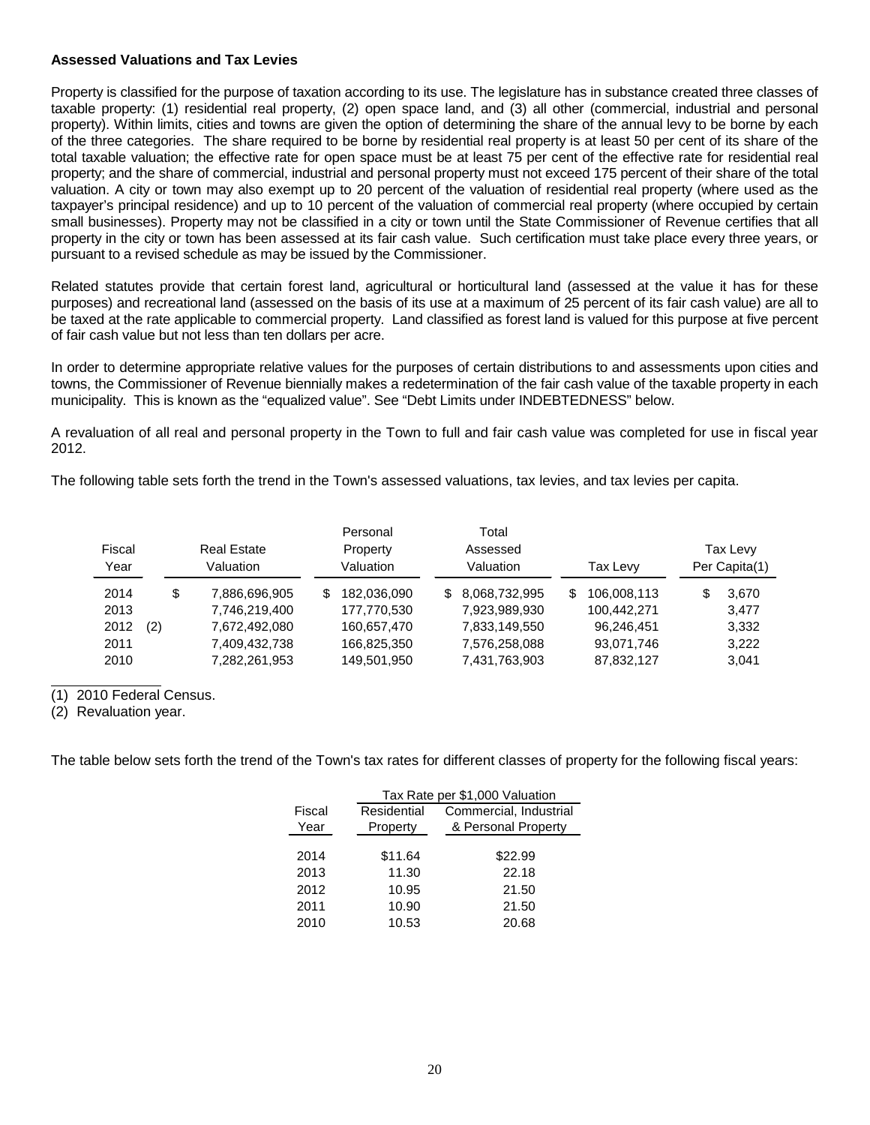#### **Assessed Valuations and Tax Levies**

Property is classified for the purpose of taxation according to its use. The legislature has in substance created three classes of taxable property: (1) residential real property, (2) open space land, and (3) all other (commercial, industrial and personal property). Within limits, cities and towns are given the option of determining the share of the annual levy to be borne by each of the three categories. The share required to be borne by residential real property is at least 50 per cent of its share of the total taxable valuation; the effective rate for open space must be at least 75 per cent of the effective rate for residential real property; and the share of commercial, industrial and personal property must not exceed 175 percent of their share of the total valuation. A city or town may also exempt up to 20 percent of the valuation of residential real property (where used as the taxpayer's principal residence) and up to 10 percent of the valuation of commercial real property (where occupied by certain small businesses). Property may not be classified in a city or town until the State Commissioner of Revenue certifies that all property in the city or town has been assessed at its fair cash value. Such certification must take place every three years, or pursuant to a revised schedule as may be issued by the Commissioner.

Related statutes provide that certain forest land, agricultural or horticultural land (assessed at the value it has for these purposes) and recreational land (assessed on the basis of its use at a maximum of 25 percent of its fair cash value) are all to be taxed at the rate applicable to commercial property. Land classified as forest land is valued for this purpose at five percent of fair cash value but not less than ten dollars per acre.

In order to determine appropriate relative values for the purposes of certain distributions to and assessments upon cities and towns, the Commissioner of Revenue biennially makes a redetermination of the fair cash value of the taxable property in each municipality. This is known as the "equalized value". See "Debt Limits under INDEBTEDNESS" below.

A revaluation of all real and personal property in the Town to full and fair cash value was completed for use in fiscal year 2012.

The following table sets forth the trend in the Town's assessed valuations, tax levies, and tax levies per capita.

| Fiscal<br>Year |     | <b>Real Estate</b><br>Valuation |   | Personal<br>Property<br>Valuation | Total<br>Assessed<br>Valuation |   | Tax Levy    | Tax Levy<br>Per Capita(1) |
|----------------|-----|---------------------------------|---|-----------------------------------|--------------------------------|---|-------------|---------------------------|
| 2014           | \$  | 7,886,696,905                   | S | 182,036,090                       | \$ 8,068,732,995               | S | 106,008,113 | 3,670                     |
| 2013           |     | 7,746,219,400                   |   | 177,770,530                       | 7,923,989,930                  |   | 100,442,271 | 3,477                     |
| 2012           | (2) | 7,672,492,080                   |   | 160,657,470                       | 7,833,149,550                  |   | 96,246,451  | 3,332                     |
| 2011           |     | 7,409,432,738                   |   | 166,825,350                       | 7,576,258,088                  |   | 93,071,746  | 3,222                     |
| 2010           |     | 7,282,261,953                   |   | 149,501,950                       | 7,431,763,903                  |   | 87,832,127  | 3,041                     |

(1) 2010 Federal Census.

(2) Revaluation year.

The table below sets forth the trend of the Town's tax rates for different classes of property for the following fiscal years:

|        | Tax Rate per \$1,000 Valuation |                        |  |  |  |  |  |  |
|--------|--------------------------------|------------------------|--|--|--|--|--|--|
| Fiscal | Residential                    | Commercial, Industrial |  |  |  |  |  |  |
| Year   | Property                       | & Personal Property    |  |  |  |  |  |  |
|        |                                |                        |  |  |  |  |  |  |
| 2014   | \$11.64                        | \$22.99                |  |  |  |  |  |  |
| 2013   | 11.30                          | 22.18                  |  |  |  |  |  |  |
| 2012   | 10.95                          | 21.50                  |  |  |  |  |  |  |
| 2011   | 10.90                          | 21.50                  |  |  |  |  |  |  |
| 2010   | 10.53                          | 20.68                  |  |  |  |  |  |  |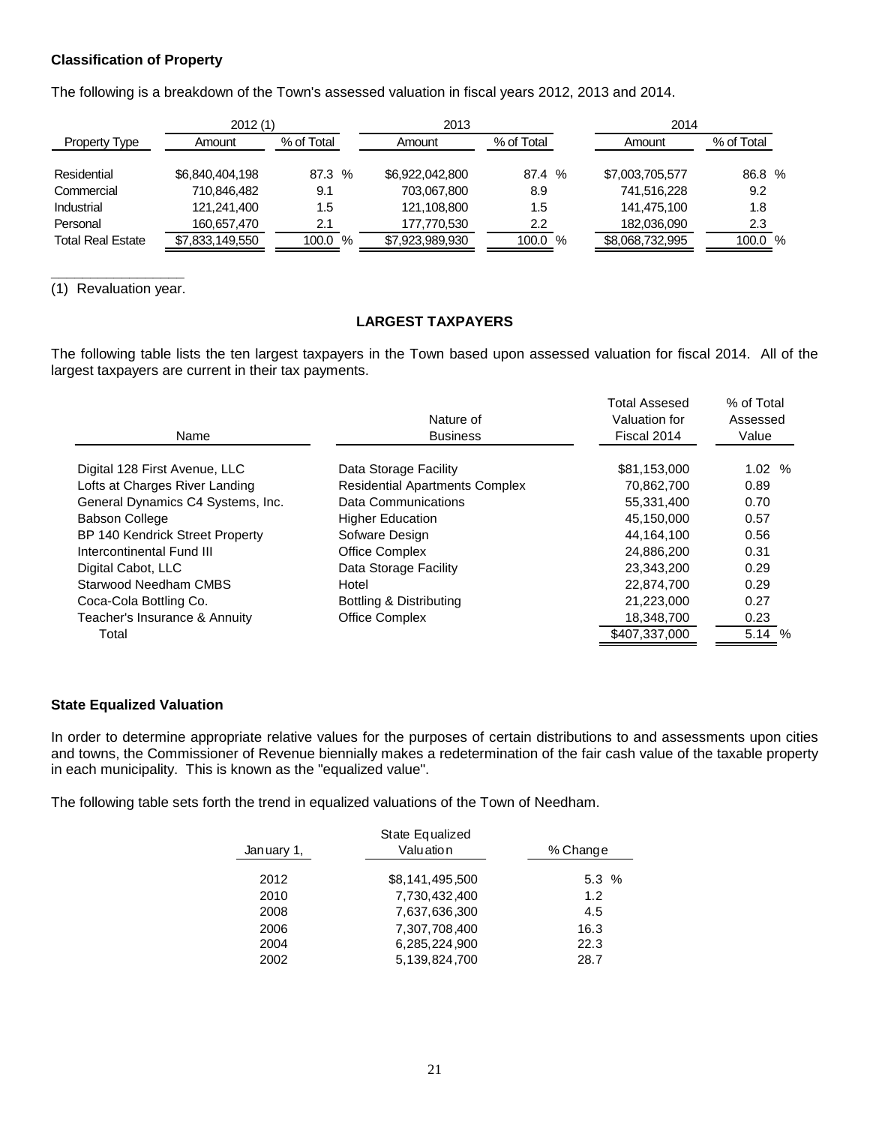## **Classification of Property**

The following is a breakdown of the Town's assessed valuation in fiscal years 2012, 2013 and 2014.

| 2012(1)                  |                 |            | 2013            |                  | 2014            |            |  |
|--------------------------|-----------------|------------|-----------------|------------------|-----------------|------------|--|
| Property Type            | Amount          | % of Total | Amount          | % of Total       | Amount          | % of Total |  |
| Residential              | \$6,840,404,198 | 87.3 %     | \$6,922,042,800 | 87.4 %           | \$7,003,705,577 | 86.8 %     |  |
| Commercial               | 710,846,482     | 9.1        | 703,067,800     | 8.9              | 741,516,228     | 9.2        |  |
| Industrial               | 121,241,400     | 1.5        | 121,108,800     | 1.5              | 141,475,100     | 1.8        |  |
| Personal                 | 160,657,470     | 2.1        | 177,770,530     | $2.2\phantom{0}$ | 182,036,090     | 2.3        |  |
| <b>Total Real Estate</b> | \$7,833,149,550 | 100.0<br>% | \$7,923,989,930 | 100.0 %          | \$8,068,732,995 | 100.0 %    |  |

**\_\_\_\_\_\_\_\_\_\_\_\_\_\_\_\_\_** (1) Revaluation year.

# **LARGEST TAXPAYERS**

The following table lists the ten largest taxpayers in the Town based upon assessed valuation for fiscal 2014. All of the largest taxpayers are current in their tax payments.

| Name                              | Nature of<br><b>Business</b>          | <b>Total Assesed</b><br>Valuation for<br>Fiscal 2014 | % of Total<br>Assessed<br>Value |
|-----------------------------------|---------------------------------------|------------------------------------------------------|---------------------------------|
| Digital 128 First Avenue, LLC     | Data Storage Facility                 | \$81,153,000                                         | 1.02%                           |
| Lofts at Charges River Landing    | <b>Residential Apartments Complex</b> | 70.862.700                                           | 0.89                            |
| General Dynamics C4 Systems, Inc. | Data Communications                   | 55,331,400                                           | 0.70                            |
| <b>Babson College</b>             | <b>Higher Education</b>               | 45.150.000                                           | 0.57                            |
| BP 140 Kendrick Street Property   | Sofware Design                        | 44,164,100                                           | 0.56                            |
| Intercontinental Fund III         | <b>Office Complex</b>                 | 24,886,200                                           | 0.31                            |
| Digital Cabot, LLC                | Data Storage Facility                 | 23,343,200                                           | 0.29                            |
| Starwood Needham CMBS             | Hotel                                 | 22.874.700                                           | 0.29                            |
| Coca-Cola Bottling Co.            | Bottling & Distributing               | 21,223,000                                           | 0.27                            |
| Teacher's Insurance & Annuity     | <b>Office Complex</b>                 | 18,348,700                                           | 0.23                            |
| Total                             |                                       | \$407,337,000                                        | 5.14 %                          |

### **State Equalized Valuation**

In order to determine appropriate relative values for the purposes of certain distributions to and assessments upon cities and towns, the Commissioner of Revenue biennially makes a redetermination of the fair cash value of the taxable property in each municipality. This is known as the "equalized value".

The following table sets forth the trend in equalized valuations of the Town of Needham.

|            | State Equalized |          |
|------------|-----------------|----------|
| January 1, | Valuation       | % Change |
| 2012       | \$8,141,495,500 | 5.3%     |
| 2010       | 7,730,432,400   | 1.2      |
| 2008       | 7,637,636,300   | 4.5      |
| 2006       | 7,307,708,400   | 16.3     |
| 2004       | 6,285,224,900   | 22.3     |
| 2002       | 5.139.824.700   | 28.7     |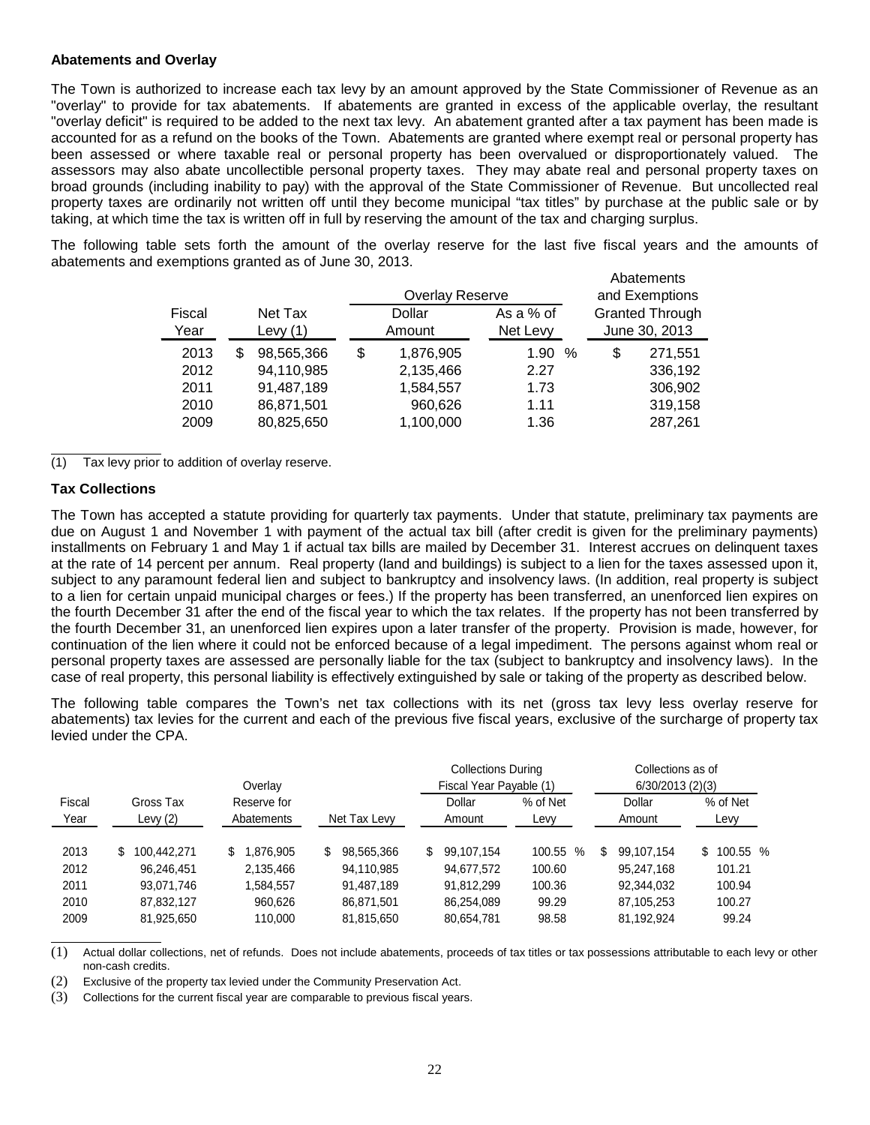#### **Abatements and Overlay**

The Town is authorized to increase each tax levy by an amount approved by the State Commissioner of Revenue as an "overlay" to provide for tax abatements. If abatements are granted in excess of the applicable overlay, the resultant "overlay deficit" is required to be added to the next tax levy. An abatement granted after a tax payment has been made is accounted for as a refund on the books of the Town. Abatements are granted where exempt real or personal property has been assessed or where taxable real or personal property has been overvalued or disproportionately valued. The assessors may also abate uncollectible personal property taxes. They may abate real and personal property taxes on broad grounds (including inability to pay) with the approval of the State Commissioner of Revenue. But uncollected real property taxes are ordinarily not written off until they become municipal "tax titles" by purchase at the public sale or by taking, at which time the tax is written off in full by reserving the amount of the tax and charging surplus.

The following table sets forth the amount of the overlay reserve for the last five fiscal years and the amounts of abatements and exemptions granted as of June 30, 2013.

|        |   |            |    |                        |  |           |                |               | Abatements |                        |
|--------|---|------------|----|------------------------|--|-----------|----------------|---------------|------------|------------------------|
|        |   |            |    | <b>Overlay Reserve</b> |  |           | and Exemptions |               |            |                        |
| Fiscal |   | Net Tax    |    | Dollar                 |  | As a % of |                |               |            | <b>Granted Through</b> |
| Year   |   | Levy $(1)$ |    | Amount                 |  | Net Levy  |                | June 30, 2013 |            |                        |
| 2013   | S | 98,565,366 | \$ | 1,876,905              |  | 1.90      | %              | \$            | 271,551    |                        |
| 2012   |   | 94,110,985 |    | 2,135,466              |  | 2.27      |                |               | 336,192    |                        |
| 2011   |   | 91,487,189 |    | 1,584,557              |  | 1.73      |                |               | 306,902    |                        |
| 2010   |   | 86,871,501 |    | 960,626                |  | 1.11      |                |               | 319,158    |                        |
| 2009   |   | 80,825,650 |    | 1,100,000              |  | 1.36      |                |               | 287,261    |                        |

(1) Tax levy prior to addition of overlay reserve.

## **Tax Collections**

The Town has accepted a statute providing for quarterly tax payments. Under that statute, preliminary tax payments are due on August 1 and November 1 with payment of the actual tax bill (after credit is given for the preliminary payments) installments on February 1 and May 1 if actual tax bills are mailed by December 31. Interest accrues on delinquent taxes at the rate of 14 percent per annum. Real property (land and buildings) is subject to a lien for the taxes assessed upon it, subject to any paramount federal lien and subject to bankruptcy and insolvency laws. (In addition, real property is subject to a lien for certain unpaid municipal charges or fees.) If the property has been transferred, an unenforced lien expires on the fourth December 31 after the end of the fiscal year to which the tax relates. If the property has not been transferred by the fourth December 31, an unenforced lien expires upon a later transfer of the property. Provision is made, however, for continuation of the lien where it could not be enforced because of a legal impediment. The persons against whom real or personal property taxes are assessed are personally liable for the tax (subject to bankruptcy and insolvency laws). In the case of real property, this personal liability is effectively extinguished by sale or taking of the property as described below.

The following table compares the Town's net tax collections with its net (gross tax levy less overlay reserve for abatements) tax levies for the current and each of the previous five fiscal years, exclusive of the surcharge of property tax levied under the CPA.

| Overlay        |                         |                           |                   | <b>Collections During</b><br>Fiscal Year Payable (1) |                  | Collections as of<br>6/30/2013(2)(3) |                  |  |  |
|----------------|-------------------------|---------------------------|-------------------|------------------------------------------------------|------------------|--------------------------------------|------------------|--|--|
| Fiscal<br>Year | Gross Tax<br>Levy $(2)$ | Reserve for<br>Abatements | Net Tax Levy      | Dollar<br>Amount                                     | % of Net<br>Levy | Dollar<br>Amount                     | % of Net<br>Levy |  |  |
| 2013           | 100.442.271<br>S.       | .876.905<br>S.            | 98.565.366<br>\$. | 99.107.154<br>S                                      | 100.55<br>%      | 99.107.154<br>S                      | 100.55 %<br>\$   |  |  |
| 2012           | 96,246,451              | 2,135,466                 | 94,110,985        | 94,677,572                                           | 100.60           | 95,247,168                           | 101.21           |  |  |
| 2011           | 93.071.746              | 1.584.557                 | 91.487.189        | 91.812.299                                           | 100.36           | 92,344,032                           | 100.94           |  |  |
| 2010           | 87.832.127              | 960,626                   | 86,871,501        | 86,254,089                                           | 99.29            | 87,105,253                           | 100.27           |  |  |
| 2009           | 81,925,650              | 110.000                   | 81,815,650        | 80,654,781                                           | 98.58            | 81,192,924                           | 99.24            |  |  |

(1) Actual dollar collections, net of refunds. Does not include abatements, proceeds of tax titles or tax possessions attributable to each levy or other non-cash credits.

(2) Exclusive of the property tax levied under the Community Preservation Act.

(3) Collections for the current fiscal year are comparable to previous fiscal years.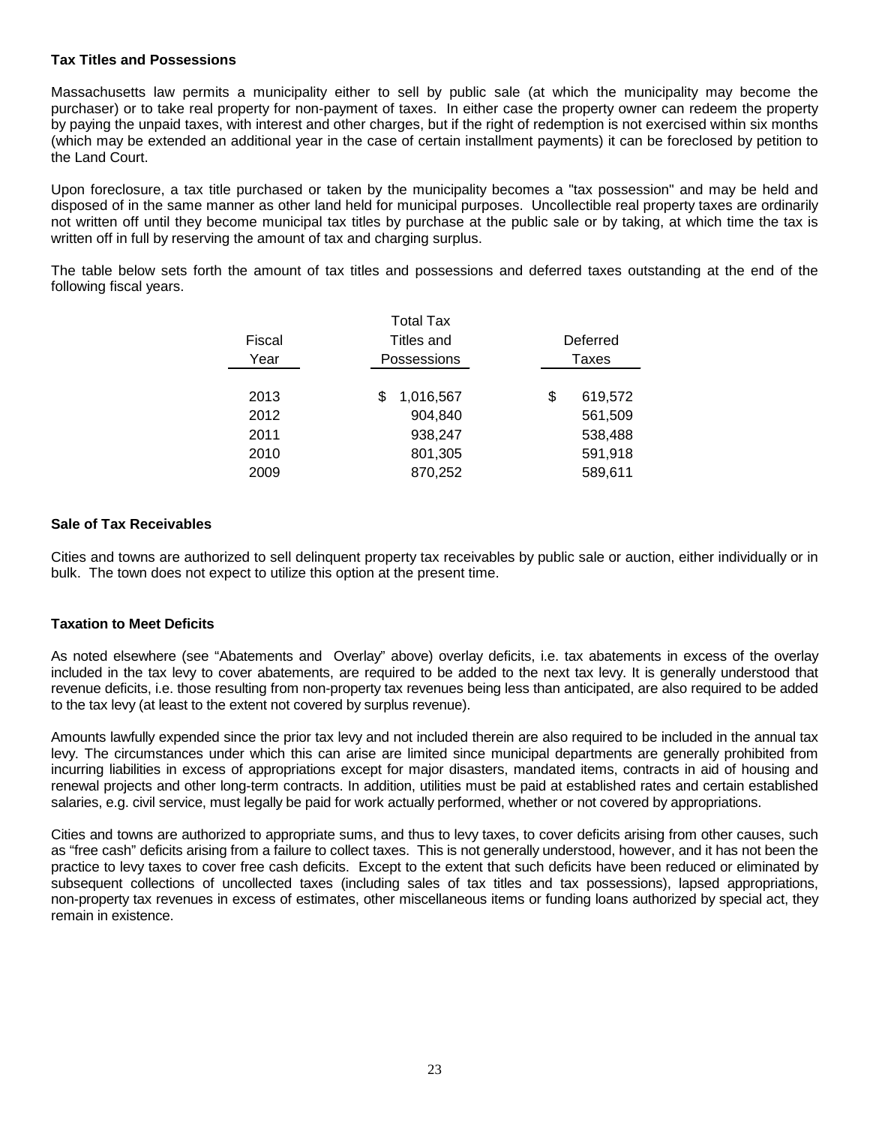## **Tax Titles and Possessions**

Massachusetts law permits a municipality either to sell by public sale (at which the municipality may become the purchaser) or to take real property for non-payment of taxes. In either case the property owner can redeem the property by paying the unpaid taxes, with interest and other charges, but if the right of redemption is not exercised within six months (which may be extended an additional year in the case of certain installment payments) it can be foreclosed by petition to the Land Court.

Upon foreclosure, a tax title purchased or taken by the municipality becomes a "tax possession" and may be held and disposed of in the same manner as other land held for municipal purposes. Uncollectible real property taxes are ordinarily not written off until they become municipal tax titles by purchase at the public sale or by taking, at which time the tax is written off in full by reserving the amount of tax and charging surplus.

The table below sets forth the amount of tax titles and possessions and deferred taxes outstanding at the end of the following fiscal years.

|        | <b>Total Tax</b> |          |         |  |  |  |  |
|--------|------------------|----------|---------|--|--|--|--|
| Fiscal | Titles and       | Deferred |         |  |  |  |  |
| Year   | Possessions      |          | Taxes   |  |  |  |  |
|        |                  |          |         |  |  |  |  |
| 2013   | 1,016,567<br>S   | \$       | 619,572 |  |  |  |  |
| 2012   | 904,840          |          | 561,509 |  |  |  |  |
| 2011   | 938,247          |          | 538,488 |  |  |  |  |
| 2010   | 801,305          |          | 591,918 |  |  |  |  |
| 2009   | 870,252          |          | 589,611 |  |  |  |  |

#### **Sale of Tax Receivables**

Cities and towns are authorized to sell delinquent property tax receivables by public sale or auction, either individually or in bulk. The town does not expect to utilize this option at the present time.

#### **Taxation to Meet Deficits**

As noted elsewhere (see "Abatements and Overlay" above) overlay deficits, i.e. tax abatements in excess of the overlay included in the tax levy to cover abatements, are required to be added to the next tax levy. It is generally understood that revenue deficits, i.e. those resulting from non-property tax revenues being less than anticipated, are also required to be added to the tax levy (at least to the extent not covered by surplus revenue).

Amounts lawfully expended since the prior tax levy and not included therein are also required to be included in the annual tax levy. The circumstances under which this can arise are limited since municipal departments are generally prohibited from incurring liabilities in excess of appropriations except for major disasters, mandated items, contracts in aid of housing and renewal projects and other long-term contracts. In addition, utilities must be paid at established rates and certain established salaries, e.g. civil service, must legally be paid for work actually performed, whether or not covered by appropriations.

Cities and towns are authorized to appropriate sums, and thus to levy taxes, to cover deficits arising from other causes, such as "free cash" deficits arising from a failure to collect taxes. This is not generally understood, however, and it has not been the practice to levy taxes to cover free cash deficits. Except to the extent that such deficits have been reduced or eliminated by subsequent collections of uncollected taxes (including sales of tax titles and tax possessions), lapsed appropriations, non-property tax revenues in excess of estimates, other miscellaneous items or funding loans authorized by special act, they remain in existence.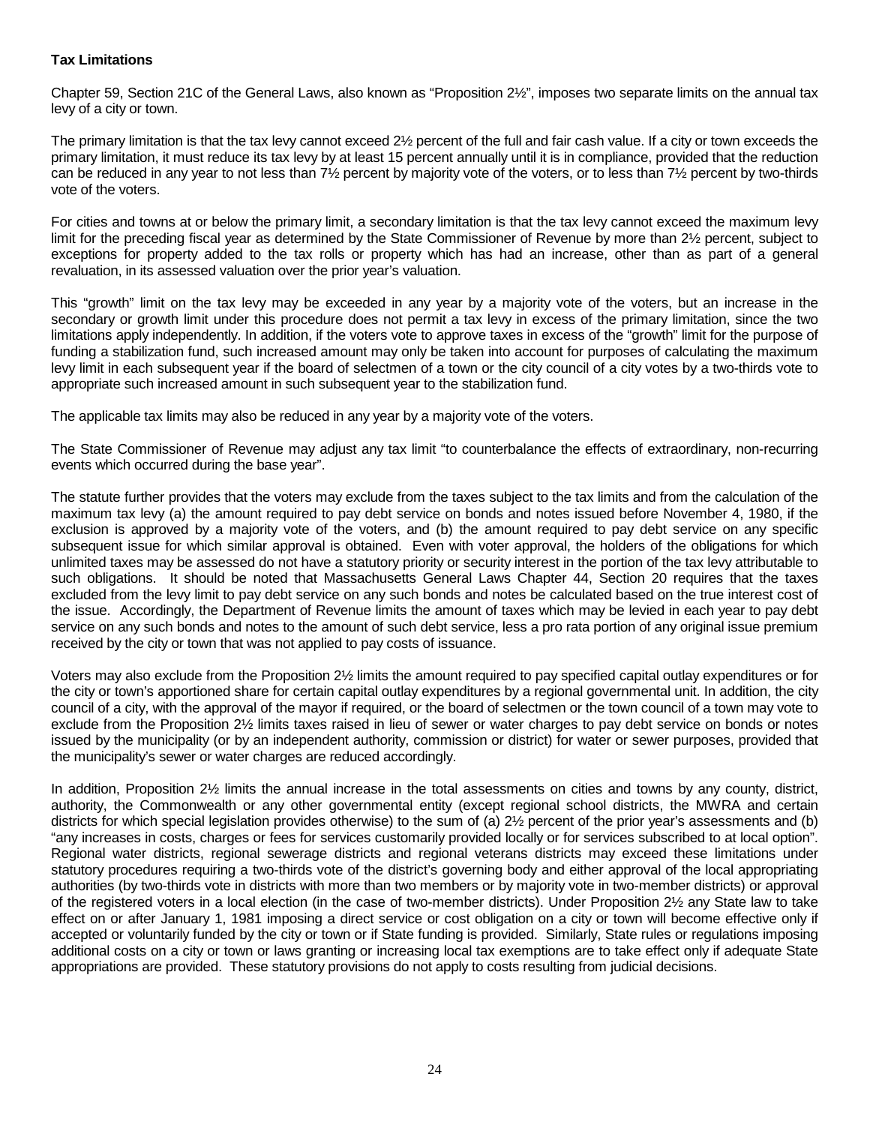# **Tax Limitations**

Chapter 59, Section 21C of the General Laws, also known as "Proposition 2½", imposes two separate limits on the annual tax levy of a city or town.

The primary limitation is that the tax levy cannot exceed 2½ percent of the full and fair cash value. If a city or town exceeds the primary limitation, it must reduce its tax levy by at least 15 percent annually until it is in compliance, provided that the reduction can be reduced in any year to not less than 7½ percent by majority vote of the voters, or to less than 7½ percent by two-thirds vote of the voters.

For cities and towns at or below the primary limit, a secondary limitation is that the tax levy cannot exceed the maximum levy limit for the preceding fiscal year as determined by the State Commissioner of Revenue by more than 2½ percent, subject to exceptions for property added to the tax rolls or property which has had an increase, other than as part of a general revaluation, in its assessed valuation over the prior year's valuation.

This "growth" limit on the tax levy may be exceeded in any year by a majority vote of the voters, but an increase in the secondary or growth limit under this procedure does not permit a tax levy in excess of the primary limitation, since the two limitations apply independently. In addition, if the voters vote to approve taxes in excess of the "growth" limit for the purpose of funding a stabilization fund, such increased amount may only be taken into account for purposes of calculating the maximum levy limit in each subsequent year if the board of selectmen of a town or the city council of a city votes by a two-thirds vote to appropriate such increased amount in such subsequent year to the stabilization fund.

The applicable tax limits may also be reduced in any year by a majority vote of the voters.

The State Commissioner of Revenue may adjust any tax limit "to counterbalance the effects of extraordinary, non-recurring events which occurred during the base year".

The statute further provides that the voters may exclude from the taxes subject to the tax limits and from the calculation of the maximum tax levy (a) the amount required to pay debt service on bonds and notes issued before November 4, 1980, if the exclusion is approved by a majority vote of the voters, and (b) the amount required to pay debt service on any specific subsequent issue for which similar approval is obtained. Even with voter approval, the holders of the obligations for which unlimited taxes may be assessed do not have a statutory priority or security interest in the portion of the tax levy attributable to such obligations. It should be noted that Massachusetts General Laws Chapter 44, Section 20 requires that the taxes excluded from the levy limit to pay debt service on any such bonds and notes be calculated based on the true interest cost of the issue. Accordingly, the Department of Revenue limits the amount of taxes which may be levied in each year to pay debt service on any such bonds and notes to the amount of such debt service, less a pro rata portion of any original issue premium received by the city or town that was not applied to pay costs of issuance.

Voters may also exclude from the Proposition 2½ limits the amount required to pay specified capital outlay expenditures or for the city or town's apportioned share for certain capital outlay expenditures by a regional governmental unit. In addition, the city council of a city, with the approval of the mayor if required, or the board of selectmen or the town council of a town may vote to exclude from the Proposition 2½ limits taxes raised in lieu of sewer or water charges to pay debt service on bonds or notes issued by the municipality (or by an independent authority, commission or district) for water or sewer purposes, provided that the municipality's sewer or water charges are reduced accordingly.

In addition, Proposition 2<sup>1/2</sup> limits the annual increase in the total assessments on cities and towns by any county, district, authority, the Commonwealth or any other governmental entity (except regional school districts, the MWRA and certain districts for which special legislation provides otherwise) to the sum of (a) 2½ percent of the prior year's assessments and (b) "any increases in costs, charges or fees for services customarily provided locally or for services subscribed to at local option". Regional water districts, regional sewerage districts and regional veterans districts may exceed these limitations under statutory procedures requiring a two-thirds vote of the district's governing body and either approval of the local appropriating authorities (by two-thirds vote in districts with more than two members or by majority vote in two-member districts) or approval of the registered voters in a local election (in the case of two-member districts). Under Proposition 2½ any State law to take effect on or after January 1, 1981 imposing a direct service or cost obligation on a city or town will become effective only if accepted or voluntarily funded by the city or town or if State funding is provided. Similarly, State rules or regulations imposing additional costs on a city or town or laws granting or increasing local tax exemptions are to take effect only if adequate State appropriations are provided. These statutory provisions do not apply to costs resulting from judicial decisions.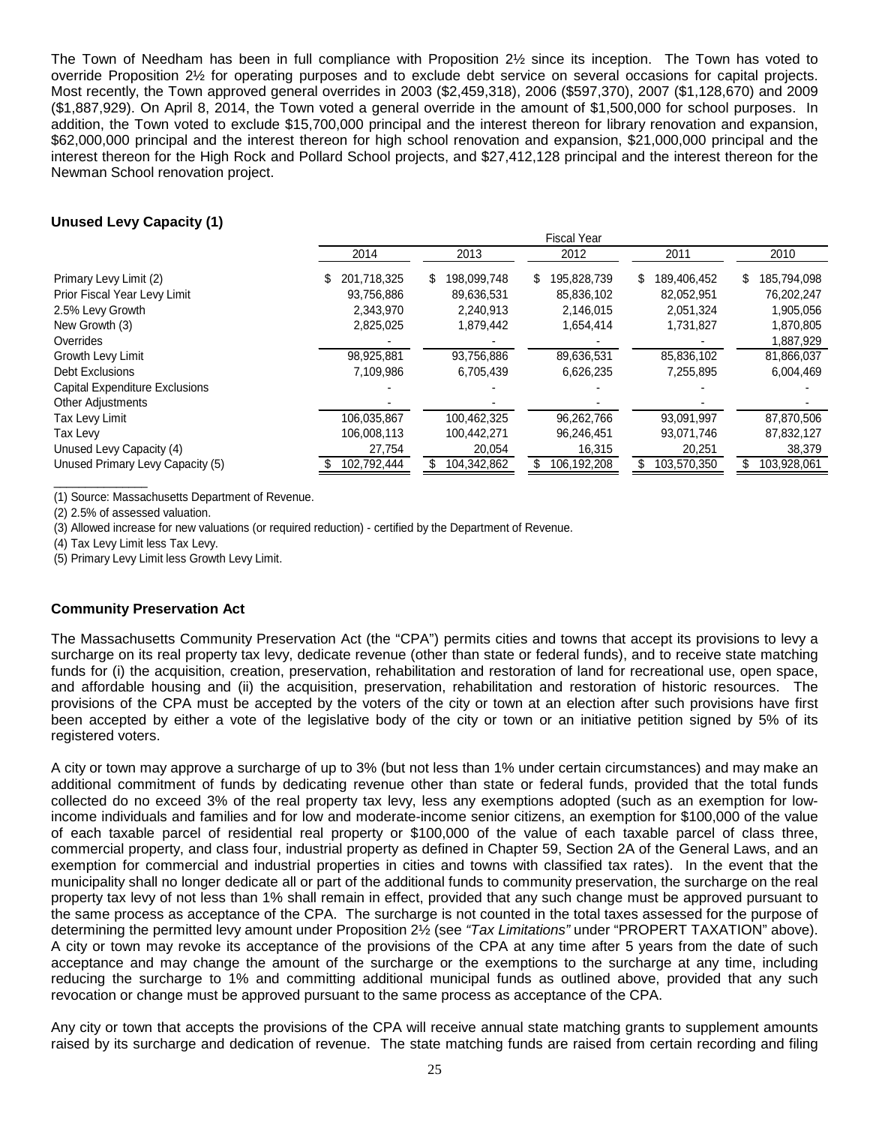The Town of Needham has been in full compliance with Proposition 2½ since its inception. The Town has voted to override Proposition 2½ for operating purposes and to exclude debt service on several occasions for capital projects. Most recently, the Town approved general overrides in 2003 (\$2,459,318), 2006 (\$597,370), 2007 (\$1,128,670) and 2009 (\$1,887,929). On April 8, 2014, the Town voted a general override in the amount of \$1,500,000 for school purposes. In addition, the Town voted to exclude \$15,700,000 principal and the interest thereon for library renovation and expansion, \$62,000,000 principal and the interest thereon for high school renovation and expansion, \$21,000,000 principal and the interest thereon for the High Rock and Pollard School projects, and \$27,412,128 principal and the interest thereon for the Newman School renovation project.

## **Unused Levy Capacity (1)**

|                                       |                   | riscal Teal      |                   |                   |                   |  |  |  |  |  |
|---------------------------------------|-------------------|------------------|-------------------|-------------------|-------------------|--|--|--|--|--|
|                                       | 2014              | 2013             | 2012              | 2011              | 2010              |  |  |  |  |  |
| Primary Levy Limit (2)                | 201,718,325<br>S. | S<br>198.099.748 | 195,828,739<br>S. | \$<br>189,406,452 | 185,794,098<br>\$ |  |  |  |  |  |
| Prior Fiscal Year Levy Limit          | 93,756,886        | 89,636,531       | 85,836,102        | 82,052,951        | 76,202,247        |  |  |  |  |  |
| 2.5% Levy Growth                      | 2.343.970         | 2,240,913        | 2,146,015         | 2,051,324         | 1,905,056         |  |  |  |  |  |
| New Growth (3)                        | 2,825,025         | 1,879,442        | 1,654,414         | 1,731,827         | 1,870,805         |  |  |  |  |  |
| Overrides                             |                   |                  |                   |                   | 1,887,929         |  |  |  |  |  |
| Growth Levy Limit                     | 98,925,881        | 93,756,886       | 89,636,531        | 85,836,102        | 81,866,037        |  |  |  |  |  |
| Debt Exclusions                       | 7,109,986         | 6,705,439        | 6,626,235         | 7,255,895         | 6,004,469         |  |  |  |  |  |
| <b>Capital Expenditure Exclusions</b> |                   |                  |                   |                   |                   |  |  |  |  |  |
| <b>Other Adjustments</b>              |                   |                  |                   |                   |                   |  |  |  |  |  |
| Tax Levy Limit                        | 106,035,867       | 100,462,325      | 96,262,766        | 93,091,997        | 87,870,506        |  |  |  |  |  |
| Tax Levy                              | 106,008,113       | 100,442,271      | 96,246,451        | 93,071,746        | 87,832,127        |  |  |  |  |  |
| Unused Levy Capacity (4)              | 27,754            | 20,054           | 16,315            | 20,251            | 38,379            |  |  |  |  |  |
| Unused Primary Levy Capacity (5)      | 102,792,444       | 104,342,862      | 106,192,208       | 103,570,350       | 103,928,061       |  |  |  |  |  |

Fiscal Year

(1) Source: Massachusetts Department of Revenue.

(2) 2.5% of assessed valuation.

\_\_\_\_\_\_\_\_\_\_\_\_\_\_\_

(3) Allowed increase for new valuations (or required reduction) - certified by the Department of Revenue.

(4) Tax Levy Limit less Tax Levy.

(5) Primary Levy Limit less Growth Levy Limit.

#### **Community Preservation Act**

The Massachusetts Community Preservation Act (the "CPA") permits cities and towns that accept its provisions to levy a surcharge on its real property tax levy, dedicate revenue (other than state or federal funds), and to receive state matching funds for (i) the acquisition, creation, preservation, rehabilitation and restoration of land for recreational use, open space, and affordable housing and (ii) the acquisition, preservation, rehabilitation and restoration of historic resources. The provisions of the CPA must be accepted by the voters of the city or town at an election after such provisions have first been accepted by either a vote of the legislative body of the city or town or an initiative petition signed by 5% of its registered voters.

A city or town may approve a surcharge of up to 3% (but not less than 1% under certain circumstances) and may make an additional commitment of funds by dedicating revenue other than state or federal funds, provided that the total funds collected do no exceed 3% of the real property tax levy, less any exemptions adopted (such as an exemption for lowincome individuals and families and for low and moderate-income senior citizens, an exemption for \$100,000 of the value of each taxable parcel of residential real property or \$100,000 of the value of each taxable parcel of class three, commercial property, and class four, industrial property as defined in Chapter 59, Section 2A of the General Laws, and an exemption for commercial and industrial properties in cities and towns with classified tax rates). In the event that the municipality shall no longer dedicate all or part of the additional funds to community preservation, the surcharge on the real property tax levy of not less than 1% shall remain in effect, provided that any such change must be approved pursuant to the same process as acceptance of the CPA. The surcharge is not counted in the total taxes assessed for the purpose of determining the permitted levy amount under Proposition 2½ (see *"Tax Limitations"* under "PROPERT TAXATION" above). A city or town may revoke its acceptance of the provisions of the CPA at any time after 5 years from the date of such acceptance and may change the amount of the surcharge or the exemptions to the surcharge at any time, including reducing the surcharge to 1% and committing additional municipal funds as outlined above, provided that any such revocation or change must be approved pursuant to the same process as acceptance of the CPA.

Any city or town that accepts the provisions of the CPA will receive annual state matching grants to supplement amounts raised by its surcharge and dedication of revenue. The state matching funds are raised from certain recording and filing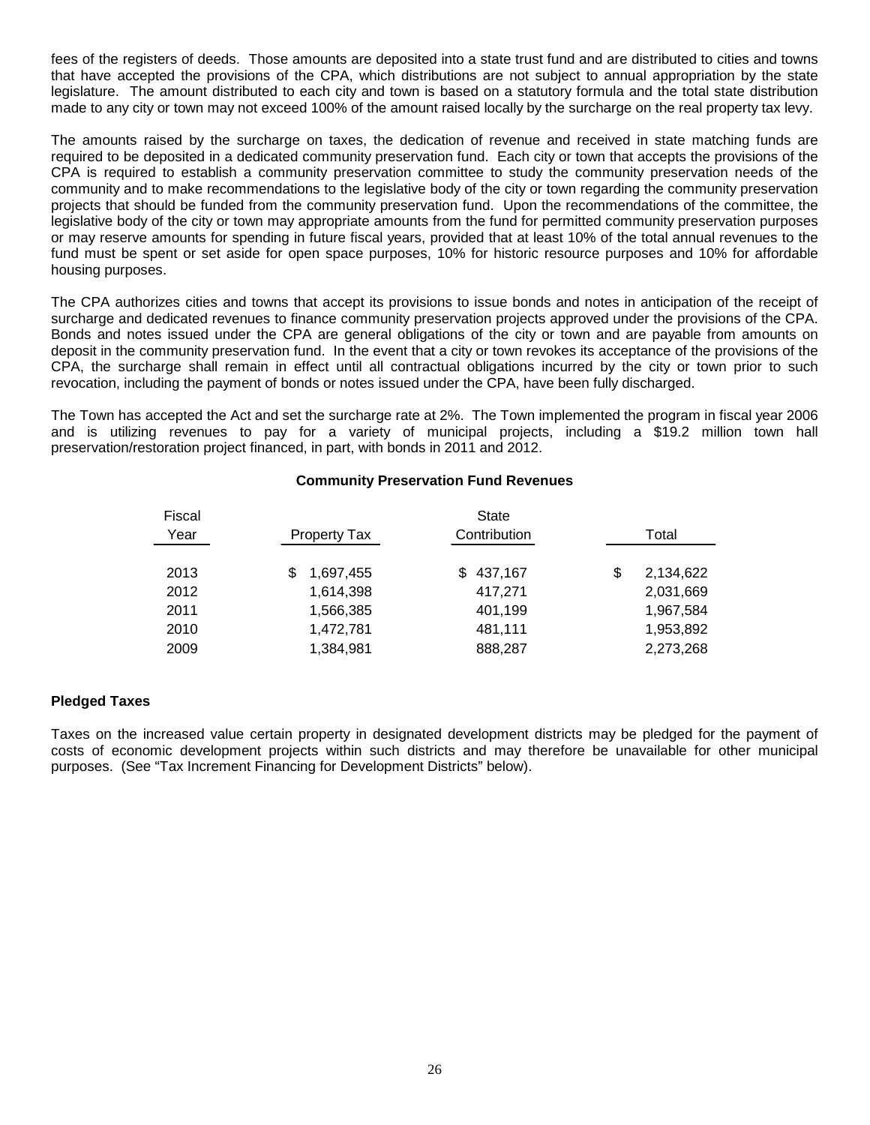fees of the registers of deeds. Those amounts are deposited into a state trust fund and are distributed to cities and towns that have accepted the provisions of the CPA, which distributions are not subject to annual appropriation by the state legislature. The amount distributed to each city and town is based on a statutory formula and the total state distribution made to any city or town may not exceed 100% of the amount raised locally by the surcharge on the real property tax levy.

The amounts raised by the surcharge on taxes, the dedication of revenue and received in state matching funds are required to be deposited in a dedicated community preservation fund. Each city or town that accepts the provisions of the CPA is required to establish a community preservation committee to study the community preservation needs of the community and to make recommendations to the legislative body of the city or town regarding the community preservation projects that should be funded from the community preservation fund. Upon the recommendations of the committee, the legislative body of the city or town may appropriate amounts from the fund for permitted community preservation purposes or may reserve amounts for spending in future fiscal years, provided that at least 10% of the total annual revenues to the fund must be spent or set aside for open space purposes, 10% for historic resource purposes and 10% for affordable housing purposes.

The CPA authorizes cities and towns that accept its provisions to issue bonds and notes in anticipation of the receipt of surcharge and dedicated revenues to finance community preservation projects approved under the provisions of the CPA. Bonds and notes issued under the CPA are general obligations of the city or town and are payable from amounts on deposit in the community preservation fund. In the event that a city or town revokes its acceptance of the provisions of the CPA, the surcharge shall remain in effect until all contractual obligations incurred by the city or town prior to such revocation, including the payment of bonds or notes issued under the CPA, have been fully discharged.

The Town has accepted the Act and set the surcharge rate at 2%. The Town implemented the program in fiscal year 2006 and is utilizing revenues to pay for a variety of municipal projects, including a \$19.2 million town hall preservation/restoration project financed, in part, with bonds in 2011 and 2012.

## **Community Preservation Fund Revenues**

| Fiscal |                     |              |    |           |  |  |  |  |
|--------|---------------------|--------------|----|-----------|--|--|--|--|
| Year   | <b>Property Tax</b> | Contribution |    |           |  |  |  |  |
|        |                     |              |    |           |  |  |  |  |
| 2013   | 1,697,455<br>S      | \$437,167    | \$ | 2,134,622 |  |  |  |  |
| 2012   | 1,614,398           | 417,271      |    | 2,031,669 |  |  |  |  |
| 2011   | 1,566,385           | 401,199      |    | 1.967.584 |  |  |  |  |
| 2010   | 1,472,781           | 481,111      |    | 1,953,892 |  |  |  |  |
| 2009   | 1,384,981           | 888,287      |    | 2,273,268 |  |  |  |  |

#### **Pledged Taxes**

Taxes on the increased value certain property in designated development districts may be pledged for the payment of costs of economic development projects within such districts and may therefore be unavailable for other municipal purposes. (See "Tax Increment Financing for Development Districts" below).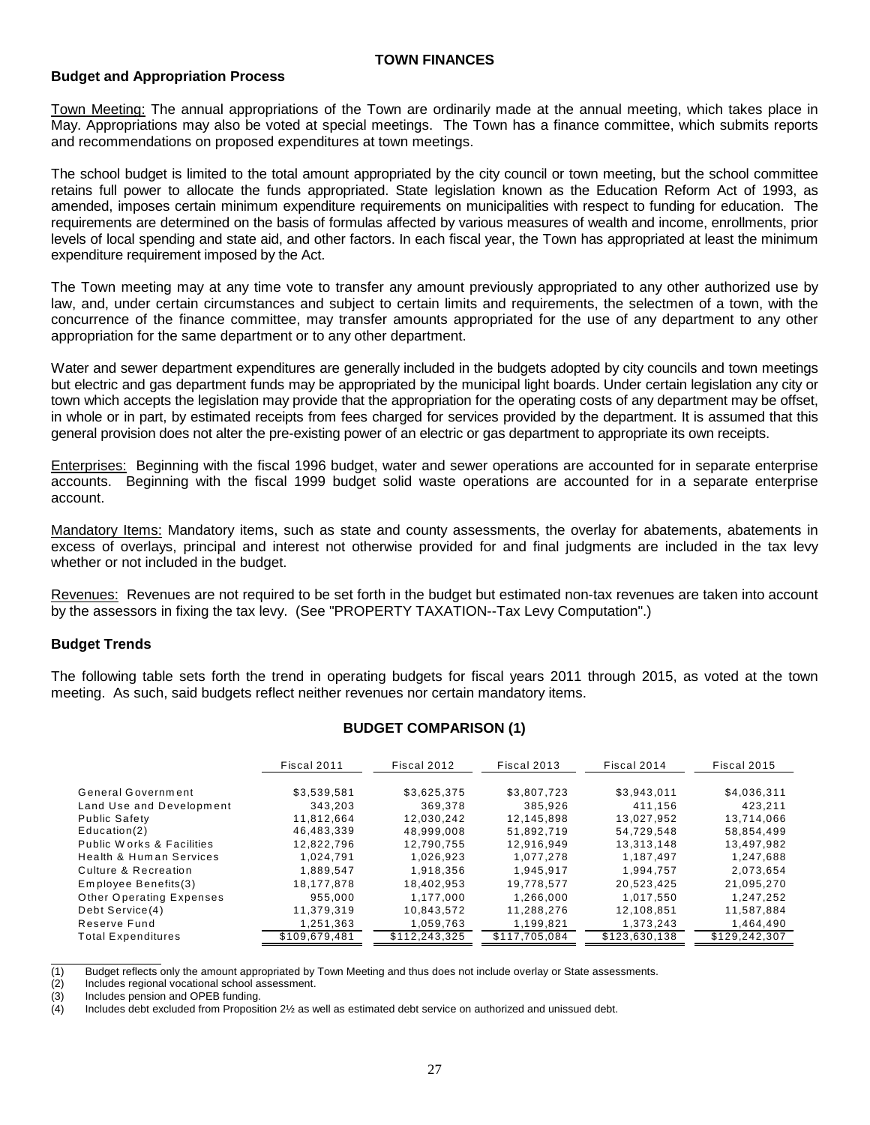#### **TOWN FINANCES**

#### **Budget and Appropriation Process**

Town Meeting: The annual appropriations of the Town are ordinarily made at the annual meeting, which takes place in May. Appropriations may also be voted at special meetings. The Town has a finance committee, which submits reports and recommendations on proposed expenditures at town meetings.

The school budget is limited to the total amount appropriated by the city council or town meeting, but the school committee retains full power to allocate the funds appropriated. State legislation known as the Education Reform Act of 1993, as amended, imposes certain minimum expenditure requirements on municipalities with respect to funding for education. The requirements are determined on the basis of formulas affected by various measures of wealth and income, enrollments, prior levels of local spending and state aid, and other factors. In each fiscal year, the Town has appropriated at least the minimum expenditure requirement imposed by the Act.

The Town meeting may at any time vote to transfer any amount previously appropriated to any other authorized use by law, and, under certain circumstances and subject to certain limits and requirements, the selectmen of a town, with the concurrence of the finance committee, may transfer amounts appropriated for the use of any department to any other appropriation for the same department or to any other department.

Water and sewer department expenditures are generally included in the budgets adopted by city councils and town meetings but electric and gas department funds may be appropriated by the municipal light boards. Under certain legislation any city or town which accepts the legislation may provide that the appropriation for the operating costs of any department may be offset, in whole or in part, by estimated receipts from fees charged for services provided by the department. It is assumed that this general provision does not alter the pre-existing power of an electric or gas department to appropriate its own receipts.

Enterprises: Beginning with the fiscal 1996 budget, water and sewer operations are accounted for in separate enterprise accounts. Beginning with the fiscal 1999 budget solid waste operations are accounted for in a separate enterprise account.

Mandatory Items: Mandatory items, such as state and county assessments, the overlay for abatements, abatements in excess of overlays, principal and interest not otherwise provided for and final judgments are included in the tax levy whether or not included in the budget.

Revenues: Revenues are not required to be set forth in the budget but estimated non-tax revenues are taken into account by the assessors in fixing the tax levy. (See "PROPERTY TAXATION--Tax Levy Computation".)

# **Budget Trends**

The following table sets forth the trend in operating budgets for fiscal years 2011 through 2015, as voted at the town meeting. As such, said budgets reflect neither revenues nor certain mandatory items.

# **BUDGET COMPARISON (1)**

|                                      | Fiscal 2012<br>Fiscal 2011 |               | Fiscal 2013   | Fiscal 2014   | Fiscal 2015   |  |
|--------------------------------------|----------------------------|---------------|---------------|---------------|---------------|--|
| General Government                   | \$3,539,581                | \$3,625,375   | \$3,807,723   | \$3,943,011   | \$4,036,311   |  |
| Land Use and Development             | 343.203                    | 369.378       | 385.926       | 411.156       | 423.211       |  |
| <b>Public Safety</b>                 | 11.812.664                 | 12.030.242    | 12.145.898    | 13.027.952    | 13.714.066    |  |
| Education(2)                         | 46,483,339                 | 48,999,008    | 51.892.719    | 54.729.548    | 58,854,499    |  |
| <b>Public Works &amp; Facilities</b> | 12.822.796                 | 12.790.755    | 12.916.949    | 13,313,148    | 13,497,982    |  |
| <b>Health &amp; Human Services</b>   | 1,024,791                  | 1,026,923     | 1,077,278     | 1,187,497     | 1,247,688     |  |
| Culture & Recreation                 | 1,889,547                  | 1,918,356     | 1.945.917     | 1,994,757     | 2,073,654     |  |
| Employee Benefits(3)                 | 18.177.878                 | 18,402,953    | 19.778.577    | 20,523,425    | 21,095,270    |  |
| Other Operating Expenses             | 955.000                    | 1.177.000     | 1.266.000     | 1.017.550     | 1,247,252     |  |
| Debt Service(4)                      | 11,379,319                 | 10,843,572    | 11,288,276    | 12,108,851    | 11,587,884    |  |
| Reserve Fund                         | 1,251,363                  | 1,059,763     | 1,199,821     | 1.373.243     | 1,464,490     |  |
| <b>Total Expenditures</b>            | \$109,679,481              | \$112,243,325 | \$117,705,084 | \$123,630,138 | \$129,242,307 |  |

(1) Budget reflects only the amount appropriated by Town Meeting and thus does not include overlay or State assessments.

(2) Includes regional vocational school assessment.

(3) Includes pension and OPEB funding.<br>(4) Includes debt excluded from Proposit

Includes debt excluded from Proposition 2½ as well as estimated debt service on authorized and unissued debt.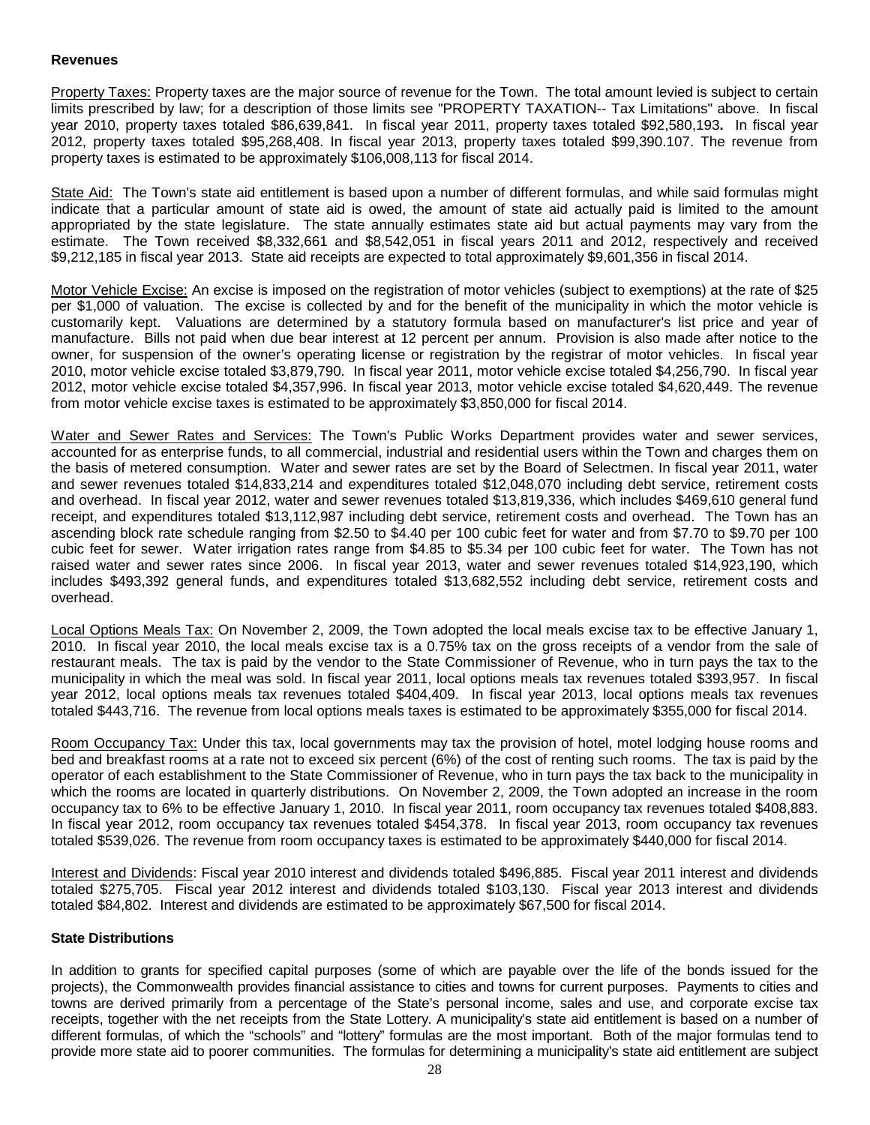### **Revenues**

Property Taxes: Property taxes are the major source of revenue for the Town. The total amount levied is subject to certain limits prescribed by law; for a description of those limits see "PROPERTY TAXATION-- Tax Limitations" above. In fiscal year 2010, property taxes totaled \$86,639,841. In fiscal year 2011, property taxes totaled \$92,580,193**.** In fiscal year 2012, property taxes totaled \$95,268,408. In fiscal year 2013, property taxes totaled \$99,390.107. The revenue from property taxes is estimated to be approximately \$106,008,113 for fiscal 2014.

State Aid: The Town's state aid entitlement is based upon a number of different formulas, and while said formulas might indicate that a particular amount of state aid is owed, the amount of state aid actually paid is limited to the amount appropriated by the state legislature. The state annually estimates state aid but actual payments may vary from the estimate. The Town received \$8,332,661 and \$8,542,051 in fiscal years 2011 and 2012, respectively and received \$9,212,185 in fiscal year 2013. State aid receipts are expected to total approximately \$9,601,356 in fiscal 2014.

Motor Vehicle Excise: An excise is imposed on the registration of motor vehicles (subject to exemptions) at the rate of \$25 per \$1,000 of valuation. The excise is collected by and for the benefit of the municipality in which the motor vehicle is customarily kept. Valuations are determined by a statutory formula based on manufacturer's list price and year of manufacture. Bills not paid when due bear interest at 12 percent per annum. Provision is also made after notice to the owner, for suspension of the owner's operating license or registration by the registrar of motor vehicles. In fiscal year 2010, motor vehicle excise totaled \$3,879,790. In fiscal year 2011, motor vehicle excise totaled \$4,256,790. In fiscal year 2012, motor vehicle excise totaled \$4,357,996. In fiscal year 2013, motor vehicle excise totaled \$4,620,449. The revenue from motor vehicle excise taxes is estimated to be approximately \$3,850,000 for fiscal 2014.

Water and Sewer Rates and Services: The Town's Public Works Department provides water and sewer services, accounted for as enterprise funds, to all commercial, industrial and residential users within the Town and charges them on the basis of metered consumption. Water and sewer rates are set by the Board of Selectmen. In fiscal year 2011, water and sewer revenues totaled \$14,833,214 and expenditures totaled \$12,048,070 including debt service, retirement costs and overhead. In fiscal year 2012, water and sewer revenues totaled \$13,819,336, which includes \$469,610 general fund receipt, and expenditures totaled \$13,112,987 including debt service, retirement costs and overhead. The Town has an ascending block rate schedule ranging from \$2.50 to \$4.40 per 100 cubic feet for water and from \$7.70 to \$9.70 per 100 cubic feet for sewer. Water irrigation rates range from \$4.85 to \$5.34 per 100 cubic feet for water. The Town has not raised water and sewer rates since 2006. In fiscal year 2013, water and sewer revenues totaled \$14,923,190, which includes \$493,392 general funds, and expenditures totaled \$13,682,552 including debt service, retirement costs and overhead.

Local Options Meals Tax: On November 2, 2009, the Town adopted the local meals excise tax to be effective January 1, 2010. In fiscal year 2010, the local meals excise tax is a 0.75% tax on the gross receipts of a vendor from the sale of restaurant meals. The tax is paid by the vendor to the State Commissioner of Revenue, who in turn pays the tax to the municipality in which the meal was sold. In fiscal year 2011, local options meals tax revenues totaled \$393,957. In fiscal year 2012, local options meals tax revenues totaled \$404,409. In fiscal year 2013, local options meals tax revenues totaled \$443,716. The revenue from local options meals taxes is estimated to be approximately \$355,000 for fiscal 2014.

Room Occupancy Tax: Under this tax, local governments may tax the provision of hotel, motel lodging house rooms and bed and breakfast rooms at a rate not to exceed six percent (6%) of the cost of renting such rooms. The tax is paid by the operator of each establishment to the State Commissioner of Revenue, who in turn pays the tax back to the municipality in which the rooms are located in quarterly distributions. On November 2, 2009, the Town adopted an increase in the room occupancy tax to 6% to be effective January 1, 2010. In fiscal year 2011, room occupancy tax revenues totaled \$408,883. In fiscal year 2012, room occupancy tax revenues totaled \$454,378. In fiscal year 2013, room occupancy tax revenues totaled \$539,026. The revenue from room occupancy taxes is estimated to be approximately \$440,000 for fiscal 2014.

Interest and Dividends: Fiscal year 2010 interest and dividends totaled \$496,885. Fiscal year 2011 interest and dividends totaled \$275,705. Fiscal year 2012 interest and dividends totaled \$103,130. Fiscal year 2013 interest and dividends totaled \$84,802. Interest and dividends are estimated to be approximately \$67,500 for fiscal 2014.

#### **State Distributions**

In addition to grants for specified capital purposes (some of which are payable over the life of the bonds issued for the projects), the Commonwealth provides financial assistance to cities and towns for current purposes. Payments to cities and towns are derived primarily from a percentage of the State's personal income, sales and use, and corporate excise tax receipts, together with the net receipts from the State Lottery. A municipality's state aid entitlement is based on a number of different formulas, of which the "schools" and "lottery" formulas are the most important. Both of the major formulas tend to provide more state aid to poorer communities. The formulas for determining a municipality's state aid entitlement are subject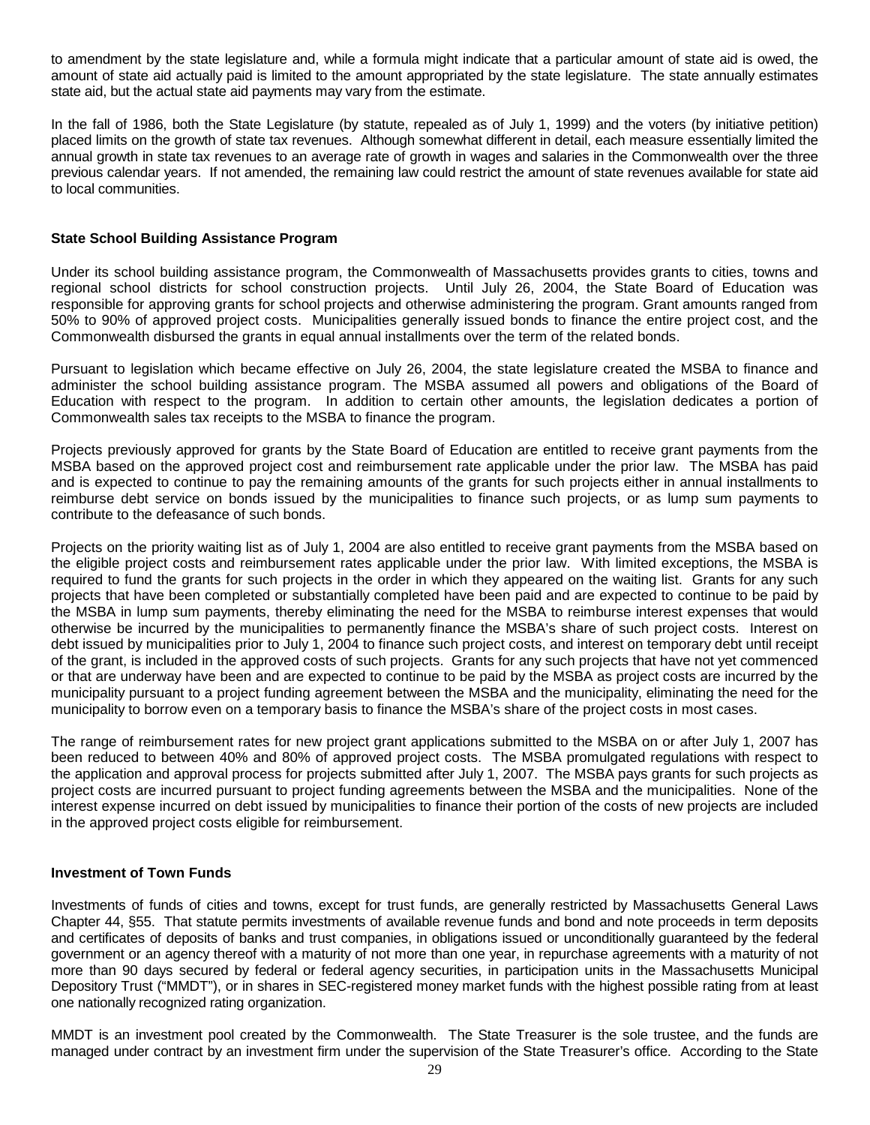to amendment by the state legislature and, while a formula might indicate that a particular amount of state aid is owed, the amount of state aid actually paid is limited to the amount appropriated by the state legislature. The state annually estimates state aid, but the actual state aid payments may vary from the estimate.

In the fall of 1986, both the State Legislature (by statute, repealed as of July 1, 1999) and the voters (by initiative petition) placed limits on the growth of state tax revenues. Although somewhat different in detail, each measure essentially limited the annual growth in state tax revenues to an average rate of growth in wages and salaries in the Commonwealth over the three previous calendar years. If not amended, the remaining law could restrict the amount of state revenues available for state aid to local communities.

## **State School Building Assistance Program**

Under its school building assistance program, the Commonwealth of Massachusetts provides grants to cities, towns and regional school districts for school construction projects. Until July 26, 2004, the State Board of Education was responsible for approving grants for school projects and otherwise administering the program. Grant amounts ranged from 50% to 90% of approved project costs. Municipalities generally issued bonds to finance the entire project cost, and the Commonwealth disbursed the grants in equal annual installments over the term of the related bonds.

Pursuant to legislation which became effective on July 26, 2004, the state legislature created the MSBA to finance and administer the school building assistance program. The MSBA assumed all powers and obligations of the Board of Education with respect to the program. In addition to certain other amounts, the legislation dedicates a portion of Commonwealth sales tax receipts to the MSBA to finance the program.

Projects previously approved for grants by the State Board of Education are entitled to receive grant payments from the MSBA based on the approved project cost and reimbursement rate applicable under the prior law. The MSBA has paid and is expected to continue to pay the remaining amounts of the grants for such projects either in annual installments to reimburse debt service on bonds issued by the municipalities to finance such projects, or as lump sum payments to contribute to the defeasance of such bonds.

Projects on the priority waiting list as of July 1, 2004 are also entitled to receive grant payments from the MSBA based on the eligible project costs and reimbursement rates applicable under the prior law. With limited exceptions, the MSBA is required to fund the grants for such projects in the order in which they appeared on the waiting list. Grants for any such projects that have been completed or substantially completed have been paid and are expected to continue to be paid by the MSBA in lump sum payments, thereby eliminating the need for the MSBA to reimburse interest expenses that would otherwise be incurred by the municipalities to permanently finance the MSBA's share of such project costs. Interest on debt issued by municipalities prior to July 1, 2004 to finance such project costs, and interest on temporary debt until receipt of the grant, is included in the approved costs of such projects. Grants for any such projects that have not yet commenced or that are underway have been and are expected to continue to be paid by the MSBA as project costs are incurred by the municipality pursuant to a project funding agreement between the MSBA and the municipality, eliminating the need for the municipality to borrow even on a temporary basis to finance the MSBA's share of the project costs in most cases.

The range of reimbursement rates for new project grant applications submitted to the MSBA on or after July 1, 2007 has been reduced to between 40% and 80% of approved project costs. The MSBA promulgated regulations with respect to the application and approval process for projects submitted after July 1, 2007. The MSBA pays grants for such projects as project costs are incurred pursuant to project funding agreements between the MSBA and the municipalities. None of the interest expense incurred on debt issued by municipalities to finance their portion of the costs of new projects are included in the approved project costs eligible for reimbursement.

#### **Investment of Town Funds**

Investments of funds of cities and towns, except for trust funds, are generally restricted by Massachusetts General Laws Chapter 44, §55. That statute permits investments of available revenue funds and bond and note proceeds in term deposits and certificates of deposits of banks and trust companies, in obligations issued or unconditionally guaranteed by the federal government or an agency thereof with a maturity of not more than one year, in repurchase agreements with a maturity of not more than 90 days secured by federal or federal agency securities, in participation units in the Massachusetts Municipal Depository Trust ("MMDT"), or in shares in SEC-registered money market funds with the highest possible rating from at least one nationally recognized rating organization.

MMDT is an investment pool created by the Commonwealth. The State Treasurer is the sole trustee, and the funds are managed under contract by an investment firm under the supervision of the State Treasurer's office. According to the State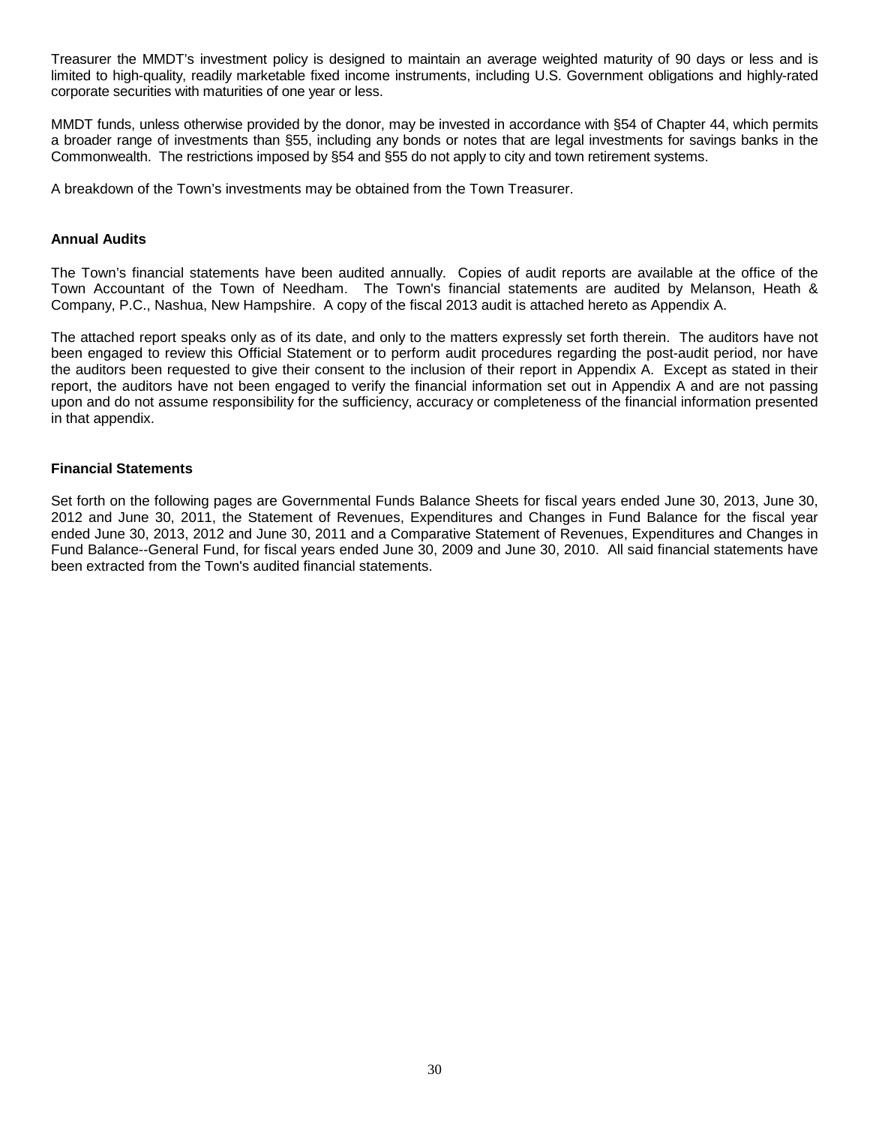Treasurer the MMDT's investment policy is designed to maintain an average weighted maturity of 90 days or less and is limited to high-quality, readily marketable fixed income instruments, including U.S. Government obligations and highly-rated corporate securities with maturities of one year or less.

MMDT funds, unless otherwise provided by the donor, may be invested in accordance with §54 of Chapter 44, which permits a broader range of investments than §55, including any bonds or notes that are legal investments for savings banks in the Commonwealth. The restrictions imposed by §54 and §55 do not apply to city and town retirement systems.

A breakdown of the Town's investments may be obtained from the Town Treasurer.

#### **Annual Audits**

The Town's financial statements have been audited annually. Copies of audit reports are available at the office of the Town Accountant of the Town of Needham. The Town's financial statements are audited by Melanson, Heath & Company, P.C., Nashua, New Hampshire. A copy of the fiscal 2013 audit is attached hereto as Appendix A.

The attached report speaks only as of its date, and only to the matters expressly set forth therein. The auditors have not been engaged to review this Official Statement or to perform audit procedures regarding the post-audit period, nor have the auditors been requested to give their consent to the inclusion of their report in Appendix A. Except as stated in their report, the auditors have not been engaged to verify the financial information set out in Appendix A and are not passing upon and do not assume responsibility for the sufficiency, accuracy or completeness of the financial information presented in that appendix.

#### **Financial Statements**

Set forth on the following pages are Governmental Funds Balance Sheets for fiscal years ended June 30, 2013, June 30, 2012 and June 30, 2011, the Statement of Revenues, Expenditures and Changes in Fund Balance for the fiscal year ended June 30, 2013, 2012 and June 30, 2011 and a Comparative Statement of Revenues, Expenditures and Changes in Fund Balance--General Fund, for fiscal years ended June 30, 2009 and June 30, 2010. All said financial statements have been extracted from the Town's audited financial statements.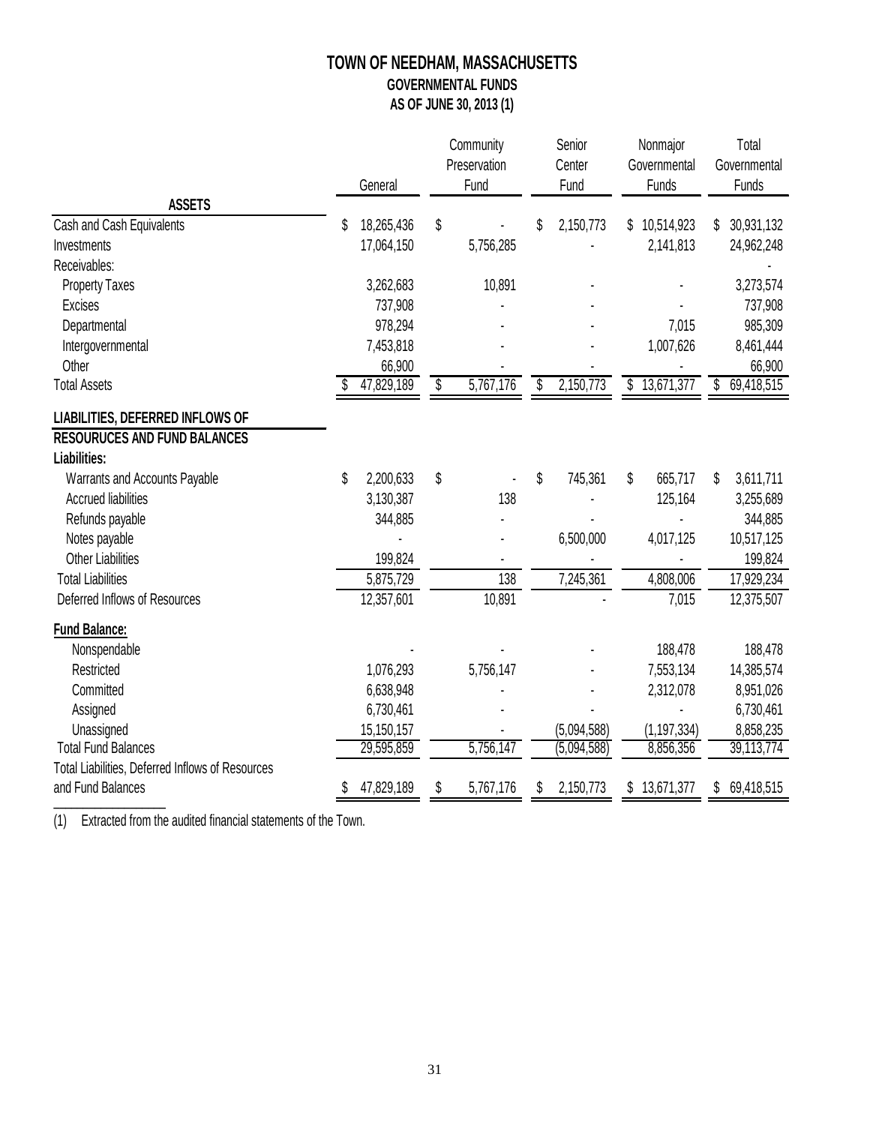# **TOWN OF NEEDHAM, MASSACHUSETTS GOVERNMENTAL FUNDS AS OF JUNE 30, 2013 (1)**

|                                                  |    |            | Community |              | Senior |             | Nonmajor |               | Total        |                         |
|--------------------------------------------------|----|------------|-----------|--------------|--------|-------------|----------|---------------|--------------|-------------------------|
|                                                  |    |            |           | Preservation |        | Center      |          | Governmental  | Governmental |                         |
| <b>ASSETS</b>                                    |    | General    |           | Fund         |        | Fund        |          | Funds         |              | Funds                   |
| Cash and Cash Equivalents                        | S  | 18,265,436 | \$        |              | \$     | 2,150,773   | \$       | 10,514,923    | S            | 30,931,132              |
| Investments                                      |    | 17,064,150 |           | 5,756,285    |        |             |          | 2,141,813     |              | 24,962,248              |
| Receivables:                                     |    |            |           |              |        |             |          |               |              |                         |
| <b>Property Taxes</b>                            |    | 3,262,683  |           | 10,891       |        |             |          |               |              | 3,273,574               |
| <b>Excises</b>                                   |    | 737,908    |           |              |        |             |          |               |              | 737,908                 |
| Departmental                                     |    | 978,294    |           |              |        |             |          | 7,015         |              | 985,309                 |
| Intergovernmental                                |    | 7,453,818  |           |              |        |             |          | 1,007,626     |              | 8,461,444               |
| Other                                            |    | 66,900     |           |              |        |             |          |               |              | 66,900                  |
| <b>Total Assets</b>                              |    | 47,829,189 | \$        | 5,767,176    | \$     | 2,150,773   | \$       | 13,671,377    | \$           | 69,418,515              |
| LIABILITIES, DEFERRED INFLOWS OF                 |    |            |           |              |        |             |          |               |              |                         |
| <b>RESOURUCES AND FUND BALANCES</b>              |    |            |           |              |        |             |          |               |              |                         |
| Liabilities:                                     |    |            |           |              |        |             |          |               |              |                         |
| Warrants and Accounts Payable                    | \$ | 2,200,633  | \$        |              | \$     | 745,361     | \$       | 665,717       | \$           | 3,611,711               |
| <b>Accrued liabilities</b>                       |    | 3,130,387  |           | 138          |        |             |          | 125,164       |              | 3,255,689               |
| Refunds payable                                  |    | 344,885    |           |              |        |             |          |               |              | 344,885                 |
| Notes payable                                    |    |            |           |              |        | 6,500,000   |          | 4,017,125     |              | 10,517,125              |
| <b>Other Liabilities</b>                         |    | 199,824    |           |              |        |             |          |               |              | 199,824                 |
| <b>Total Liabilities</b>                         |    | 5,875,729  |           | 138          |        | 7,245,361   |          | 4,808,006     |              | 17,929,234              |
| Deferred Inflows of Resources                    |    | 12,357,601 |           | 10,891       |        |             |          | 7,015         |              | 12,375,507              |
| <b>Fund Balance:</b>                             |    |            |           |              |        |             |          |               |              |                         |
| Nonspendable                                     |    |            |           |              |        |             |          | 188,478       |              | 188,478                 |
| Restricted                                       |    | 1,076,293  |           | 5,756,147    |        |             |          | 7,553,134     |              | 14,385,574              |
| Committed                                        |    | 6,638,948  |           |              |        |             |          | 2,312,078     |              | 8,951,026               |
| Assigned                                         |    | 6,730,461  |           |              |        |             |          |               |              | 6,730,461               |
| Unassigned                                       |    | 15,150,157 |           |              |        | (5,094,588) |          | (1, 197, 334) |              | 8,858,235               |
| <b>Total Fund Balances</b>                       |    | 29,595,859 |           | 5,756,147    |        | (5,094,588) |          | 8,856,356     |              | $\overline{39,}113,774$ |
| Total Liabilities, Deferred Inflows of Resources |    |            |           |              |        |             |          |               |              |                         |
| and Fund Balances                                |    | 47,829,189 | S         | 5,767,176    | S      | 2,150,773   | \$       | 13,671,377    | S            | 69,418,515              |

(1) Extracted from the audited financial statements of the Town.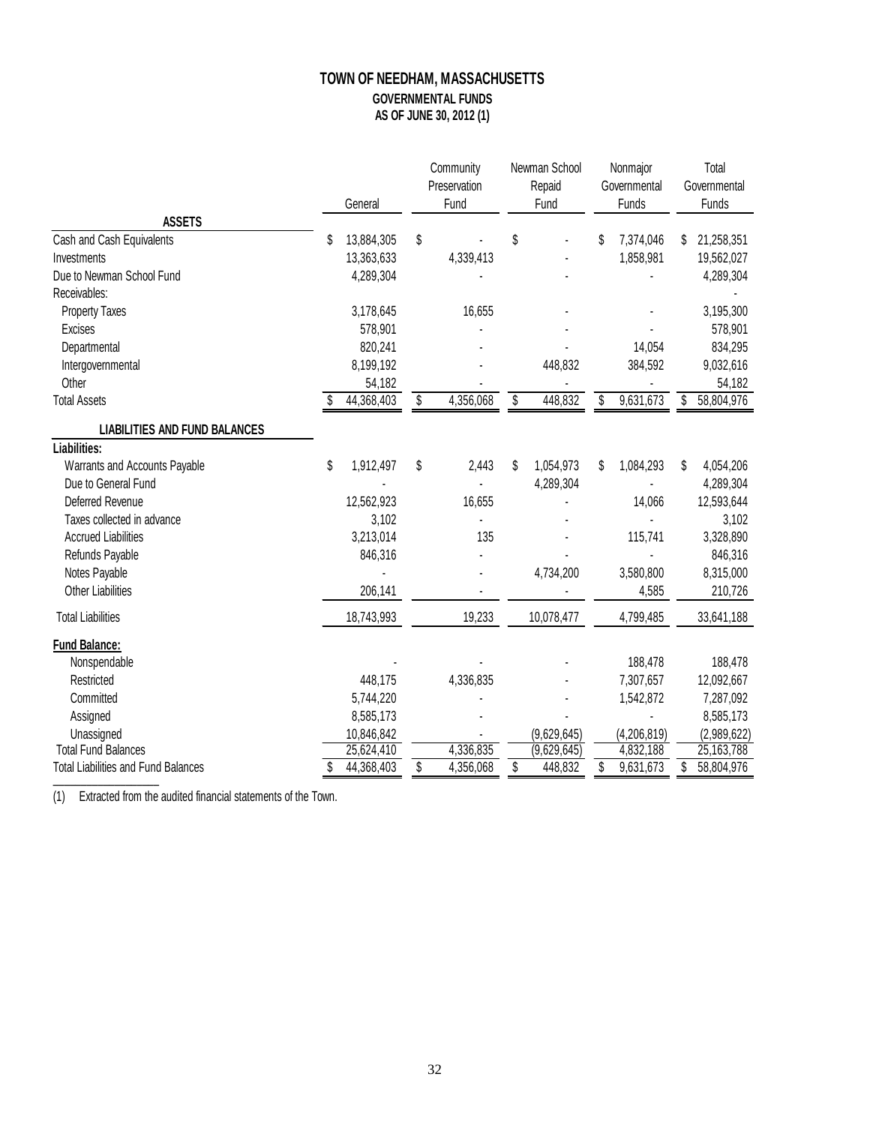# **TOWN OF NEEDHAM, MASSACHUSETTS GOVERNMENTAL FUNDS AS OF JUNE 30, 2012 (1)**

|                                            |    | Community<br>Preservation<br>General |    |           | Newman School |                | Nonmajor |                       | Total                 |             |
|--------------------------------------------|----|--------------------------------------|----|-----------|---------------|----------------|----------|-----------------------|-----------------------|-------------|
|                                            |    |                                      |    | Fund      |               | Repaid<br>Fund |          | Governmental<br>Funds | Governmental<br>Funds |             |
| <b>ASSETS</b>                              |    |                                      |    |           |               |                |          |                       |                       |             |
| Cash and Cash Equivalents                  | S  | 13,884,305                           | \$ |           | \$            |                | \$       | 7,374,046             | S                     | 21,258,351  |
| Investments                                |    | 13,363,633                           |    | 4,339,413 |               |                |          | 1,858,981             |                       | 19,562,027  |
| Due to Newman School Fund                  |    | 4,289,304                            |    |           |               |                |          |                       |                       | 4,289,304   |
| Receivables:                               |    |                                      |    |           |               |                |          |                       |                       |             |
| <b>Property Taxes</b>                      |    | 3,178,645                            |    | 16,655    |               |                |          |                       |                       | 3,195,300   |
| Excises                                    |    | 578,901                              |    |           |               |                |          |                       |                       | 578,901     |
| Departmental                               |    | 820,241                              |    |           |               |                |          | 14,054                |                       | 834,295     |
| Intergovernmental                          |    | 8,199,192                            |    |           |               | 448,832        |          | 384,592               |                       | 9,032,616   |
| Other                                      |    | 54,182                               |    |           |               |                |          |                       |                       | 54,182      |
| <b>Total Assets</b>                        |    | 44,368,403                           | \$ | 4,356,068 | \$            | 448,832        | \$       | 9,631,673             | \$                    | 58,804,976  |
| <b>LIABILITIES AND FUND BALANCES</b>       |    |                                      |    |           |               |                |          |                       |                       |             |
| Liabilities:                               |    |                                      |    |           |               |                |          |                       |                       |             |
| Warrants and Accounts Payable              | \$ | 1,912,497                            | \$ | 2,443     | S             | 1,054,973      | \$       | 1,084,293             | S                     | 4,054,206   |
| Due to General Fund                        |    |                                      |    |           |               | 4,289,304      |          |                       |                       | 4,289,304   |
| Deferred Revenue                           |    | 12,562,923                           |    | 16,655    |               |                |          | 14,066                |                       | 12,593,644  |
| Taxes collected in advance                 |    | 3,102                                |    |           |               |                |          |                       |                       | 3,102       |
| <b>Accrued Liabilities</b>                 |    | 3,213,014                            |    | 135       |               |                |          | 115,741               |                       | 3,328,890   |
| Refunds Payable                            |    | 846,316                              |    |           |               |                |          |                       |                       | 846,316     |
| Notes Payable                              |    |                                      |    |           |               | 4,734,200      |          | 3,580,800             |                       | 8,315,000   |
| <b>Other Liabilities</b>                   |    | 206,141                              |    |           |               |                |          | 4,585                 |                       | 210,726     |
| <b>Total Liabilities</b>                   |    | 18,743,993                           |    | 19,233    |               | 10,078,477     |          | 4,799,485             |                       | 33,641,188  |
| <b>Fund Balance:</b>                       |    |                                      |    |           |               |                |          |                       |                       |             |
| Nonspendable                               |    |                                      |    |           |               |                |          | 188,478               |                       | 188,478     |
| Restricted                                 |    | 448,175                              |    | 4,336,835 |               |                |          | 7,307,657             |                       | 12,092,667  |
| Committed                                  |    | 5,744,220                            |    |           |               |                |          | 1,542,872             |                       | 7,287,092   |
| Assigned                                   |    | 8,585,173                            |    |           |               |                |          |                       |                       | 8,585,173   |
| Unassigned                                 |    | 10,846,842                           |    |           |               | (9,629,645)    |          | (4, 206, 819)         |                       | (2,989,622) |
| <b>Total Fund Balances</b>                 |    | 25,624,410                           |    | 4,336,835 |               | (9,629,645)    |          | 4,832,188             |                       | 25,163,788  |
| <b>Total Liabilities and Fund Balances</b> |    | 44,368,403                           | \$ | 4,356,068 | \$            | 448,832        | \$       | 9,631,673             | \$                    | 58,804,976  |

(1) Extracted from the audited financial statements of the Town.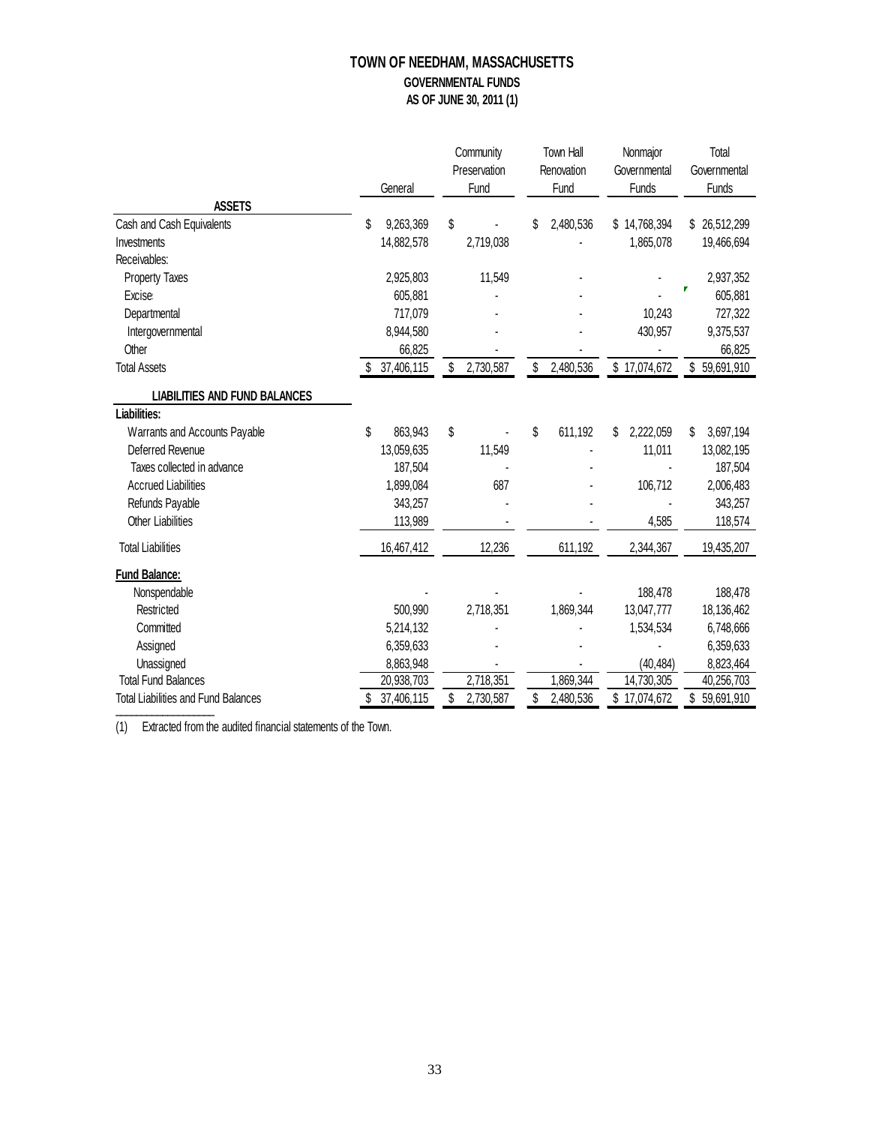# **TOWN OF NEEDHAM, MASSACHUSETTS GOVERNMENTAL FUNDS AS OF JUNE 30, 2011 (1)**

|                                            |                 | Community       | Town Hall       | Nonmajor        | Total            |
|--------------------------------------------|-----------------|-----------------|-----------------|-----------------|------------------|
|                                            |                 | Preservation    | Renovation      | Governmental    | Governmental     |
|                                            | General         | Fund            | Fund            | Funds           | Funds            |
| <b>ASSETS</b>                              |                 |                 |                 |                 |                  |
| Cash and Cash Equivalents                  | 9,263,369<br>\$ | \$              | 2,480,536<br>\$ | \$14,768,394    | \$ 26,512,299    |
| Investments                                | 14,882,578      | 2,719,038       |                 | 1,865,078       | 19,466,694       |
| Receivables:                               |                 |                 |                 |                 |                  |
| Property Taxes                             | 2,925,803       | 11,549          |                 |                 | 2,937,352        |
| <b>Excise</b>                              | 605,881         |                 |                 |                 | 605,881          |
| Departmental                               | 717,079         |                 |                 | 10,243          | 727,322          |
| Intergovernmental                          | 8,944,580       |                 |                 | 430,957         | 9,375,537        |
| Other                                      | 66,825          |                 |                 |                 | 66,825           |
| <b>Total Assets</b>                        | 37,406,115      | 2,730,587<br>\$ | 2,480,536<br>\$ | \$17,074,672    | \$59,691,910     |
| <b>LIABILITIES AND FUND BALANCES</b>       |                 |                 |                 |                 |                  |
| Liabilities:                               |                 |                 |                 |                 |                  |
| Warrants and Accounts Payable              | \$<br>863,943   | \$              | \$<br>611,192   | 2,222,059<br>\$ | 3,697,194<br>\$  |
| Deferred Revenue                           | 13,059,635      | 11,549          |                 | 11,011          | 13,082,195       |
| Taxes collected in advance                 | 187,504         |                 |                 |                 | 187,504          |
| <b>Accrued Liabilities</b>                 | 1,899,084       | 687             |                 | 106,712         | 2,006,483        |
| Refunds Payable                            | 343,257         |                 |                 |                 | 343,257          |
| <b>Other Liabilities</b>                   | 113,989         |                 |                 | 4,585           | 118,574          |
| <b>Total Liabilities</b>                   | 16,467,412      | 12,236          | 611,192         | 2,344,367       | 19,435,207       |
| <b>Fund Balance:</b>                       |                 |                 |                 |                 |                  |
| Nonspendable                               |                 |                 |                 | 188,478         | 188,478          |
| Restricted                                 | 500,990         | 2,718,351       | 1,869,344       | 13,047,777      | 18,136,462       |
| Committed                                  | 5,214,132       |                 |                 | 1,534,534       | 6,748,666        |
| Assigned                                   | 6,359,633       |                 |                 |                 | 6,359,633        |
| Unassigned                                 | 8,863,948       |                 |                 | (40, 484)       | 8,823,464        |
| <b>Total Fund Balances</b>                 | 20,938,703      | 2,718,351       | 1,869,344       | 14,730,305      | 40,256,703       |
| <b>Total Liabilities and Fund Balances</b> | 37,406,115      | \$<br>2,730,587 | \$<br>2,480,536 | \$17,074,672    | \$<br>59,691,910 |

(1) Extracted from the audited financial statements of the Town.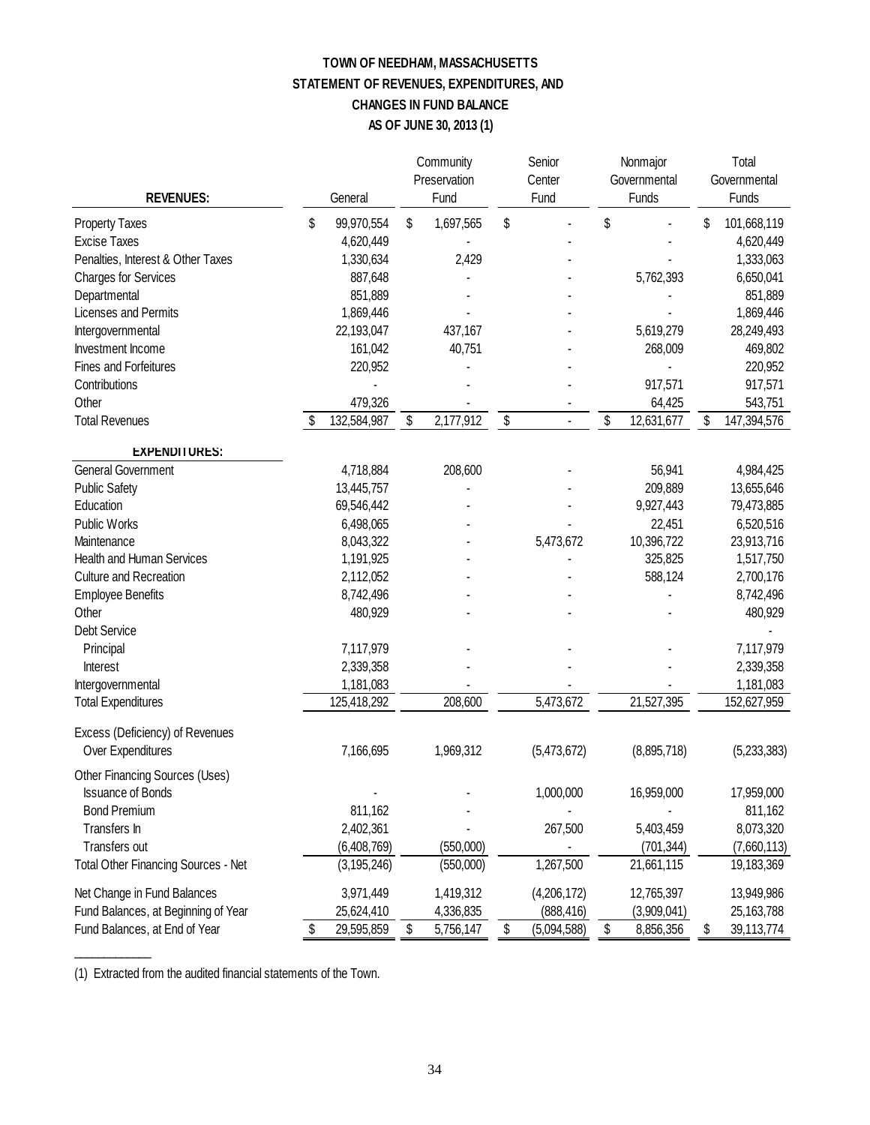# **TOWN OF NEEDHAM, MASSACHUSETTS STATEMENT OF REVENUES, EXPENDITURES, AND CHANGES IN FUND BALANCE AS OF JUNE 30, 2013 (1)**

| <b>REVENUES:</b>                           |    | General       |    | Community<br>Preservation<br>Fund | Senior<br>Center<br>Fund | Nonmajor<br>Governmental<br>Funds | Total<br>Governmental<br>Funds |             |
|--------------------------------------------|----|---------------|----|-----------------------------------|--------------------------|-----------------------------------|--------------------------------|-------------|
| <b>Property Taxes</b>                      | \$ | 99,970,554    | \$ | 1,697,565                         | \$                       | \$                                | \$                             | 101,668,119 |
| <b>Excise Taxes</b>                        |    | 4,620,449     |    |                                   |                          |                                   |                                | 4,620,449   |
| Penalties, Interest & Other Taxes          |    | 1,330,634     |    | 2,429                             |                          |                                   |                                | 1,333,063   |
| <b>Charges for Services</b>                |    | 887,648       |    |                                   |                          | 5,762,393                         |                                | 6,650,041   |
| Departmental                               |    | 851,889       |    |                                   |                          |                                   |                                | 851,889     |
| Licenses and Permits                       |    | 1,869,446     |    |                                   |                          |                                   |                                | 1,869,446   |
| Intergovernmental                          |    | 22,193,047    |    | 437,167                           |                          | 5,619,279                         |                                | 28,249,493  |
| Investment Income                          |    | 161,042       |    | 40,751                            |                          | 268,009                           |                                | 469,802     |
| Fines and Forfeitures                      |    | 220,952       |    |                                   |                          |                                   |                                | 220,952     |
| Contributions                              |    |               |    |                                   |                          | 917,571                           |                                | 917,571     |
| Other                                      |    | 479,326       |    |                                   |                          | 64,425                            |                                | 543,751     |
| <b>Total Revenues</b>                      | \$ | 132,584,987   | \$ | 2,177,912                         | \$<br>L.                 | \$<br>12,631,677                  | \$                             | 147,394,576 |
| <b>EXPENDITURES:</b>                       |    |               |    |                                   |                          |                                   |                                |             |
| <b>General Government</b>                  |    | 4,718,884     |    | 208,600                           |                          | 56,941                            |                                | 4,984,425   |
| <b>Public Safety</b>                       |    | 13,445,757    |    |                                   |                          | 209,889                           |                                | 13,655,646  |
| Education                                  |    | 69,546,442    |    |                                   |                          | 9,927,443                         |                                | 79,473,885  |
| Public Works                               |    | 6,498,065     |    |                                   |                          | 22,451                            |                                | 6,520,516   |
| Maintenance                                |    | 8,043,322     |    |                                   | 5,473,672                | 10,396,722                        |                                | 23,913,716  |
| Health and Human Services                  |    | 1,191,925     |    |                                   |                          | 325,825                           |                                | 1,517,750   |
| Culture and Recreation                     |    | 2,112,052     |    |                                   |                          | 588,124                           |                                | 2,700,176   |
| <b>Employee Benefits</b>                   |    | 8,742,496     |    |                                   |                          |                                   |                                | 8,742,496   |
| Other                                      |    | 480,929       |    |                                   |                          |                                   |                                | 480,929     |
| <b>Debt Service</b>                        |    |               |    |                                   |                          |                                   |                                |             |
| Principal                                  |    | 7,117,979     |    |                                   |                          |                                   |                                | 7,117,979   |
| Interest                                   |    | 2,339,358     |    |                                   |                          |                                   |                                | 2,339,358   |
| Intergovernmental                          |    | 1,181,083     |    |                                   |                          |                                   |                                | 1,181,083   |
| <b>Total Expenditures</b>                  |    | 125,418,292   |    | 208,600                           | 5,473,672                | 21,527,395                        |                                | 152,627,959 |
| Excess (Deficiency) of Revenues            |    |               |    |                                   |                          |                                   |                                |             |
| Over Expenditures                          |    | 7,166,695     |    | 1,969,312                         | (5,473,672)              | (8,895,718)                       |                                | (5,233,383) |
| Other Financing Sources (Uses)             |    |               |    |                                   |                          |                                   |                                |             |
| <b>Issuance of Bonds</b>                   |    |               |    |                                   | 1,000,000                | 16,959,000                        |                                | 17,959,000  |
| <b>Bond Premium</b>                        |    | 811,162       |    |                                   |                          |                                   |                                | 811,162     |
| Transfers In                               |    | 2,402,361     |    |                                   | 267,500                  | 5,403,459                         |                                | 8,073,320   |
| Transfers out                              |    | (6,408,769)   |    | (550,000)                         |                          | (701, 344)                        |                                | (7,660,113) |
| <b>Total Other Financing Sources - Net</b> |    | (3, 195, 246) |    | (550,000)                         | 1,267,500                | 21,661,115                        |                                | 19,183,369  |
| Net Change in Fund Balances                |    | 3,971,449     |    | 1,419,312                         | (4,206,172)              | 12,765,397                        |                                | 13,949,986  |
| Fund Balances, at Beginning of Year        |    | 25,624,410    |    | 4,336,835                         | (888, 416)               | (3,909,041)                       |                                | 25,163,788  |
| Fund Balances, at End of Year              | \$ | 29,595,859    | \$ | 5,756,147                         | \$<br>(5,094,588)        | \$<br>8,856,356                   | \$                             | 39,113,774  |

(1) Extracted from the audited financial statements of the Town.

 $\overline{\phantom{a}}$  , where  $\overline{\phantom{a}}$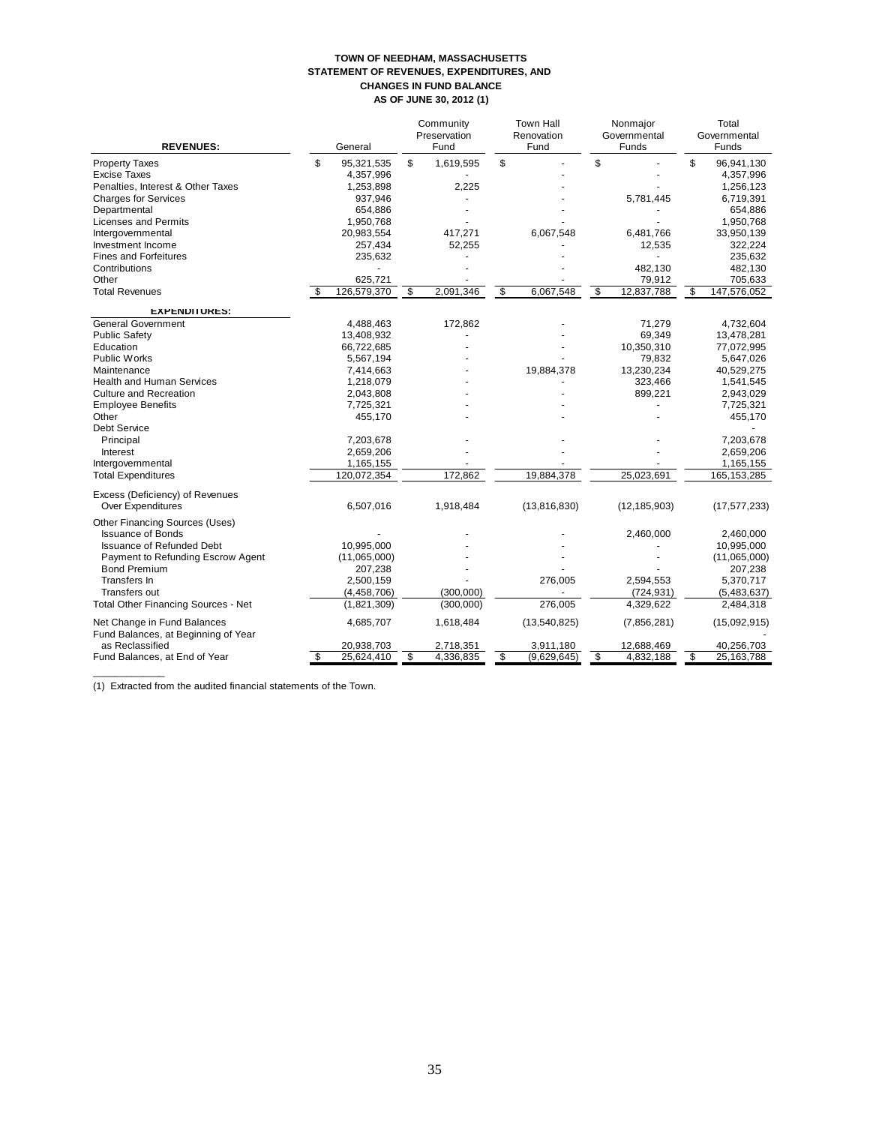#### **TOWN OF NEEDHAM, MASSACHUSETTS STATEMENT OF REVENUES, EXPENDITURES, AND CHANGES IN FUND BALANCE AS OF JUNE 30, 2012 (1)**

| <b>REVENUES:</b>                                                                                                                                                                                                                                                                                                                                                            |    | General                                                                                                                                                                 |                         | Community<br>Preservation<br>Fund   | <b>Town Hall</b><br>Renovation<br>Fund         |                             | Nonmajor<br>Governmental<br>Funds                                                          | Total<br>Governmental<br>Funds |                                                                                                                                                                            |
|-----------------------------------------------------------------------------------------------------------------------------------------------------------------------------------------------------------------------------------------------------------------------------------------------------------------------------------------------------------------------------|----|-------------------------------------------------------------------------------------------------------------------------------------------------------------------------|-------------------------|-------------------------------------|------------------------------------------------|-----------------------------|--------------------------------------------------------------------------------------------|--------------------------------|----------------------------------------------------------------------------------------------------------------------------------------------------------------------------|
| <b>Property Taxes</b><br><b>Excise Taxes</b><br>Penalties, Interest & Other Taxes<br><b>Charges for Services</b><br>Departmental                                                                                                                                                                                                                                            | \$ | 95,321,535<br>4,357,996<br>1,253,898<br>937,946<br>654,886                                                                                                              | \$                      | 1,619,595<br>2,225                  | \$                                             | \$                          | 5,781,445                                                                                  | \$                             | 96,941,130<br>4,357,996<br>1,256,123<br>6,719,391<br>654,886                                                                                                               |
| <b>Licenses and Permits</b><br>Intergovernmental<br>Investment Income<br><b>Fines and Forfeitures</b><br>Contributions                                                                                                                                                                                                                                                      |    | 1,950,768<br>20,983,554<br>257,434<br>235,632                                                                                                                           |                         | 417,271<br>52,255                   | 6,067,548                                      |                             | 6,481,766<br>12,535<br>482,130                                                             |                                | 1,950,768<br>33,950,139<br>322,224<br>235,632<br>482,130                                                                                                                   |
| Other<br><b>Total Revenues</b>                                                                                                                                                                                                                                                                                                                                              |    | 625,721<br>126,579,370                                                                                                                                                  | $\overline{\mathbf{3}}$ | 2,091,346                           | \$<br>6,067,548                                | $\boldsymbol{\mathfrak{s}}$ | 79,912<br>12,837,788                                                                       | \$                             | 705,633<br>147,576,052                                                                                                                                                     |
| <b>EXPENDITURES:</b><br><b>General Government</b><br><b>Public Safety</b><br>Education<br><b>Public Works</b><br>Maintenance<br><b>Health and Human Services</b><br><b>Culture and Recreation</b><br><b>Employee Benefits</b><br>Other<br><b>Debt Service</b><br>Principal<br>Interest<br>Intergovernmental<br><b>Total Expenditures</b><br>Excess (Deficiency) of Revenues |    | 4,488,463<br>13,408,932<br>66,722,685<br>5,567,194<br>7,414,663<br>1,218,079<br>2,043,808<br>7,725,321<br>455,170<br>7,203,678<br>2,659,206<br>1,165,155<br>120,072,354 |                         | 172,862<br>172.862                  | 19,884,378<br>19.884.378                       |                             | 71,279<br>69,349<br>10,350,310<br>79,832<br>13,230,234<br>323,466<br>899,221<br>25,023,691 |                                | 4,732,604<br>13,478,281<br>77,072,995<br>5,647,026<br>40,529,275<br>1,541,545<br>2,943,029<br>7,725,321<br>455,170<br>7,203,678<br>2,659,206<br>1,165,155<br>165, 153, 285 |
| Over Expenditures<br>Other Financing Sources (Uses)<br><b>Issuance of Bonds</b><br><b>Issuance of Refunded Debt</b><br>Payment to Refunding Escrow Agent<br><b>Bond Premium</b><br>Transfers In<br>Transfers out<br><b>Total Other Financing Sources - Net</b>                                                                                                              |    | 6,507,016<br>10,995,000<br>(11,065,000)<br>207,238<br>2,500,159<br>(4, 458, 706)<br>(1,821,309)                                                                         |                         | 1,918,484<br>(300.000)<br>(300,000) | (13,816,830)<br>276,005<br>276,005             |                             | (12, 185, 903)<br>2,460,000<br>2,594,553<br>(724, 931)<br>4,329,622                        |                                | (17, 577, 233)<br>2,460,000<br>10,995,000<br>(11,065,000)<br>207,238<br>5,370,717<br>(5,483,637)<br>2,484,318                                                              |
| Net Change in Fund Balances<br>Fund Balances, at Beginning of Year<br>as Reclassified<br>Fund Balances, at End of Year                                                                                                                                                                                                                                                      | \$ | 4,685,707<br>20,938,703<br>25,624,410                                                                                                                                   | \$                      | 1,618,484<br>2,718,351<br>4,336,835 | \$<br>(13,540,825)<br>3,911,180<br>(9,629,645) | \$                          | (7,856,281)<br>12,688,469<br>4,832,188                                                     | \$                             | (15,092,915)<br>40,256,703<br>25,163,788                                                                                                                                   |

(1) Extracted from the audited financial statements of the Town.

 $\overline{\phantom{a}}$  , and the contract of the contract of the contract of the contract of the contract of the contract of the contract of the contract of the contract of the contract of the contract of the contract of the contrac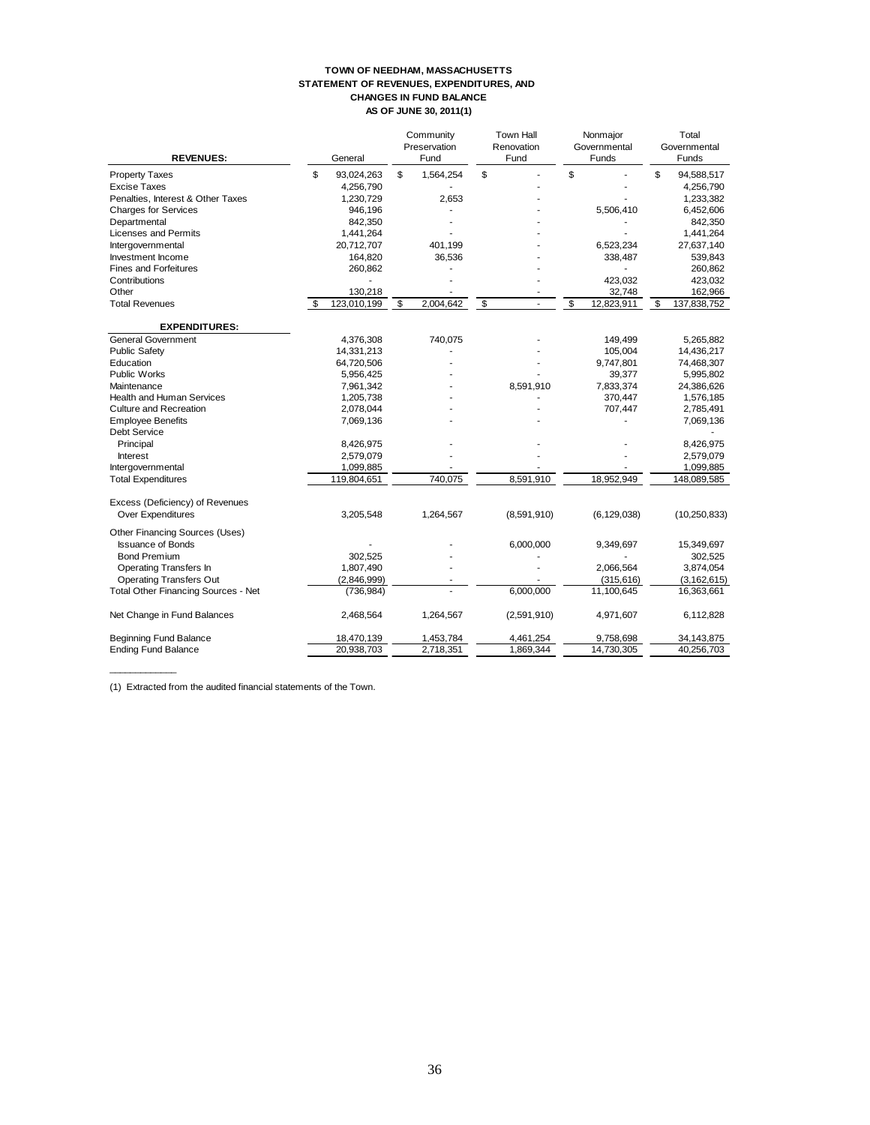#### **TOWN OF NEEDHAM, MASSACHUSETTS STATEMENT OF REVENUES, EXPENDITURES, AND CHANGES IN FUND BALANCE AS OF JUNE 30, 2011(1)**

| <b>REVENUES:</b>                    | General           |                         | Community<br>Preservation<br>Fund | <b>Town Hall</b><br>Renovation<br>Fund | Nonmajor<br>Governmental<br>Funds | Total<br>Governmental<br>Funds |  |
|-------------------------------------|-------------------|-------------------------|-----------------------------------|----------------------------------------|-----------------------------------|--------------------------------|--|
| <b>Property Taxes</b>               | \$<br>93,024,263  | \$                      | 1,564,254                         | \$                                     | \$                                | \$<br>94,588,517               |  |
| <b>Excise Taxes</b>                 | 4,256,790         |                         |                                   |                                        |                                   | 4,256,790                      |  |
| Penalties, Interest & Other Taxes   | 1,230,729         |                         | 2,653                             |                                        |                                   | 1,233,382                      |  |
| <b>Charges for Services</b>         | 946,196           |                         |                                   |                                        | 5,506,410                         | 6,452,606                      |  |
| Departmental                        | 842,350           |                         |                                   |                                        |                                   | 842,350                        |  |
| Licenses and Permits                | 1,441,264         |                         |                                   |                                        |                                   | 1,441,264                      |  |
| Intergovernmental                   | 20,712,707        |                         | 401,199                           |                                        | 6,523,234                         | 27,637,140                     |  |
| Investment Income                   | 164,820           |                         | 36,536                            |                                        | 338,487                           | 539,843                        |  |
| <b>Fines and Forfeitures</b>        | 260,862           |                         |                                   |                                        |                                   | 260,862                        |  |
| Contributions                       |                   |                         |                                   |                                        | 423,032                           | 423,032                        |  |
| Other                               | 130,218           |                         |                                   |                                        | 32,748                            | 162,966                        |  |
| <b>Total Revenues</b>               | \$<br>123.010.199 | $\overline{\mathbf{s}}$ | 2.004.642                         | \$                                     | \$<br>$\overline{12,823,911}$     | \$<br>137,838,752              |  |
| <b>EXPENDITURES:</b>                |                   |                         |                                   |                                        |                                   |                                |  |
| <b>General Government</b>           | 4,376,308         |                         | 740,075                           |                                        | 149,499                           | 5,265,882                      |  |
| <b>Public Safety</b>                | 14,331,213        |                         |                                   |                                        | 105.004                           | 14,436,217                     |  |
| Education                           | 64,720,506        |                         |                                   |                                        | 9,747,801                         | 74,468,307                     |  |
| <b>Public Works</b>                 | 5,956,425         |                         |                                   |                                        | 39,377                            | 5,995,802                      |  |
| Maintenance                         | 7,961,342         |                         |                                   | 8,591,910                              | 7,833,374                         | 24,386,626                     |  |
| <b>Health and Human Services</b>    | 1,205,738         |                         |                                   |                                        | 370,447                           | 1,576,185                      |  |
| <b>Culture and Recreation</b>       | 2,078,044         |                         |                                   |                                        | 707,447                           | 2,785,491                      |  |
| <b>Employee Benefits</b>            | 7,069,136         |                         |                                   |                                        |                                   | 7,069,136                      |  |
| Debt Service                        |                   |                         |                                   |                                        |                                   |                                |  |
| Principal                           | 8,426,975         |                         |                                   |                                        |                                   | 8,426,975                      |  |
| <b>Interest</b>                     | 2,579,079         |                         |                                   |                                        |                                   | 2,579,079                      |  |
| Intergovernmental                   | 1,099,885         |                         |                                   |                                        |                                   | 1,099,885                      |  |
| <b>Total Expenditures</b>           | 119,804,651       |                         | 740,075                           | 8,591,910                              | 18,952,949                        | 148,089,585                    |  |
| Excess (Deficiency) of Revenues     |                   |                         |                                   |                                        |                                   |                                |  |
| <b>Over Expenditures</b>            | 3,205,548         |                         | 1,264,567                         | (8,591,910)                            | (6, 129, 038)                     | (10, 250, 833)                 |  |
| Other Financing Sources (Uses)      |                   |                         |                                   |                                        |                                   |                                |  |
| <b>Issuance of Bonds</b>            |                   |                         |                                   | 6,000,000                              | 9,349,697                         | 15,349,697                     |  |
| <b>Bond Premium</b>                 | 302,525           |                         |                                   |                                        |                                   | 302,525                        |  |
| <b>Operating Transfers In</b>       | 1,807,490         |                         |                                   |                                        | 2,066,564                         | 3,874,054                      |  |
| <b>Operating Transfers Out</b>      | (2,846,999)       |                         |                                   |                                        | (315, 616)                        | (3, 162, 615)                  |  |
| Total Other Financing Sources - Net | (736, 984)        |                         |                                   | 6,000,000                              | 11,100,645                        | 16,363,661                     |  |
| Net Change in Fund Balances         | 2,468,564         |                         | 1,264,567                         | (2,591,910)                            | 4,971,607                         | 6,112,828                      |  |
| <b>Beginning Fund Balance</b>       | 18,470,139        |                         | 1,453,784                         | 4,461,254                              | 9,758,698                         | 34, 143, 875                   |  |
| <b>Ending Fund Balance</b>          | 20,938,703        |                         | 2,718,351                         | 1,869,344                              | 14,730,305                        | 40,256,703                     |  |

(1) Extracted from the audited financial statements of the Town.

 $\overline{\phantom{a}}$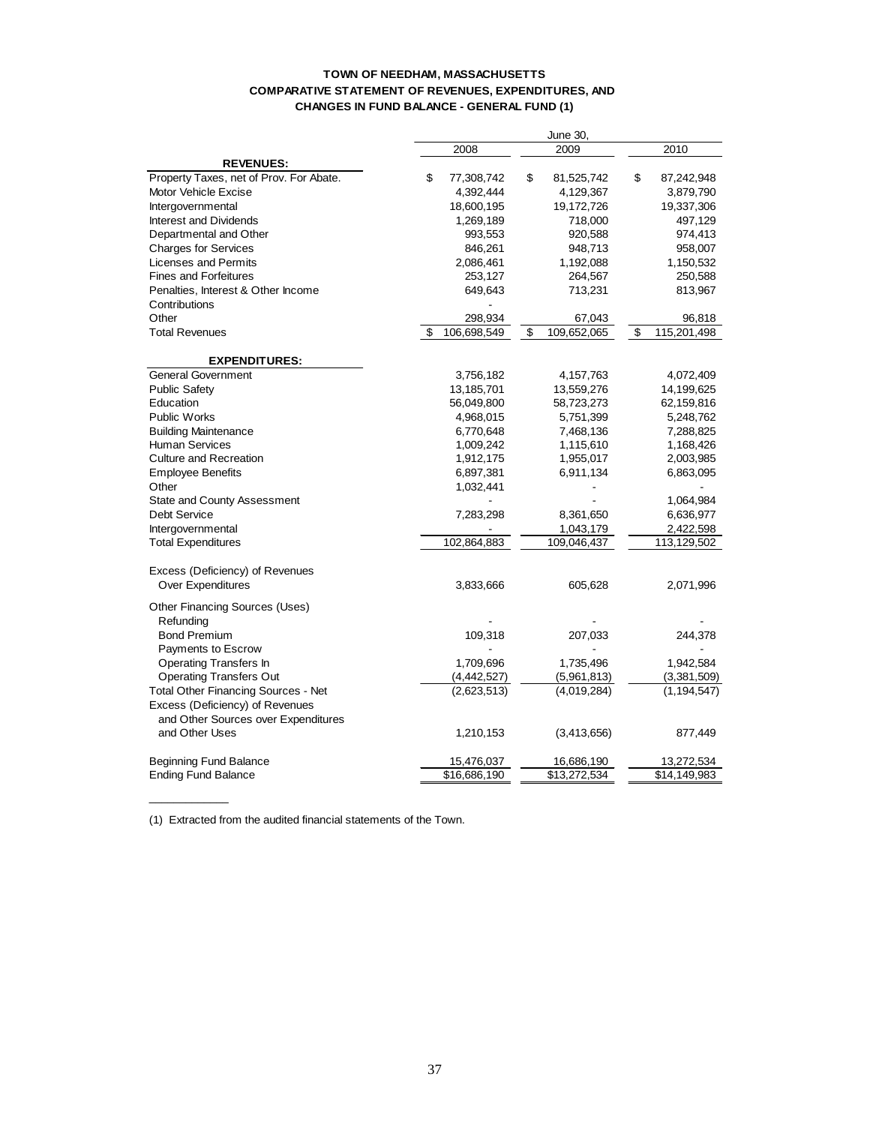#### **TOWN OF NEEDHAM, MASSACHUSETTS COMPARATIVE STATEMENT OF REVENUES, EXPENDITURES, AND CHANGES IN FUND BALANCE - GENERAL FUND (1)**

| 2010<br>2008<br>2009<br><b>REVENUES:</b><br>Property Taxes, net of Prov. For Abate.<br>\$<br>\$<br>77,308,742<br>\$<br>81,525,742<br>87,242,948<br>Motor Vehicle Excise<br>4,392,444<br>4,129,367<br>3,879,790<br>18,600,195<br>19,172,726<br>19,337,306<br>Intergovernmental<br><b>Interest and Dividends</b><br>1,269,189<br>718,000<br>497,129<br>Departmental and Other<br>993,553<br>920,588<br>974,413<br><b>Charges for Services</b><br>846,261<br>948,713<br>958,007<br>Licenses and Permits<br>2,086,461<br>1,192,088<br>1,150,532<br><b>Fines and Forfeitures</b><br>253,127<br>264,567<br>250,588<br>Penalties, Interest & Other Income<br>649,643<br>713,231<br>813,967<br>Contributions<br>Other<br>298,934<br>67,043<br>96,818<br>\$<br>109,652,065<br>\$<br>115,201,498<br><b>Total Revenues</b><br>\$<br>106,698,549<br><b>EXPENDITURES:</b><br>General Government<br>3,756,182<br>4,157,763<br>4,072,409<br><b>Public Safety</b><br>13,185,701<br>13,559,276<br>14,199,625<br>Education<br>56,049,800<br>58,723,273<br>62,159,816<br><b>Public Works</b><br>4,968,015<br>5,751,399<br>5,248,762<br><b>Building Maintenance</b><br>6,770,648<br>7,468,136<br>7,288,825<br><b>Human Services</b><br>1,009,242<br>1,115,610<br>1,168,426<br><b>Culture and Recreation</b><br>1,912,175<br>1,955,017<br>2,003,985<br><b>Employee Benefits</b><br>6,897,381<br>6,911,134<br>6,863,095<br>Other<br>1,032,441<br><b>State and County Assessment</b><br>1,064,984<br><b>Debt Service</b><br>7,283,298<br>8,361,650<br>6,636,977<br>1,043,179<br>Intergovernmental<br>2,422,598<br>102,864,883<br>109,046,437<br>113,129,502<br><b>Total Expenditures</b><br>Excess (Deficiency) of Revenues<br><b>Over Expenditures</b><br>3,833,666<br>605,628<br>2,071,996<br>Other Financing Sources (Uses)<br>Refunding<br><b>Bond Premium</b><br>109,318<br>207,033<br>244,378<br>Payments to Escrow<br><b>Operating Transfers In</b><br>1,709,696<br>1,735,496<br>1,942,584<br><b>Operating Transfers Out</b><br>(4, 442, 527)<br>(5,961,813)<br>(3,381,509)<br><b>Total Other Financing Sources - Net</b><br>(2,623,513)<br>(4,019,284)<br>(1, 194, 547)<br>Excess (Deficiency) of Revenues<br>and Other Sources over Expenditures<br>and Other Uses<br>1,210,153<br>(3,413,656)<br>877,449<br><b>Beginning Fund Balance</b><br>15,476,037<br>16,686,190<br>13,272,534<br>\$16,686,190<br>\$13,272,534<br>\$14,149,983<br><b>Ending Fund Balance</b> |  |  | June 30, |  |
|------------------------------------------------------------------------------------------------------------------------------------------------------------------------------------------------------------------------------------------------------------------------------------------------------------------------------------------------------------------------------------------------------------------------------------------------------------------------------------------------------------------------------------------------------------------------------------------------------------------------------------------------------------------------------------------------------------------------------------------------------------------------------------------------------------------------------------------------------------------------------------------------------------------------------------------------------------------------------------------------------------------------------------------------------------------------------------------------------------------------------------------------------------------------------------------------------------------------------------------------------------------------------------------------------------------------------------------------------------------------------------------------------------------------------------------------------------------------------------------------------------------------------------------------------------------------------------------------------------------------------------------------------------------------------------------------------------------------------------------------------------------------------------------------------------------------------------------------------------------------------------------------------------------------------------------------------------------------------------------------------------------------------------------------------------------------------------------------------------------------------------------------------------------------------------------------------------------------------------------------------------------------------------------------------------------------------------------------------------------------------------------------------------------------------------------------------|--|--|----------|--|
|                                                                                                                                                                                                                                                                                                                                                                                                                                                                                                                                                                                                                                                                                                                                                                                                                                                                                                                                                                                                                                                                                                                                                                                                                                                                                                                                                                                                                                                                                                                                                                                                                                                                                                                                                                                                                                                                                                                                                                                                                                                                                                                                                                                                                                                                                                                                                                                                                                                      |  |  |          |  |
|                                                                                                                                                                                                                                                                                                                                                                                                                                                                                                                                                                                                                                                                                                                                                                                                                                                                                                                                                                                                                                                                                                                                                                                                                                                                                                                                                                                                                                                                                                                                                                                                                                                                                                                                                                                                                                                                                                                                                                                                                                                                                                                                                                                                                                                                                                                                                                                                                                                      |  |  |          |  |
|                                                                                                                                                                                                                                                                                                                                                                                                                                                                                                                                                                                                                                                                                                                                                                                                                                                                                                                                                                                                                                                                                                                                                                                                                                                                                                                                                                                                                                                                                                                                                                                                                                                                                                                                                                                                                                                                                                                                                                                                                                                                                                                                                                                                                                                                                                                                                                                                                                                      |  |  |          |  |
|                                                                                                                                                                                                                                                                                                                                                                                                                                                                                                                                                                                                                                                                                                                                                                                                                                                                                                                                                                                                                                                                                                                                                                                                                                                                                                                                                                                                                                                                                                                                                                                                                                                                                                                                                                                                                                                                                                                                                                                                                                                                                                                                                                                                                                                                                                                                                                                                                                                      |  |  |          |  |
|                                                                                                                                                                                                                                                                                                                                                                                                                                                                                                                                                                                                                                                                                                                                                                                                                                                                                                                                                                                                                                                                                                                                                                                                                                                                                                                                                                                                                                                                                                                                                                                                                                                                                                                                                                                                                                                                                                                                                                                                                                                                                                                                                                                                                                                                                                                                                                                                                                                      |  |  |          |  |
|                                                                                                                                                                                                                                                                                                                                                                                                                                                                                                                                                                                                                                                                                                                                                                                                                                                                                                                                                                                                                                                                                                                                                                                                                                                                                                                                                                                                                                                                                                                                                                                                                                                                                                                                                                                                                                                                                                                                                                                                                                                                                                                                                                                                                                                                                                                                                                                                                                                      |  |  |          |  |
|                                                                                                                                                                                                                                                                                                                                                                                                                                                                                                                                                                                                                                                                                                                                                                                                                                                                                                                                                                                                                                                                                                                                                                                                                                                                                                                                                                                                                                                                                                                                                                                                                                                                                                                                                                                                                                                                                                                                                                                                                                                                                                                                                                                                                                                                                                                                                                                                                                                      |  |  |          |  |
|                                                                                                                                                                                                                                                                                                                                                                                                                                                                                                                                                                                                                                                                                                                                                                                                                                                                                                                                                                                                                                                                                                                                                                                                                                                                                                                                                                                                                                                                                                                                                                                                                                                                                                                                                                                                                                                                                                                                                                                                                                                                                                                                                                                                                                                                                                                                                                                                                                                      |  |  |          |  |
|                                                                                                                                                                                                                                                                                                                                                                                                                                                                                                                                                                                                                                                                                                                                                                                                                                                                                                                                                                                                                                                                                                                                                                                                                                                                                                                                                                                                                                                                                                                                                                                                                                                                                                                                                                                                                                                                                                                                                                                                                                                                                                                                                                                                                                                                                                                                                                                                                                                      |  |  |          |  |
|                                                                                                                                                                                                                                                                                                                                                                                                                                                                                                                                                                                                                                                                                                                                                                                                                                                                                                                                                                                                                                                                                                                                                                                                                                                                                                                                                                                                                                                                                                                                                                                                                                                                                                                                                                                                                                                                                                                                                                                                                                                                                                                                                                                                                                                                                                                                                                                                                                                      |  |  |          |  |
|                                                                                                                                                                                                                                                                                                                                                                                                                                                                                                                                                                                                                                                                                                                                                                                                                                                                                                                                                                                                                                                                                                                                                                                                                                                                                                                                                                                                                                                                                                                                                                                                                                                                                                                                                                                                                                                                                                                                                                                                                                                                                                                                                                                                                                                                                                                                                                                                                                                      |  |  |          |  |
|                                                                                                                                                                                                                                                                                                                                                                                                                                                                                                                                                                                                                                                                                                                                                                                                                                                                                                                                                                                                                                                                                                                                                                                                                                                                                                                                                                                                                                                                                                                                                                                                                                                                                                                                                                                                                                                                                                                                                                                                                                                                                                                                                                                                                                                                                                                                                                                                                                                      |  |  |          |  |
|                                                                                                                                                                                                                                                                                                                                                                                                                                                                                                                                                                                                                                                                                                                                                                                                                                                                                                                                                                                                                                                                                                                                                                                                                                                                                                                                                                                                                                                                                                                                                                                                                                                                                                                                                                                                                                                                                                                                                                                                                                                                                                                                                                                                                                                                                                                                                                                                                                                      |  |  |          |  |
|                                                                                                                                                                                                                                                                                                                                                                                                                                                                                                                                                                                                                                                                                                                                                                                                                                                                                                                                                                                                                                                                                                                                                                                                                                                                                                                                                                                                                                                                                                                                                                                                                                                                                                                                                                                                                                                                                                                                                                                                                                                                                                                                                                                                                                                                                                                                                                                                                                                      |  |  |          |  |
|                                                                                                                                                                                                                                                                                                                                                                                                                                                                                                                                                                                                                                                                                                                                                                                                                                                                                                                                                                                                                                                                                                                                                                                                                                                                                                                                                                                                                                                                                                                                                                                                                                                                                                                                                                                                                                                                                                                                                                                                                                                                                                                                                                                                                                                                                                                                                                                                                                                      |  |  |          |  |
|                                                                                                                                                                                                                                                                                                                                                                                                                                                                                                                                                                                                                                                                                                                                                                                                                                                                                                                                                                                                                                                                                                                                                                                                                                                                                                                                                                                                                                                                                                                                                                                                                                                                                                                                                                                                                                                                                                                                                                                                                                                                                                                                                                                                                                                                                                                                                                                                                                                      |  |  |          |  |
|                                                                                                                                                                                                                                                                                                                                                                                                                                                                                                                                                                                                                                                                                                                                                                                                                                                                                                                                                                                                                                                                                                                                                                                                                                                                                                                                                                                                                                                                                                                                                                                                                                                                                                                                                                                                                                                                                                                                                                                                                                                                                                                                                                                                                                                                                                                                                                                                                                                      |  |  |          |  |
|                                                                                                                                                                                                                                                                                                                                                                                                                                                                                                                                                                                                                                                                                                                                                                                                                                                                                                                                                                                                                                                                                                                                                                                                                                                                                                                                                                                                                                                                                                                                                                                                                                                                                                                                                                                                                                                                                                                                                                                                                                                                                                                                                                                                                                                                                                                                                                                                                                                      |  |  |          |  |
|                                                                                                                                                                                                                                                                                                                                                                                                                                                                                                                                                                                                                                                                                                                                                                                                                                                                                                                                                                                                                                                                                                                                                                                                                                                                                                                                                                                                                                                                                                                                                                                                                                                                                                                                                                                                                                                                                                                                                                                                                                                                                                                                                                                                                                                                                                                                                                                                                                                      |  |  |          |  |
|                                                                                                                                                                                                                                                                                                                                                                                                                                                                                                                                                                                                                                                                                                                                                                                                                                                                                                                                                                                                                                                                                                                                                                                                                                                                                                                                                                                                                                                                                                                                                                                                                                                                                                                                                                                                                                                                                                                                                                                                                                                                                                                                                                                                                                                                                                                                                                                                                                                      |  |  |          |  |
|                                                                                                                                                                                                                                                                                                                                                                                                                                                                                                                                                                                                                                                                                                                                                                                                                                                                                                                                                                                                                                                                                                                                                                                                                                                                                                                                                                                                                                                                                                                                                                                                                                                                                                                                                                                                                                                                                                                                                                                                                                                                                                                                                                                                                                                                                                                                                                                                                                                      |  |  |          |  |
|                                                                                                                                                                                                                                                                                                                                                                                                                                                                                                                                                                                                                                                                                                                                                                                                                                                                                                                                                                                                                                                                                                                                                                                                                                                                                                                                                                                                                                                                                                                                                                                                                                                                                                                                                                                                                                                                                                                                                                                                                                                                                                                                                                                                                                                                                                                                                                                                                                                      |  |  |          |  |
|                                                                                                                                                                                                                                                                                                                                                                                                                                                                                                                                                                                                                                                                                                                                                                                                                                                                                                                                                                                                                                                                                                                                                                                                                                                                                                                                                                                                                                                                                                                                                                                                                                                                                                                                                                                                                                                                                                                                                                                                                                                                                                                                                                                                                                                                                                                                                                                                                                                      |  |  |          |  |
|                                                                                                                                                                                                                                                                                                                                                                                                                                                                                                                                                                                                                                                                                                                                                                                                                                                                                                                                                                                                                                                                                                                                                                                                                                                                                                                                                                                                                                                                                                                                                                                                                                                                                                                                                                                                                                                                                                                                                                                                                                                                                                                                                                                                                                                                                                                                                                                                                                                      |  |  |          |  |
|                                                                                                                                                                                                                                                                                                                                                                                                                                                                                                                                                                                                                                                                                                                                                                                                                                                                                                                                                                                                                                                                                                                                                                                                                                                                                                                                                                                                                                                                                                                                                                                                                                                                                                                                                                                                                                                                                                                                                                                                                                                                                                                                                                                                                                                                                                                                                                                                                                                      |  |  |          |  |
|                                                                                                                                                                                                                                                                                                                                                                                                                                                                                                                                                                                                                                                                                                                                                                                                                                                                                                                                                                                                                                                                                                                                                                                                                                                                                                                                                                                                                                                                                                                                                                                                                                                                                                                                                                                                                                                                                                                                                                                                                                                                                                                                                                                                                                                                                                                                                                                                                                                      |  |  |          |  |
|                                                                                                                                                                                                                                                                                                                                                                                                                                                                                                                                                                                                                                                                                                                                                                                                                                                                                                                                                                                                                                                                                                                                                                                                                                                                                                                                                                                                                                                                                                                                                                                                                                                                                                                                                                                                                                                                                                                                                                                                                                                                                                                                                                                                                                                                                                                                                                                                                                                      |  |  |          |  |
|                                                                                                                                                                                                                                                                                                                                                                                                                                                                                                                                                                                                                                                                                                                                                                                                                                                                                                                                                                                                                                                                                                                                                                                                                                                                                                                                                                                                                                                                                                                                                                                                                                                                                                                                                                                                                                                                                                                                                                                                                                                                                                                                                                                                                                                                                                                                                                                                                                                      |  |  |          |  |
|                                                                                                                                                                                                                                                                                                                                                                                                                                                                                                                                                                                                                                                                                                                                                                                                                                                                                                                                                                                                                                                                                                                                                                                                                                                                                                                                                                                                                                                                                                                                                                                                                                                                                                                                                                                                                                                                                                                                                                                                                                                                                                                                                                                                                                                                                                                                                                                                                                                      |  |  |          |  |
|                                                                                                                                                                                                                                                                                                                                                                                                                                                                                                                                                                                                                                                                                                                                                                                                                                                                                                                                                                                                                                                                                                                                                                                                                                                                                                                                                                                                                                                                                                                                                                                                                                                                                                                                                                                                                                                                                                                                                                                                                                                                                                                                                                                                                                                                                                                                                                                                                                                      |  |  |          |  |
|                                                                                                                                                                                                                                                                                                                                                                                                                                                                                                                                                                                                                                                                                                                                                                                                                                                                                                                                                                                                                                                                                                                                                                                                                                                                                                                                                                                                                                                                                                                                                                                                                                                                                                                                                                                                                                                                                                                                                                                                                                                                                                                                                                                                                                                                                                                                                                                                                                                      |  |  |          |  |
|                                                                                                                                                                                                                                                                                                                                                                                                                                                                                                                                                                                                                                                                                                                                                                                                                                                                                                                                                                                                                                                                                                                                                                                                                                                                                                                                                                                                                                                                                                                                                                                                                                                                                                                                                                                                                                                                                                                                                                                                                                                                                                                                                                                                                                                                                                                                                                                                                                                      |  |  |          |  |
|                                                                                                                                                                                                                                                                                                                                                                                                                                                                                                                                                                                                                                                                                                                                                                                                                                                                                                                                                                                                                                                                                                                                                                                                                                                                                                                                                                                                                                                                                                                                                                                                                                                                                                                                                                                                                                                                                                                                                                                                                                                                                                                                                                                                                                                                                                                                                                                                                                                      |  |  |          |  |
|                                                                                                                                                                                                                                                                                                                                                                                                                                                                                                                                                                                                                                                                                                                                                                                                                                                                                                                                                                                                                                                                                                                                                                                                                                                                                                                                                                                                                                                                                                                                                                                                                                                                                                                                                                                                                                                                                                                                                                                                                                                                                                                                                                                                                                                                                                                                                                                                                                                      |  |  |          |  |
|                                                                                                                                                                                                                                                                                                                                                                                                                                                                                                                                                                                                                                                                                                                                                                                                                                                                                                                                                                                                                                                                                                                                                                                                                                                                                                                                                                                                                                                                                                                                                                                                                                                                                                                                                                                                                                                                                                                                                                                                                                                                                                                                                                                                                                                                                                                                                                                                                                                      |  |  |          |  |
|                                                                                                                                                                                                                                                                                                                                                                                                                                                                                                                                                                                                                                                                                                                                                                                                                                                                                                                                                                                                                                                                                                                                                                                                                                                                                                                                                                                                                                                                                                                                                                                                                                                                                                                                                                                                                                                                                                                                                                                                                                                                                                                                                                                                                                                                                                                                                                                                                                                      |  |  |          |  |
|                                                                                                                                                                                                                                                                                                                                                                                                                                                                                                                                                                                                                                                                                                                                                                                                                                                                                                                                                                                                                                                                                                                                                                                                                                                                                                                                                                                                                                                                                                                                                                                                                                                                                                                                                                                                                                                                                                                                                                                                                                                                                                                                                                                                                                                                                                                                                                                                                                                      |  |  |          |  |
|                                                                                                                                                                                                                                                                                                                                                                                                                                                                                                                                                                                                                                                                                                                                                                                                                                                                                                                                                                                                                                                                                                                                                                                                                                                                                                                                                                                                                                                                                                                                                                                                                                                                                                                                                                                                                                                                                                                                                                                                                                                                                                                                                                                                                                                                                                                                                                                                                                                      |  |  |          |  |
|                                                                                                                                                                                                                                                                                                                                                                                                                                                                                                                                                                                                                                                                                                                                                                                                                                                                                                                                                                                                                                                                                                                                                                                                                                                                                                                                                                                                                                                                                                                                                                                                                                                                                                                                                                                                                                                                                                                                                                                                                                                                                                                                                                                                                                                                                                                                                                                                                                                      |  |  |          |  |
|                                                                                                                                                                                                                                                                                                                                                                                                                                                                                                                                                                                                                                                                                                                                                                                                                                                                                                                                                                                                                                                                                                                                                                                                                                                                                                                                                                                                                                                                                                                                                                                                                                                                                                                                                                                                                                                                                                                                                                                                                                                                                                                                                                                                                                                                                                                                                                                                                                                      |  |  |          |  |
|                                                                                                                                                                                                                                                                                                                                                                                                                                                                                                                                                                                                                                                                                                                                                                                                                                                                                                                                                                                                                                                                                                                                                                                                                                                                                                                                                                                                                                                                                                                                                                                                                                                                                                                                                                                                                                                                                                                                                                                                                                                                                                                                                                                                                                                                                                                                                                                                                                                      |  |  |          |  |
|                                                                                                                                                                                                                                                                                                                                                                                                                                                                                                                                                                                                                                                                                                                                                                                                                                                                                                                                                                                                                                                                                                                                                                                                                                                                                                                                                                                                                                                                                                                                                                                                                                                                                                                                                                                                                                                                                                                                                                                                                                                                                                                                                                                                                                                                                                                                                                                                                                                      |  |  |          |  |

(1) Extracted from the audited financial statements of the Town.

\_\_\_\_\_\_\_\_\_\_\_\_\_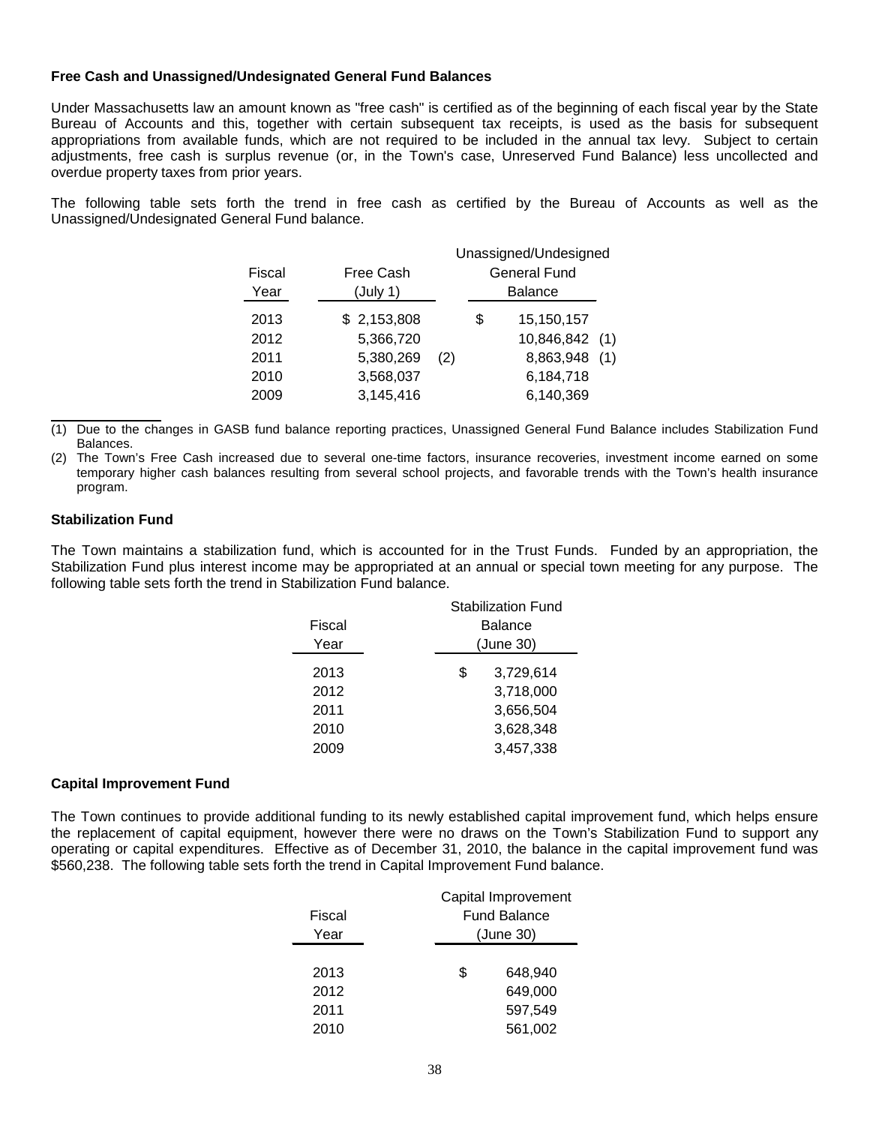#### **Free Cash and Unassigned/Undesignated General Fund Balances**

Under Massachusetts law an amount known as "free cash" is certified as of the beginning of each fiscal year by the State Bureau of Accounts and this, together with certain subsequent tax receipts, is used as the basis for subsequent appropriations from available funds, which are not required to be included in the annual tax levy. Subject to certain adjustments, free cash is surplus revenue (or, in the Town's case, Unreserved Fund Balance) less uncollected and overdue property taxes from prior years.

The following table sets forth the trend in free cash as certified by the Bureau of Accounts as well as the Unassigned/Undesignated General Fund balance.

|        |                  |                |    | Unassigned/Undesigned |  |  |  |
|--------|------------------|----------------|----|-----------------------|--|--|--|
| Fiscal | <b>Free Cash</b> |                |    | <b>General Fund</b>   |  |  |  |
| Year   | (July 1)         | <b>Balance</b> |    |                       |  |  |  |
| 2013   | \$2,153,808      |                | \$ | 15,150,157            |  |  |  |
| 2012   | 5,366,720        |                |    | 10,846,842 (1)        |  |  |  |
| 2011   | 5,380,269        | (2)            |    | 8,863,948 (1)         |  |  |  |
| 2010   | 3,568,037        |                |    | 6,184,718             |  |  |  |
| 2009   | 3,145,416        |                |    | 6,140,369             |  |  |  |

(1) Due to the changes in GASB fund balance reporting practices, Unassigned General Fund Balance includes Stabilization Fund Balances.

(2) The Town's Free Cash increased due to several one-time factors, insurance recoveries, investment income earned on some temporary higher cash balances resulting from several school projects, and favorable trends with the Town's health insurance program.

#### **Stabilization Fund**

The Town maintains a stabilization fund, which is accounted for in the Trust Funds. Funded by an appropriation, the Stabilization Fund plus interest income may be appropriated at an annual or special town meeting for any purpose. The following table sets forth the trend in Stabilization Fund balance.

|        | Stabilization Fund |
|--------|--------------------|
| Fiscal | <b>Balance</b>     |
| Year   | (June 30)          |
| 2013   | \$<br>3,729,614    |
| 2012   | 3,718,000          |
| 2011   | 3,656,504          |
| 2010   | 3,628,348          |
| 2009   | 3,457,338          |

#### **Capital Improvement Fund**

The Town continues to provide additional funding to its newly established capital improvement fund, which helps ensure the replacement of capital equipment, however there were no draws on the Town's Stabilization Fund to support any operating or capital expenditures. Effective as of December 31, 2010, the balance in the capital improvement fund was \$560,238. The following table sets forth the trend in Capital Improvement Fund balance.

|        | Capital Improvement |
|--------|---------------------|
| Fiscal | <b>Fund Balance</b> |
| Year   | (June 30)           |
|        |                     |
| 2013   | \$<br>648.940       |
| 2012   | 649,000             |
| 2011   | 597,549             |
| 2010   | 561,002             |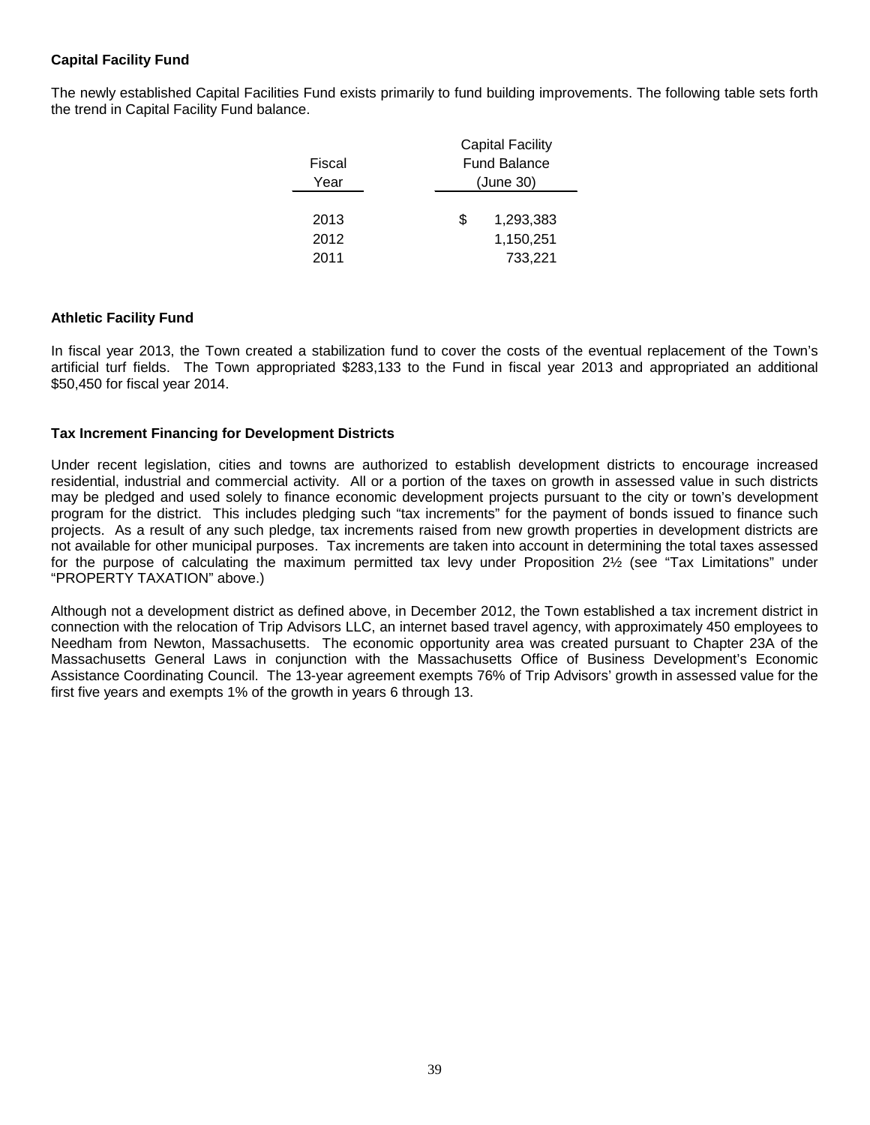# **Capital Facility Fund**

The newly established Capital Facilities Fund exists primarily to fund building improvements. The following table sets forth the trend in Capital Facility Fund balance.

|        | <b>Capital Facility</b> |
|--------|-------------------------|
| Fiscal | <b>Fund Balance</b>     |
| Year   | (June 30)               |
|        |                         |
| 2013   | \$<br>1,293,383         |
| 2012   | 1,150,251               |
| 2011   | 733.221                 |
|        |                         |

#### **Athletic Facility Fund**

In fiscal year 2013, the Town created a stabilization fund to cover the costs of the eventual replacement of the Town's artificial turf fields. The Town appropriated \$283,133 to the Fund in fiscal year 2013 and appropriated an additional \$50,450 for fiscal year 2014.

#### **Tax Increment Financing for Development Districts**

Under recent legislation, cities and towns are authorized to establish development districts to encourage increased residential, industrial and commercial activity. All or a portion of the taxes on growth in assessed value in such districts may be pledged and used solely to finance economic development projects pursuant to the city or town's development program for the district. This includes pledging such "tax increments" for the payment of bonds issued to finance such projects. As a result of any such pledge, tax increments raised from new growth properties in development districts are not available for other municipal purposes. Tax increments are taken into account in determining the total taxes assessed for the purpose of calculating the maximum permitted tax levy under Proposition 2½ (see "Tax Limitations" under "PROPERTY TAXATION" above.)

Although not a development district as defined above, in December 2012, the Town established a tax increment district in connection with the relocation of Trip Advisors LLC, an internet based travel agency, with approximately 450 employees to Needham from Newton, Massachusetts. The economic opportunity area was created pursuant to Chapter 23A of the Massachusetts General Laws in conjunction with the Massachusetts Office of Business Development's Economic Assistance Coordinating Council. The 13-year agreement exempts 76% of Trip Advisors' growth in assessed value for the first five years and exempts 1% of the growth in years 6 through 13.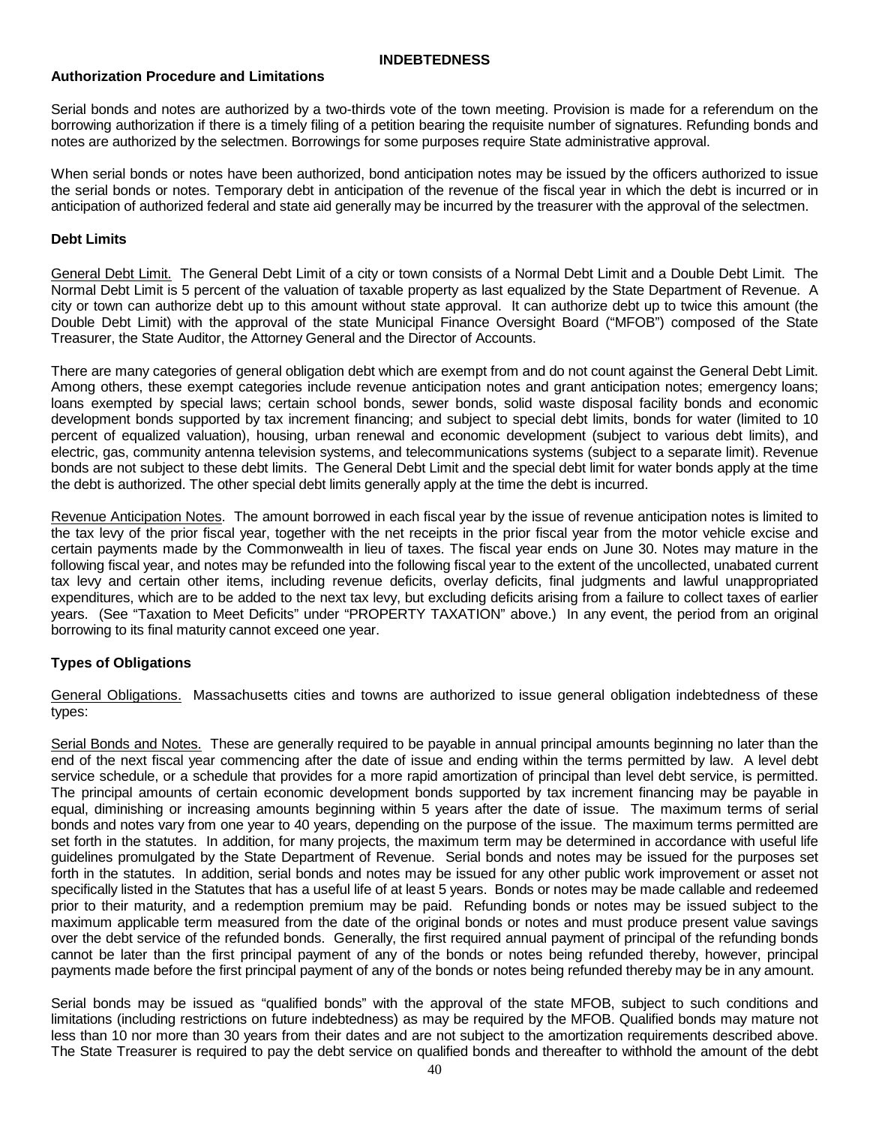#### **INDEBTEDNESS**

#### **Authorization Procedure and Limitations**

Serial bonds and notes are authorized by a two-thirds vote of the town meeting. Provision is made for a referendum on the borrowing authorization if there is a timely filing of a petition bearing the requisite number of signatures. Refunding bonds and notes are authorized by the selectmen. Borrowings for some purposes require State administrative approval.

When serial bonds or notes have been authorized, bond anticipation notes may be issued by the officers authorized to issue the serial bonds or notes. Temporary debt in anticipation of the revenue of the fiscal year in which the debt is incurred or in anticipation of authorized federal and state aid generally may be incurred by the treasurer with the approval of the selectmen.

## **Debt Limits**

General Debt Limit. The General Debt Limit of a city or town consists of a Normal Debt Limit and a Double Debt Limit. The Normal Debt Limit is 5 percent of the valuation of taxable property as last equalized by the State Department of Revenue. A city or town can authorize debt up to this amount without state approval. It can authorize debt up to twice this amount (the Double Debt Limit) with the approval of the state Municipal Finance Oversight Board ("MFOB") composed of the State Treasurer, the State Auditor, the Attorney General and the Director of Accounts.

There are many categories of general obligation debt which are exempt from and do not count against the General Debt Limit. Among others, these exempt categories include revenue anticipation notes and grant anticipation notes; emergency loans; loans exempted by special laws; certain school bonds, sewer bonds, solid waste disposal facility bonds and economic development bonds supported by tax increment financing; and subject to special debt limits, bonds for water (limited to 10 percent of equalized valuation), housing, urban renewal and economic development (subject to various debt limits), and electric, gas, community antenna television systems, and telecommunications systems (subject to a separate limit). Revenue bonds are not subject to these debt limits. The General Debt Limit and the special debt limit for water bonds apply at the time the debt is authorized. The other special debt limits generally apply at the time the debt is incurred.

Revenue Anticipation Notes. The amount borrowed in each fiscal year by the issue of revenue anticipation notes is limited to the tax levy of the prior fiscal year, together with the net receipts in the prior fiscal year from the motor vehicle excise and certain payments made by the Commonwealth in lieu of taxes. The fiscal year ends on June 30. Notes may mature in the following fiscal year, and notes may be refunded into the following fiscal year to the extent of the uncollected, unabated current tax levy and certain other items, including revenue deficits, overlay deficits, final judgments and lawful unappropriated expenditures, which are to be added to the next tax levy, but excluding deficits arising from a failure to collect taxes of earlier years. (See "Taxation to Meet Deficits" under "PROPERTY TAXATION" above.) In any event, the period from an original borrowing to its final maturity cannot exceed one year.

# **Types of Obligations**

General Obligations. Massachusetts cities and towns are authorized to issue general obligation indebtedness of these types:

Serial Bonds and Notes. These are generally required to be payable in annual principal amounts beginning no later than the end of the next fiscal year commencing after the date of issue and ending within the terms permitted by law. A level debt service schedule, or a schedule that provides for a more rapid amortization of principal than level debt service, is permitted. The principal amounts of certain economic development bonds supported by tax increment financing may be payable in equal, diminishing or increasing amounts beginning within 5 years after the date of issue. The maximum terms of serial bonds and notes vary from one year to 40 years, depending on the purpose of the issue. The maximum terms permitted are set forth in the statutes. In addition, for many projects, the maximum term may be determined in accordance with useful life guidelines promulgated by the State Department of Revenue. Serial bonds and notes may be issued for the purposes set forth in the statutes. In addition, serial bonds and notes may be issued for any other public work improvement or asset not specifically listed in the Statutes that has a useful life of at least 5 years. Bonds or notes may be made callable and redeemed prior to their maturity, and a redemption premium may be paid. Refunding bonds or notes may be issued subject to the maximum applicable term measured from the date of the original bonds or notes and must produce present value savings over the debt service of the refunded bonds. Generally, the first required annual payment of principal of the refunding bonds cannot be later than the first principal payment of any of the bonds or notes being refunded thereby, however, principal payments made before the first principal payment of any of the bonds or notes being refunded thereby may be in any amount.

Serial bonds may be issued as "qualified bonds" with the approval of the state MFOB, subject to such conditions and limitations (including restrictions on future indebtedness) as may be required by the MFOB. Qualified bonds may mature not less than 10 nor more than 30 years from their dates and are not subject to the amortization requirements described above. The State Treasurer is required to pay the debt service on qualified bonds and thereafter to withhold the amount of the debt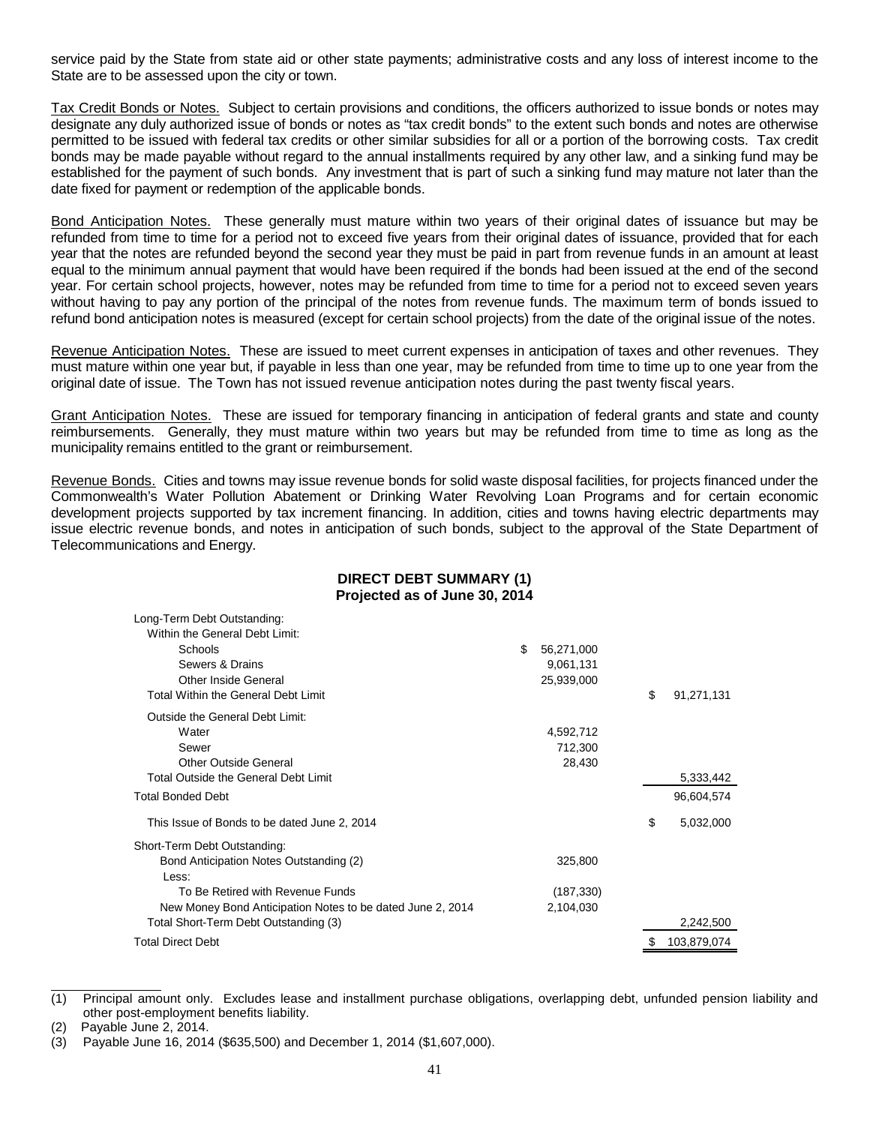service paid by the State from state aid or other state payments; administrative costs and any loss of interest income to the State are to be assessed upon the city or town.

Tax Credit Bonds or Notes. Subject to certain provisions and conditions, the officers authorized to issue bonds or notes may designate any duly authorized issue of bonds or notes as "tax credit bonds" to the extent such bonds and notes are otherwise permitted to be issued with federal tax credits or other similar subsidies for all or a portion of the borrowing costs. Tax credit bonds may be made payable without regard to the annual installments required by any other law, and a sinking fund may be established for the payment of such bonds. Any investment that is part of such a sinking fund may mature not later than the date fixed for payment or redemption of the applicable bonds.

Bond Anticipation Notes. These generally must mature within two years of their original dates of issuance but may be refunded from time to time for a period not to exceed five years from their original dates of issuance, provided that for each year that the notes are refunded beyond the second year they must be paid in part from revenue funds in an amount at least equal to the minimum annual payment that would have been required if the bonds had been issued at the end of the second year. For certain school projects, however, notes may be refunded from time to time for a period not to exceed seven years without having to pay any portion of the principal of the notes from revenue funds. The maximum term of bonds issued to refund bond anticipation notes is measured (except for certain school projects) from the date of the original issue of the notes.

Revenue Anticipation Notes. These are issued to meet current expenses in anticipation of taxes and other revenues. They must mature within one year but, if payable in less than one year, may be refunded from time to time up to one year from the original date of issue. The Town has not issued revenue anticipation notes during the past twenty fiscal years.

Grant Anticipation Notes. These are issued for temporary financing in anticipation of federal grants and state and county reimbursements. Generally, they must mature within two years but may be refunded from time to time as long as the municipality remains entitled to the grant or reimbursement.

Revenue Bonds. Cities and towns may issue revenue bonds for solid waste disposal facilities, for projects financed under the Commonwealth's Water Pollution Abatement or Drinking Water Revolving Loan Programs and for certain economic development projects supported by tax increment financing. In addition, cities and towns having electric departments may issue electric revenue bonds, and notes in anticipation of such bonds, subject to the approval of the State Department of Telecommunications and Energy.

# **DIRECT DEBT SUMMARY (1) Projected as of June 30, 2014**

| Long-Term Debt Outstanding:                                |                  |    |             |
|------------------------------------------------------------|------------------|----|-------------|
| Within the General Debt Limit:                             |                  |    |             |
| Schools                                                    | \$<br>56,271,000 |    |             |
| Sewers & Drains                                            | 9,061,131        |    |             |
| Other Inside General                                       | 25,939,000       |    |             |
| Total Within the General Debt Limit                        |                  | \$ | 91,271,131  |
| Outside the General Debt Limit:                            |                  |    |             |
| Water                                                      | 4,592,712        |    |             |
| Sewer                                                      | 712,300          |    |             |
| Other Outside General                                      | 28,430           |    |             |
| Total Outside the General Debt Limit                       |                  |    | 5,333,442   |
| <b>Total Bonded Debt</b>                                   |                  |    | 96,604,574  |
| This Issue of Bonds to be dated June 2, 2014               |                  | \$ | 5,032,000   |
| Short-Term Debt Outstanding:                               |                  |    |             |
| Bond Anticipation Notes Outstanding (2)                    | 325,800          |    |             |
| Less:                                                      |                  |    |             |
| To Be Retired with Revenue Funds                           | (187, 330)       |    |             |
| New Money Bond Anticipation Notes to be dated June 2, 2014 | 2,104,030        |    |             |
| Total Short-Term Debt Outstanding (3)                      |                  |    | 2,242,500   |
| <b>Total Direct Debt</b>                                   |                  |    | 103,879,074 |

<sup>(1)</sup> Principal amount only. Excludes lease and installment purchase obligations, overlapping debt, unfunded pension liability and other post-employment benefits liability.

<sup>(2)</sup> Payable June 2, 2014.

<sup>(3)</sup> Payable June 16, 2014 (\$635,500) and December 1, 2014 (\$1,607,000).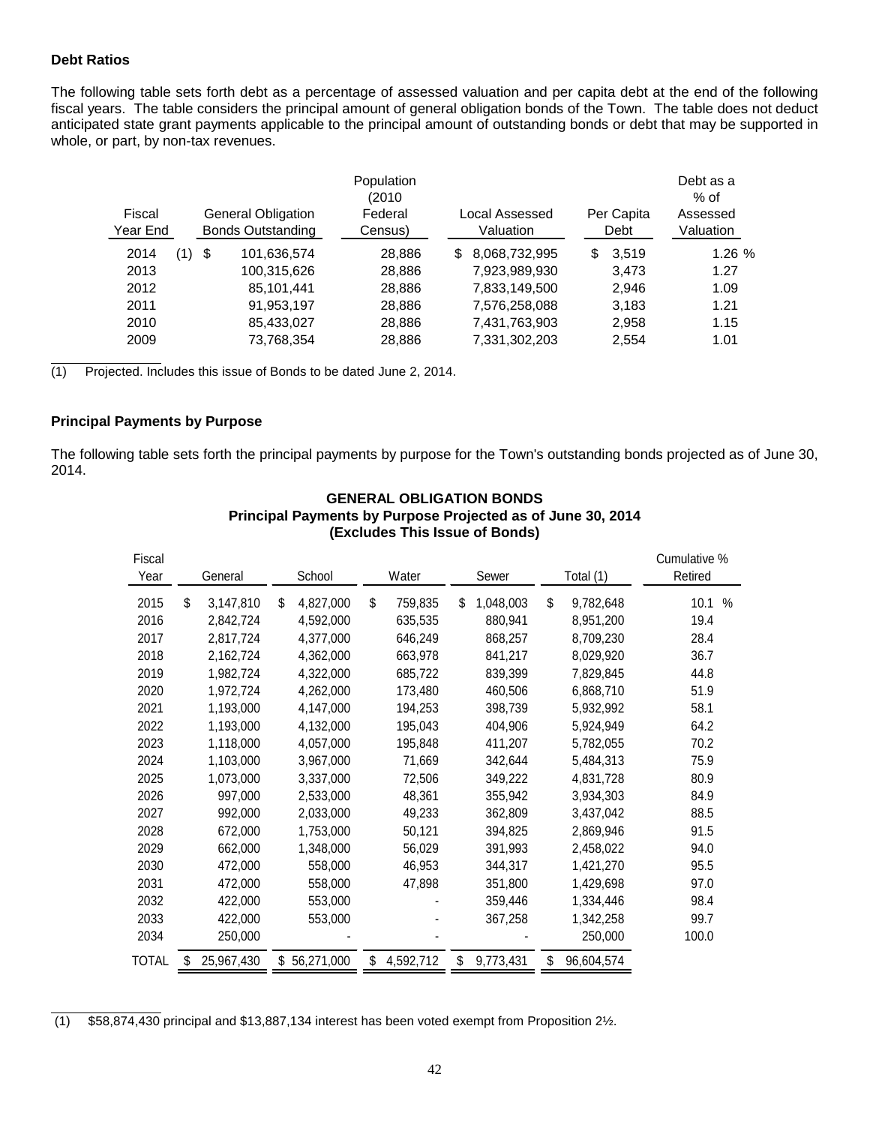#### **Debt Ratios**

The following table sets forth debt as a percentage of assessed valuation and per capita debt at the end of the following fiscal years. The table considers the principal amount of general obligation bonds of the Town. The table does not deduct anticipated state grant payments applicable to the principal amount of outstanding bonds or debt that may be supported in whole, or part, by non-tax revenues.

|                    |     |                                                       | Population<br>(2010 |                             |                    | Debt as a<br>% of     |
|--------------------|-----|-------------------------------------------------------|---------------------|-----------------------------|--------------------|-----------------------|
| Fiscal<br>Year End |     | <b>General Obligation</b><br><b>Bonds Outstanding</b> | Federal<br>Census)  | Local Assessed<br>Valuation | Per Capita<br>Debt | Assessed<br>Valuation |
| 2014<br>(1)        | -\$ | 101,636,574                                           | 28,886              | 8,068,732,995<br>S.         | \$<br>3.519        | 1.26%                 |
| 2013               |     | 100,315,626                                           | 28,886              | 7,923,989,930               | 3,473              | 1.27                  |
| 2012               |     | 85,101,441                                            | 28,886              | 7,833,149,500               | 2,946              | 1.09                  |
| 2011               |     | 91,953,197                                            | 28,886              | 7,576,258,088               | 3,183              | 1.21                  |
| 2010               |     | 85,433,027                                            | 28,886              | 7,431,763,903               | 2,958              | 1.15                  |
| 2009               |     | 73,768,354                                            | 28.886              | 7,331,302,203               | 2,554              | 1.01                  |

(1) Projected. Includes this issue of Bonds to be dated June 2, 2014.

## **Principal Payments by Purpose**

The following table sets forth the principal payments by purpose for the Town's outstanding bonds projected as of June 30, 2014.

| Fiscal<br>Year | General         |    | School     |    | Water     |    | Sewer     | Total (1)        | Cumulative %<br>Retired |      |
|----------------|-----------------|----|------------|----|-----------|----|-----------|------------------|-------------------------|------|
| 2015           | \$<br>3,147,810 | \$ | 4,827,000  | \$ | 759,835   | \$ | 1,048,003 | \$<br>9,782,648  | 10.1                    | $\%$ |
| 2016           | 2,842,724       |    | 4,592,000  |    | 635,535   |    | 880,941   | 8,951,200        | 19.4                    |      |
| 2017           | 2,817,724       |    | 4,377,000  |    | 646,249   |    | 868,257   | 8,709,230        | 28.4                    |      |
| 2018           | 2,162,724       |    | 4,362,000  |    | 663,978   |    | 841,217   | 8,029,920        | 36.7                    |      |
| 2019           | 1,982,724       |    | 4,322,000  |    | 685,722   |    | 839,399   | 7,829,845        | 44.8                    |      |
| 2020           | 1,972,724       |    | 4,262,000  |    | 173,480   |    | 460,506   | 6,868,710        | 51.9                    |      |
| 2021           | 1,193,000       |    | 4,147,000  |    | 194,253   |    | 398,739   | 5,932,992        | 58.1                    |      |
| 2022           | 1,193,000       |    | 4,132,000  |    | 195,043   |    | 404,906   | 5,924,949        | 64.2                    |      |
| 2023           | 1,118,000       |    | 4,057,000  |    | 195,848   |    | 411,207   | 5,782,055        | 70.2                    |      |
| 2024           | 1,103,000       |    | 3,967,000  |    | 71,669    |    | 342,644   | 5,484,313        | 75.9                    |      |
| 2025           | 1,073,000       |    | 3,337,000  |    | 72,506    |    | 349,222   | 4,831,728        | 80.9                    |      |
| 2026           | 997,000         |    | 2,533,000  |    | 48,361    |    | 355,942   | 3,934,303        | 84.9                    |      |
| 2027           | 992,000         |    | 2,033,000  |    | 49,233    |    | 362,809   | 3,437,042        | 88.5                    |      |
| 2028           | 672,000         |    | 1,753,000  |    | 50,121    |    | 394,825   | 2,869,946        | 91.5                    |      |
| 2029           | 662,000         |    | 1,348,000  |    | 56,029    |    | 391,993   | 2,458,022        | 94.0                    |      |
| 2030           | 472,000         |    | 558,000    |    | 46,953    |    | 344,317   | 1,421,270        | 95.5                    |      |
| 2031           | 472,000         |    | 558,000    |    | 47,898    |    | 351,800   | 1,429,698        | 97.0                    |      |
| 2032           | 422,000         |    | 553,000    |    |           |    | 359,446   | 1,334,446        | 98.4                    |      |
| 2033           | 422,000         |    | 553,000    |    |           |    | 367,258   | 1,342,258        | 99.7                    |      |
| 2034           | 250,000         |    |            |    |           |    |           | 250,000          | 100.0                   |      |
| TOTAL          | 25,967,430      | S  | 56,271,000 | S  | 4,592,712 | S  | 9,773,431 | \$<br>96,604,574 |                         |      |

### **GENERAL OBLIGATION BONDS Principal Payments by Purpose Projected as of June 30, 2014 (Excludes This Issue of Bonds)**

(1) \$58,874,430 principal and \$13,887,134 interest has been voted exempt from Proposition 2½.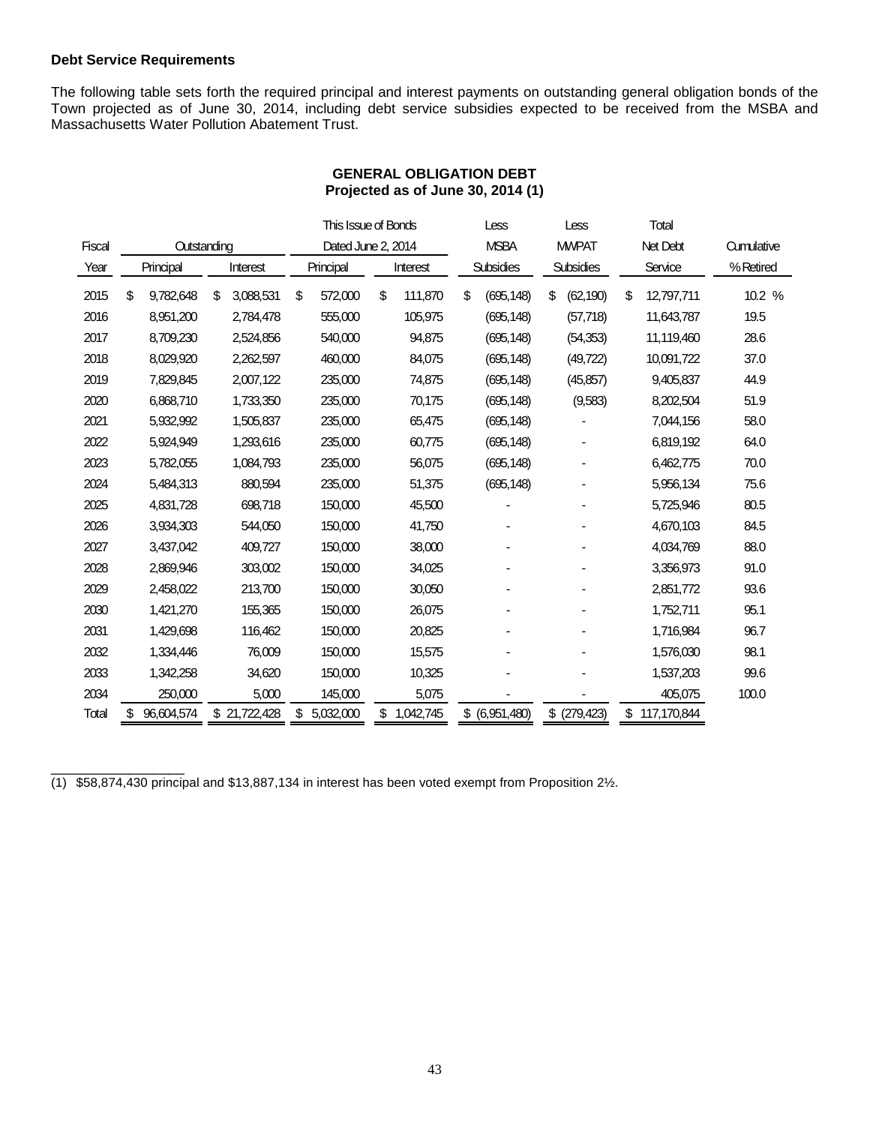#### **Debt Service Requirements**

The following table sets forth the required principal and interest payments on outstanding general obligation bonds of the Town projected as of June 30, 2014, including debt service subsidies expected to be received from the MSBA and Massachusetts Water Pollution Abatement Trust.

# **GENERAL OBLIGATION DEBT Projected as of June 30, 2014 (1)**

|        |                  |                 | This Issue of Bonds |                    |    | Less<br>Less |    |                  |    |                  | Total         |             |  |            |  |           |
|--------|------------------|-----------------|---------------------|--------------------|----|--------------|----|------------------|----|------------------|---------------|-------------|--|------------|--|-----------|
| Fiscal | Outstanding      |                 |                     | Dated June 2, 2014 |    |              |    | <b>MSBA</b>      |    | <b>MVPAT</b>     |               | Net Debt    |  | Cumulative |  |           |
| Year   | Principal        | Interest        |                     | Principal          |    | Interest     |    | <b>Subsidies</b> |    | <b>Subsidies</b> |               |             |  | Service    |  | % Retired |
| 2015   | \$<br>9,782,648  | \$<br>3,088,531 | \$                  | 572,000            | \$ | 111,870      | \$ | (695, 148)       | \$ | (62, 190)        | \$            | 12,797,711  |  | 10.2 %     |  |           |
| 2016   | 8,951,200        | 2,784,478       |                     | 555,000            |    | 105,975      |    | (695, 148)       |    | (57, 718)        |               | 11,643,787  |  | 19.5       |  |           |
| 2017   | 8,709,230        | 2,524,856       |                     | 540,000            |    | 94,875       |    | (695, 148)       |    | (54,353)         |               | 11,119,460  |  | 28.6       |  |           |
| 2018   | 8,029,920        | 2,262,597       |                     | 460,000            |    | 84,075       |    | (695, 148)       |    | (49, 722)        |               | 10,091,722  |  | 37.0       |  |           |
| 2019   | 7,829,845        | 2,007,122       |                     | 235,000            |    | 74,875       |    | (695, 148)       |    | (45, 857)        |               | 9,405,837   |  | 44.9       |  |           |
| 2020   | 6,868,710        | 1,733,350       |                     | 235,000            |    | 70,175       |    | (695, 148)       |    | (9,583)          |               | 8,202,504   |  | 51.9       |  |           |
| 2021   | 5,932,992        | 1,505,837       |                     | 235,000            |    | 65,475       |    | (695, 148)       |    |                  |               | 7,044,156   |  | 58.0       |  |           |
| 2022   | 5,924,949        | 1,293,616       |                     | 235,000            |    | 60,775       |    | (695, 148)       |    |                  |               | 6,819,192   |  | 64.0       |  |           |
| 2023   | 5,782,055        | 1,084,793       |                     | 235,000            |    | 56,075       |    | (695, 148)       |    |                  |               | 6,462,775   |  | 70.0       |  |           |
| 2024   | 5,484,313        | 880,594         |                     | 235,000            |    | 51,375       |    | (695, 148)       |    |                  |               | 5,956,134   |  | 75.6       |  |           |
| 2025   | 4,831,728        | 698,718         |                     | 150,000            |    | 45,500       |    |                  |    |                  |               | 5,725,946   |  | 80.5       |  |           |
| 2026   | 3,934,303        | 544,050         |                     | 150,000            |    | 41,750       |    |                  |    |                  |               | 4,670,103   |  | 84.5       |  |           |
| 2027   | 3,437,042        | 409,727         |                     | 150,000            |    | 38,000       |    |                  |    |                  |               | 4,034,769   |  | 88.0       |  |           |
| 2028   | 2,869,946        | 303,002         |                     | 150,000            |    | 34,025       |    |                  |    |                  |               | 3,356,973   |  | 91.0       |  |           |
| 2029   | 2,458,022        | 213,700         |                     | 150,000            |    | 30,050       |    |                  |    |                  |               | 2,851,772   |  | 93.6       |  |           |
| 2030   | 1,421,270        | 155,365         |                     | 150,000            |    | 26,075       |    |                  |    |                  |               | 1,752,711   |  | 95.1       |  |           |
| 2031   | 1,429,698        | 116,462         |                     | 150,000            |    | 20,825       |    |                  |    |                  |               | 1,716,984   |  | 96.7       |  |           |
| 2032   | 1,334,446        | 76,009          |                     | 150,000            |    | 15,575       |    |                  |    |                  |               | 1,576,030   |  | 98.1       |  |           |
| 2033   | 1,342,258        | 34,620          |                     | 150,000            |    | 10,325       |    |                  |    |                  |               | 1,537,203   |  | 99.6       |  |           |
| 2034   | 250,000          | 5,000           |                     | 145,000            |    | 5,075        |    |                  |    |                  |               |             |  | 405,075    |  | 100.0     |
| Total  | \$<br>96,604,574 | \$21,722,428    | \$                  | 5,032,000          | \$ | 1,042,745    |    | \$ (6,951,480)   |    | \$ (279, 423)    | $\frac{2}{3}$ | 117,170,844 |  |            |  |           |

\_\_\_\_\_\_\_\_\_\_\_\_\_\_\_\_\_ (1) \$58,874,430 principal and \$13,887,134 in interest has been voted exempt from Proposition 2½.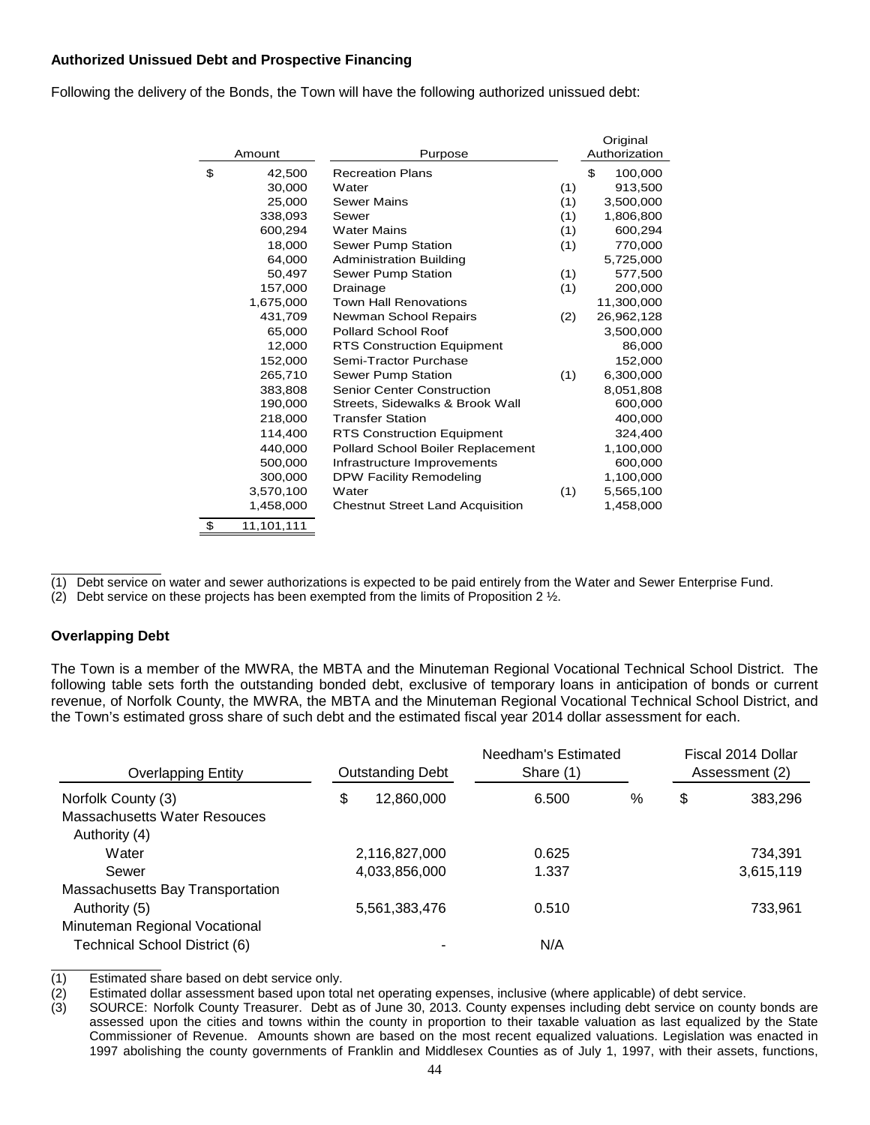## **Authorized Unissued Debt and Prospective Financing**

Following the delivery of the Bonds, the Town will have the following authorized unissued debt:

|                  |                                         | Original |               |
|------------------|-----------------------------------------|----------|---------------|
| Amount           | Purpose                                 |          | Authorization |
| \$<br>42,500     | <b>Recreation Plans</b>                 |          | \$<br>100,000 |
| 30,000           | Water                                   | (1)      | 913,500       |
| 25,000           | <b>Sewer Mains</b>                      | (1)      | 3,500,000     |
| 338,093          | Sewer                                   | (1)      | 1,806,800     |
| 600,294          | <b>Water Mains</b>                      | (1)      | 600,294       |
| 18,000           | Sewer Pump Station                      | (1)      | 770,000       |
| 64,000           | <b>Administration Building</b>          |          | 5,725,000     |
| 50,497           | Sewer Pump Station                      | (1)      | 577,500       |
| 157,000          | Drainage                                | (1)      | 200,000       |
| 1,675,000        | <b>Town Hall Renovations</b>            |          | 11,300,000    |
| 431,709          | Newman School Repairs                   | (2)      | 26,962,128    |
| 65,000           | <b>Pollard School Roof</b>              |          | 3,500,000     |
| 12,000           | <b>RTS Construction Equipment</b>       |          | 86,000        |
| 152,000          | Semi-Tractor Purchase                   |          | 152,000       |
| 265,710          | Sewer Pump Station                      | (1)      | 6,300,000     |
| 383,808          | <b>Senior Center Construction</b>       |          | 8,051,808     |
| 190,000          | Streets, Sidewalks & Brook Wall         |          | 600,000       |
| 218,000          | <b>Transfer Station</b>                 |          | 400,000       |
| 114,400          | <b>RTS Construction Equipment</b>       |          | 324,400       |
| 440.000          | Pollard School Boiler Replacement       |          | 1,100,000     |
| 500,000          | Infrastructure Improvements             |          | 600,000       |
| 300,000          | <b>DPW Facility Remodeling</b>          |          | 1,100,000     |
| 3,570,100        | Water                                   | (1)      | 5,565,100     |
| 1,458,000        | <b>Chestnut Street Land Acquisition</b> |          | 1,458,000     |
| \$<br>11,101,111 |                                         |          |               |

(1) Debt service on water and sewer authorizations is expected to be paid entirely from the Water and Sewer Enterprise Fund.

(2) Debt service on these projects has been exempted from the limits of Proposition 2  $\frac{1}{2}$ .

#### **Overlapping Debt**

The Town is a member of the MWRA, the MBTA and the Minuteman Regional Vocational Technical School District. The following table sets forth the outstanding bonded debt, exclusive of temporary loans in anticipation of bonds or current revenue, of Norfolk County, the MWRA, the MBTA and the Minuteman Regional Vocational Technical School District, and the Town's estimated gross share of such debt and the estimated fiscal year 2014 dollar assessment for each.

| <b>Overlapping Entity</b>           | <b>Outstanding Debt</b> |               | Needham's Estimated<br>Share (1) |   | Fiscal 2014 Dollar<br>Assessment (2) |           |
|-------------------------------------|-------------------------|---------------|----------------------------------|---|--------------------------------------|-----------|
| Norfolk County (3)                  | \$                      | 12,860,000    | 6.500                            | % | \$                                   | 383,296   |
| <b>Massachusetts Water Resouces</b> |                         |               |                                  |   |                                      |           |
| Authority (4)                       |                         |               |                                  |   |                                      |           |
| Water                               |                         | 2,116,827,000 | 0.625                            |   |                                      | 734,391   |
| Sewer                               |                         | 4,033,856,000 | 1.337                            |   |                                      | 3,615,119 |
| Massachusetts Bay Transportation    |                         |               |                                  |   |                                      |           |
| Authority (5)                       |                         | 5,561,383,476 | 0.510                            |   |                                      | 733.961   |
| Minuteman Regional Vocational       |                         |               |                                  |   |                                      |           |
| Technical School District (6)       |                         | -             | N/A                              |   |                                      |           |

(1) Estimated share based on debt service only.

(2) Estimated dollar assessment based upon total net operating expenses, inclusive (where applicable) of debt service.

(3) SOURCE: Norfolk County Treasurer. Debt as of June 30, 2013. County expenses including debt service on county bonds are assessed upon the cities and towns within the county in proportion to their taxable valuation as last equalized by the State Commissioner of Revenue. Amounts shown are based on the most recent equalized valuations. Legislation was enacted in 1997 abolishing the county governments of Franklin and Middlesex Counties as of July 1, 1997, with their assets, functions,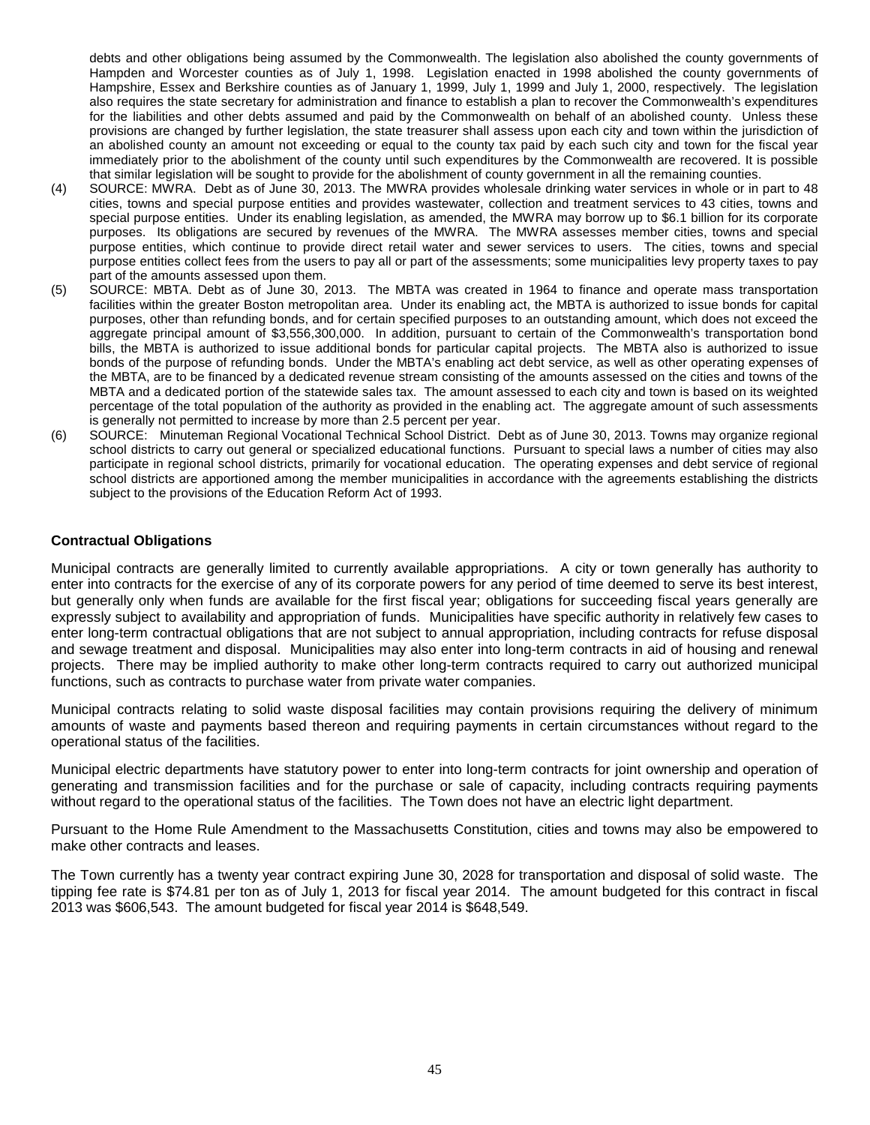debts and other obligations being assumed by the Commonwealth. The legislation also abolished the county governments of Hampden and Worcester counties as of July 1, 1998. Legislation enacted in 1998 abolished the county governments of Hampshire, Essex and Berkshire counties as of January 1, 1999, July 1, 1999 and July 1, 2000, respectively. The legislation also requires the state secretary for administration and finance to establish a plan to recover the Commonwealth's expenditures for the liabilities and other debts assumed and paid by the Commonwealth on behalf of an abolished county. Unless these provisions are changed by further legislation, the state treasurer shall assess upon each city and town within the jurisdiction of an abolished county an amount not exceeding or equal to the county tax paid by each such city and town for the fiscal year immediately prior to the abolishment of the county until such expenditures by the Commonwealth are recovered. It is possible that similar legislation will be sought to provide for the abolishment of county government in all the remaining counties.

- (4) SOURCE: MWRA. Debt as of June 30, 2013. The MWRA provides wholesale drinking water services in whole or in part to 48 cities, towns and special purpose entities and provides wastewater, collection and treatment services to 43 cities, towns and special purpose entities. Under its enabling legislation, as amended, the MWRA may borrow up to \$6.1 billion for its corporate purposes. Its obligations are secured by revenues of the MWRA. The MWRA assesses member cities, towns and special purpose entities, which continue to provide direct retail water and sewer services to users. The cities, towns and special purpose entities collect fees from the users to pay all or part of the assessments; some municipalities levy property taxes to pay part of the amounts assessed upon them.
- (5) SOURCE: MBTA. Debt as of June 30, 2013. The MBTA was created in 1964 to finance and operate mass transportation facilities within the greater Boston metropolitan area. Under its enabling act, the MBTA is authorized to issue bonds for capital purposes, other than refunding bonds, and for certain specified purposes to an outstanding amount, which does not exceed the aggregate principal amount of \$3,556,300,000. In addition, pursuant to certain of the Commonwealth's transportation bond bills, the MBTA is authorized to issue additional bonds for particular capital projects. The MBTA also is authorized to issue bonds of the purpose of refunding bonds. Under the MBTA's enabling act debt service, as well as other operating expenses of the MBTA, are to be financed by a dedicated revenue stream consisting of the amounts assessed on the cities and towns of the MBTA and a dedicated portion of the statewide sales tax. The amount assessed to each city and town is based on its weighted percentage of the total population of the authority as provided in the enabling act. The aggregate amount of such assessments is generally not permitted to increase by more than 2.5 percent per year.
- (6) SOURCE: Minuteman Regional Vocational Technical School District. Debt as of June 30, 2013. Towns may organize regional school districts to carry out general or specialized educational functions. Pursuant to special laws a number of cities may also participate in regional school districts, primarily for vocational education. The operating expenses and debt service of regional school districts are apportioned among the member municipalities in accordance with the agreements establishing the districts subject to the provisions of the Education Reform Act of 1993.

## **Contractual Obligations**

Municipal contracts are generally limited to currently available appropriations. A city or town generally has authority to enter into contracts for the exercise of any of its corporate powers for any period of time deemed to serve its best interest, but generally only when funds are available for the first fiscal year; obligations for succeeding fiscal years generally are expressly subject to availability and appropriation of funds. Municipalities have specific authority in relatively few cases to enter long-term contractual obligations that are not subject to annual appropriation, including contracts for refuse disposal and sewage treatment and disposal. Municipalities may also enter into long-term contracts in aid of housing and renewal projects. There may be implied authority to make other long-term contracts required to carry out authorized municipal functions, such as contracts to purchase water from private water companies.

Municipal contracts relating to solid waste disposal facilities may contain provisions requiring the delivery of minimum amounts of waste and payments based thereon and requiring payments in certain circumstances without regard to the operational status of the facilities.

Municipal electric departments have statutory power to enter into long-term contracts for joint ownership and operation of generating and transmission facilities and for the purchase or sale of capacity, including contracts requiring payments without regard to the operational status of the facilities. The Town does not have an electric light department.

Pursuant to the Home Rule Amendment to the Massachusetts Constitution, cities and towns may also be empowered to make other contracts and leases.

The Town currently has a twenty year contract expiring June 30, 2028 for transportation and disposal of solid waste. The tipping fee rate is \$74.81 per ton as of July 1, 2013 for fiscal year 2014. The amount budgeted for this contract in fiscal 2013 was \$606,543. The amount budgeted for fiscal year 2014 is \$648,549.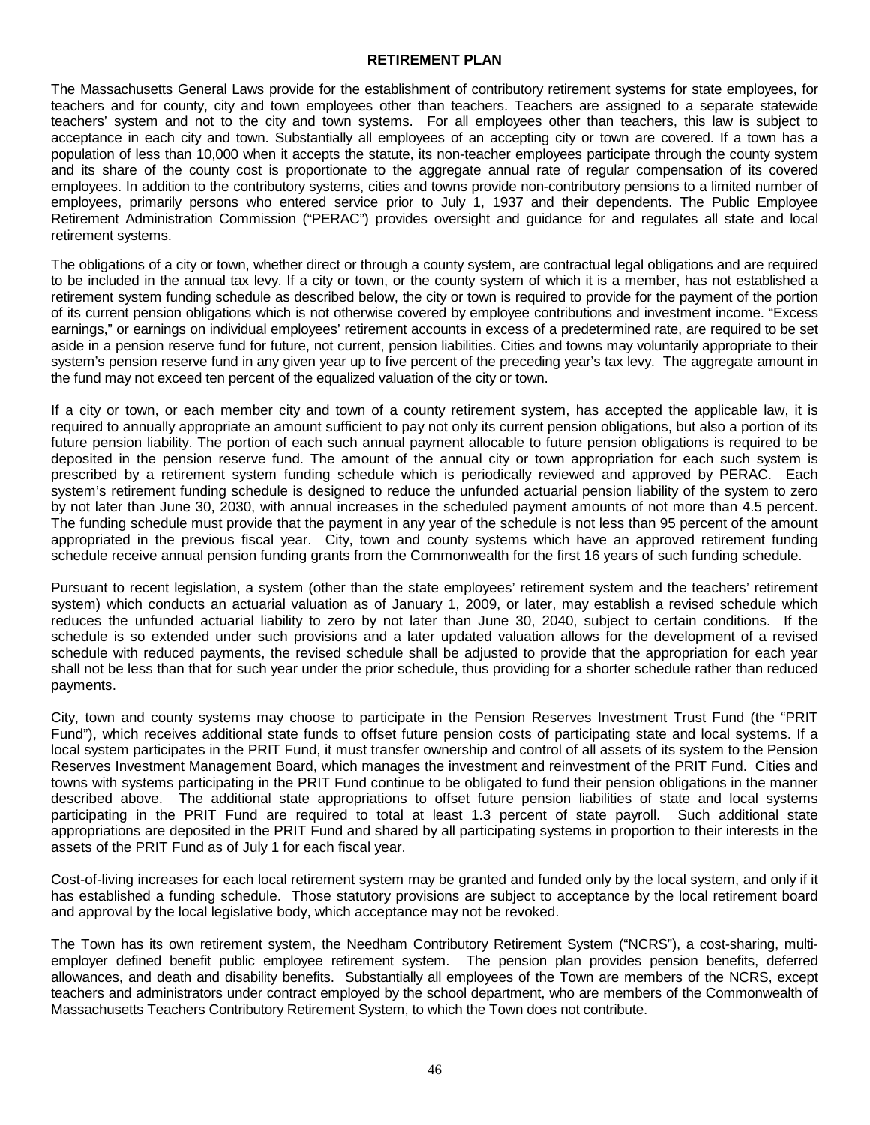#### **RETIREMENT PLAN**

The Massachusetts General Laws provide for the establishment of contributory retirement systems for state employees, for teachers and for county, city and town employees other than teachers. Teachers are assigned to a separate statewide teachers' system and not to the city and town systems. For all employees other than teachers, this law is subject to acceptance in each city and town. Substantially all employees of an accepting city or town are covered. If a town has a population of less than 10,000 when it accepts the statute, its non-teacher employees participate through the county system and its share of the county cost is proportionate to the aggregate annual rate of regular compensation of its covered employees. In addition to the contributory systems, cities and towns provide non-contributory pensions to a limited number of employees, primarily persons who entered service prior to July 1, 1937 and their dependents. The Public Employee Retirement Administration Commission ("PERAC") provides oversight and guidance for and regulates all state and local retirement systems.

The obligations of a city or town, whether direct or through a county system, are contractual legal obligations and are required to be included in the annual tax levy. If a city or town, or the county system of which it is a member, has not established a retirement system funding schedule as described below, the city or town is required to provide for the payment of the portion of its current pension obligations which is not otherwise covered by employee contributions and investment income. "Excess earnings," or earnings on individual employees' retirement accounts in excess of a predetermined rate, are required to be set aside in a pension reserve fund for future, not current, pension liabilities. Cities and towns may voluntarily appropriate to their system's pension reserve fund in any given year up to five percent of the preceding year's tax levy. The aggregate amount in the fund may not exceed ten percent of the equalized valuation of the city or town.

If a city or town, or each member city and town of a county retirement system, has accepted the applicable law, it is required to annually appropriate an amount sufficient to pay not only its current pension obligations, but also a portion of its future pension liability. The portion of each such annual payment allocable to future pension obligations is required to be deposited in the pension reserve fund. The amount of the annual city or town appropriation for each such system is prescribed by a retirement system funding schedule which is periodically reviewed and approved by PERAC. Each system's retirement funding schedule is designed to reduce the unfunded actuarial pension liability of the system to zero by not later than June 30, 2030, with annual increases in the scheduled payment amounts of not more than 4.5 percent. The funding schedule must provide that the payment in any year of the schedule is not less than 95 percent of the amount appropriated in the previous fiscal year. City, town and county systems which have an approved retirement funding schedule receive annual pension funding grants from the Commonwealth for the first 16 years of such funding schedule.

Pursuant to recent legislation, a system (other than the state employees' retirement system and the teachers' retirement system) which conducts an actuarial valuation as of January 1, 2009, or later, may establish a revised schedule which reduces the unfunded actuarial liability to zero by not later than June 30, 2040, subject to certain conditions. If the schedule is so extended under such provisions and a later updated valuation allows for the development of a revised schedule with reduced payments, the revised schedule shall be adjusted to provide that the appropriation for each year shall not be less than that for such year under the prior schedule, thus providing for a shorter schedule rather than reduced payments.

City, town and county systems may choose to participate in the Pension Reserves Investment Trust Fund (the "PRIT Fund"), which receives additional state funds to offset future pension costs of participating state and local systems. If a local system participates in the PRIT Fund, it must transfer ownership and control of all assets of its system to the Pension Reserves Investment Management Board, which manages the investment and reinvestment of the PRIT Fund. Cities and towns with systems participating in the PRIT Fund continue to be obligated to fund their pension obligations in the manner described above. The additional state appropriations to offset future pension liabilities of state and local systems participating in the PRIT Fund are required to total at least 1.3 percent of state payroll. Such additional state appropriations are deposited in the PRIT Fund and shared by all participating systems in proportion to their interests in the assets of the PRIT Fund as of July 1 for each fiscal year.

Cost-of-living increases for each local retirement system may be granted and funded only by the local system, and only if it has established a funding schedule. Those statutory provisions are subject to acceptance by the local retirement board and approval by the local legislative body, which acceptance may not be revoked.

The Town has its own retirement system, the Needham Contributory Retirement System ("NCRS"), a cost-sharing, multiemployer defined benefit public employee retirement system. The pension plan provides pension benefits, deferred allowances, and death and disability benefits. Substantially all employees of the Town are members of the NCRS, except teachers and administrators under contract employed by the school department, who are members of the Commonwealth of Massachusetts Teachers Contributory Retirement System, to which the Town does not contribute.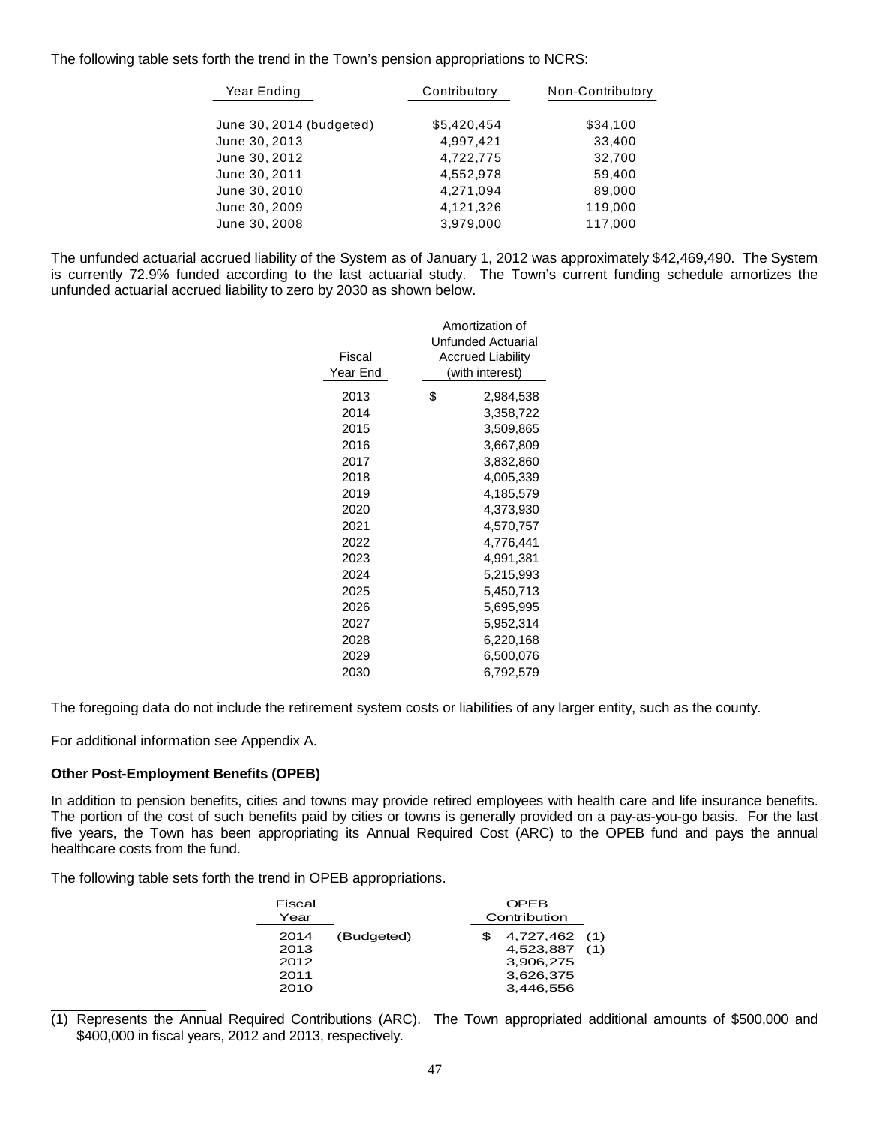The following table sets forth the trend in the Town's pension appropriations to NCRS:

| Year Ending              | Contributory | Non-Contributory |  |
|--------------------------|--------------|------------------|--|
| June 30, 2014 (budgeted) | \$5,420,454  | \$34,100         |  |
| June 30, 2013            | 4.997.421    | 33,400           |  |
| June 30, 2012            | 4.722.775    | 32,700           |  |
| June 30, 2011            | 4,552,978    | 59,400           |  |
| June 30, 2010            | 4,271,094    | 89,000           |  |
| June 30, 2009            | 4,121,326    | 119,000          |  |
| June 30, 2008            | 3.979.000    | 117,000          |  |

The unfunded actuarial accrued liability of the System as of January 1, 2012 was approximately \$42,469,490. The System is currently 72.9% funded according to the last actuarial study. The Town's current funding schedule amortizes the unfunded actuarial accrued liability to zero by 2030 as shown below.

| Fiscal<br>Year End | Amortization of<br>Unfunded Actuarial<br>Accrued Liability<br>(with interest) |
|--------------------|-------------------------------------------------------------------------------|
| 2013               | \$<br>2,984,538                                                               |
| 2014               | 3,358,722                                                                     |
| 2015               | 3,509,865                                                                     |
| 2016               | 3,667,809                                                                     |
| 2017               | 3,832,860                                                                     |
| 2018               | 4,005,339                                                                     |
| 2019               | 4,185,579                                                                     |
| 2020               | 4,373,930                                                                     |
| 2021               | 4,570,757                                                                     |
| 2022               | 4,776,441                                                                     |
| 2023               | 4,991,381                                                                     |
| 2024               | 5,215,993                                                                     |
| 2025               | 5,450,713                                                                     |
| 2026               | 5,695,995                                                                     |
| 2027               | 5,952,314                                                                     |
| 2028               | 6,220,168                                                                     |
| 2029               | 6,500,076                                                                     |
| 2030               | 6,792,579                                                                     |

The foregoing data do not include the retirement system costs or liabilities of any larger entity, such as the county.

For additional information see Appendix A.

# **Other Post-Employment Benefits (OPEB)**

In addition to pension benefits, cities and towns may provide retired employees with health care and life insurance benefits. The portion of the cost of such benefits paid by cities or towns is generally provided on a pay-as-you-go basis. For the last five years, the Town has been appropriating its Annual Required Cost (ARC) to the OPEB fund and pays the annual healthcare costs from the fund.

The following table sets forth the trend in OPEB appropriations.

| Fiscal<br>Year                       |            |  | <b>OPEB</b><br>Contribution                                           |  |
|--------------------------------------|------------|--|-----------------------------------------------------------------------|--|
| 2014<br>2013<br>2012<br>2011<br>2010 | (Budgeted) |  | 4,727,462 (1)<br>4,523,887 (1)<br>3,906,275<br>3,626,375<br>3,446.556 |  |

(1) Represents the Annual Required Contributions (ARC). The Town appropriated additional amounts of \$500,000 and \$400,000 in fiscal years, 2012 and 2013, respectively.